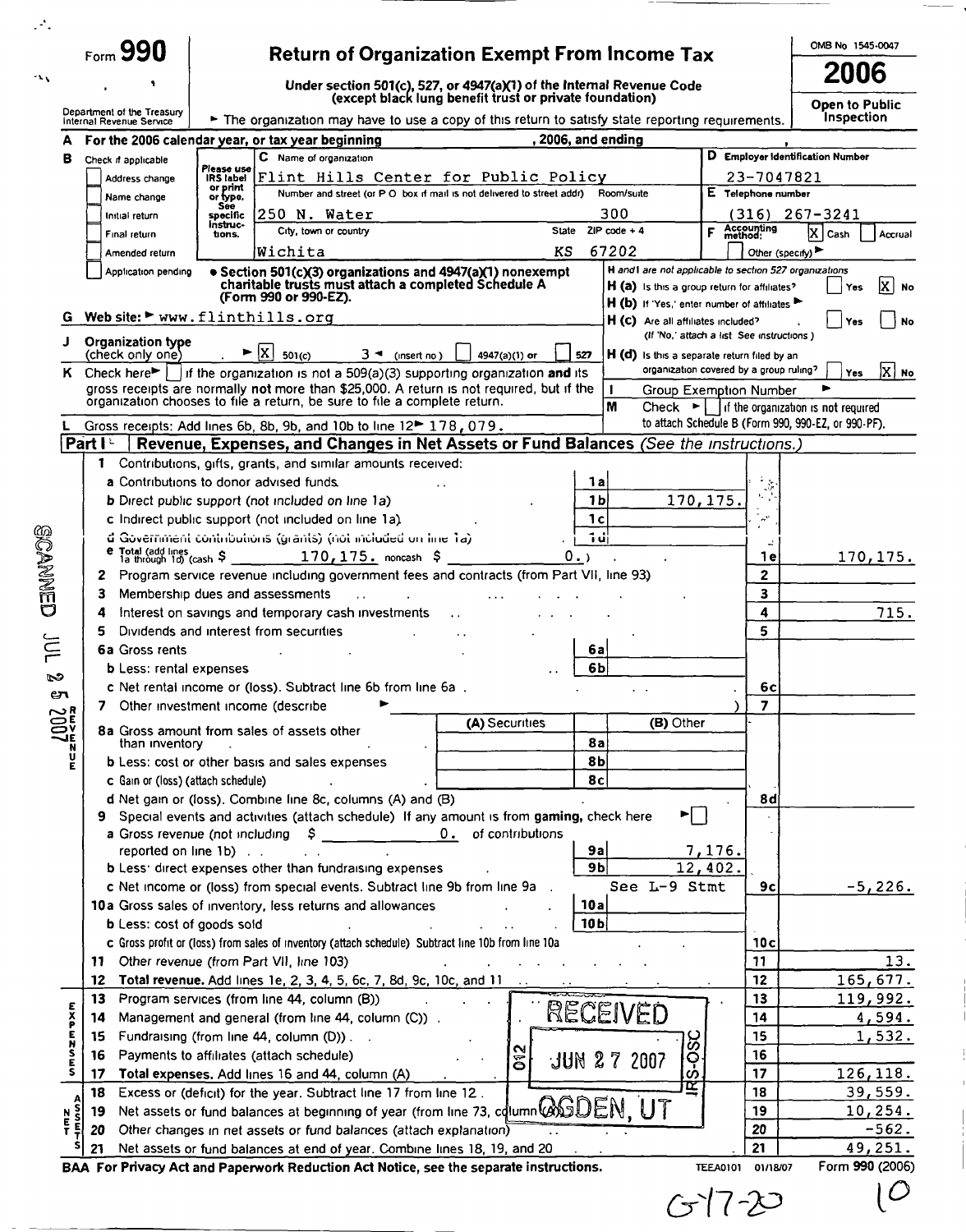|                     | $_{\text{Form}}$ 990                  |                                                                                                                                                                           | <b>Return of Organization Exempt From Income Tax</b>                   |                                                                                                         |                         | OMB No 1545-0047                                                                                            |
|---------------------|---------------------------------------|---------------------------------------------------------------------------------------------------------------------------------------------------------------------------|------------------------------------------------------------------------|---------------------------------------------------------------------------------------------------------|-------------------------|-------------------------------------------------------------------------------------------------------------|
|                     |                                       |                                                                                                                                                                           | Under section 501(c), 527, or 4947(a)(1) of the Internal Revenue Code  |                                                                                                         |                         | 2006                                                                                                        |
|                     | Department of the Treasury            |                                                                                                                                                                           | (except black lung benefit trust or private foundation)                |                                                                                                         |                         | <b>Open to Public</b>                                                                                       |
|                     | Internal Revenue Service              | The organization may have to use a copy of this return to satisfy state reporting requirements.                                                                           |                                                                        |                                                                                                         |                         | <b>Inspection</b>                                                                                           |
|                     |                                       | For the 2006 calendar year, or tax year beginning<br>C Name of organization                                                                                               | , 2006, and ending                                                     |                                                                                                         |                         | D Employer Identification Number                                                                            |
| в                   | Check if applicable<br>Address change | Please use<br>Flint Hills Center for Public Policy<br>IRS label                                                                                                           |                                                                        |                                                                                                         | 23-7047821              |                                                                                                             |
|                     | Name change                           | or print<br>or type.                                                                                                                                                      | Number and street (or P O box if mail is not delivered to street addr) | Room/suite                                                                                              | E Telephone number      |                                                                                                             |
|                     | Initial return                        | See<br>$250$ N. Water<br>specific                                                                                                                                         |                                                                        | 300                                                                                                     | (316)                   | $267 - 3241$                                                                                                |
|                     | Final return                          | instruc-<br>City, town or country<br>tions.                                                                                                                               | State                                                                  | ZIP code $+4$<br>F                                                                                      | Accounting<br>method:   | x <br>Cash<br>Accrual                                                                                       |
|                     | Amended return                        | Wichita                                                                                                                                                                   | KS                                                                     | 67202                                                                                                   | Other (specify)         |                                                                                                             |
|                     | Application pending                   | • Section 501(c)(3) organizations and 4947(a)(1) nonexempt<br>charitable trusts must attach a completed Schedule A                                                        |                                                                        | H and I are not applicable to section 527 organizations<br>H (a) is this a group return for affiliates? |                         | x <br>No<br>Yes                                                                                             |
|                     |                                       | (Form 990 or 990-EZ).                                                                                                                                                     |                                                                        | H (b) If Yes, enter number of affiliates                                                                |                         |                                                                                                             |
| G                   |                                       | Web site: > www.flinthills.org                                                                                                                                            |                                                                        | H (c) Are all affiliates included?<br>(If 'No,' attach a list See instructions )                        |                         | <b>No</b><br>Yes                                                                                            |
| J                   | Organization type<br>(check only one) | $\vert x \vert$<br>$3 -$ (insert no)<br>501(c)                                                                                                                            | 4947(a)(1) or<br>527                                                   | H (d) is this a separate return filed by an                                                             |                         |                                                                                                             |
| ĸ.                  |                                       | Check here $\blacktriangleright$   if the organization is not a 509(a)(3) supporting organization and its                                                                 |                                                                        | organization covered by a group ruling?                                                                 |                         | X   No<br>Yes                                                                                               |
|                     |                                       | gross receipts are normally not more than \$25,000. A return is not required, but if the<br>organization chooses to file a return, be sure to file a complete return.     |                                                                        | $\mathbf{1}$<br>Group Exemption Number                                                                  |                         |                                                                                                             |
|                     |                                       |                                                                                                                                                                           |                                                                        | M                                                                                                       |                         | Check $\blacktriangleright$   if the organization is not required                                           |
|                     | Partl                                 | Gross receipts: Add lines 6b, 8b, 9b, and 10b to line 12 <sup>th</sup> 178, 079.<br>Revenue, Expenses, and Changes in Net Assets or Fund Balances (See the instructions.) |                                                                        |                                                                                                         |                         | to attach Schedule B (Form 990, 990-EZ, or 990-PF).                                                         |
|                     |                                       |                                                                                                                                                                           |                                                                        |                                                                                                         |                         |                                                                                                             |
|                     |                                       | 1 Contributions, gifts, grants, and similar amounts received:<br>a Contributions to donor advised funds.                                                                  |                                                                        | 1а                                                                                                      |                         |                                                                                                             |
|                     |                                       | <b>b</b> Direct public support (not included on line 1a)                                                                                                                  |                                                                        | 1 <sub>b</sub><br>170,175.                                                                              |                         |                                                                                                             |
|                     |                                       | c Indirect public support (not included on line 1a).                                                                                                                      |                                                                        | 1c                                                                                                      | $\sim$                  |                                                                                                             |
|                     |                                       | d Government contributions (grants) (not included on line 1a)                                                                                                             |                                                                        | ᆒ                                                                                                       |                         |                                                                                                             |
|                     |                                       |                                                                                                                                                                           | 0.                                                                     |                                                                                                         | 1 e                     | 170, 175.                                                                                                   |
|                     |                                       | Program service revenue including government fees and contracts (from Part VII, line 93)                                                                                  |                                                                        |                                                                                                         | 2                       |                                                                                                             |
|                     | з                                     | Membership dues and assessments                                                                                                                                           | 3                                                                      |                                                                                                         |                         |                                                                                                             |
|                     | 4                                     | Interest on savings and temporary cash investments                                                                                                                        |                                                                        |                                                                                                         | 4                       | 715.                                                                                                        |
|                     |                                       | Dividends and interest from securities                                                                                                                                    |                                                                        |                                                                                                         | 5                       |                                                                                                             |
|                     | <b>6a Gross rents</b>                 |                                                                                                                                                                           |                                                                        | 6al                                                                                                     |                         |                                                                                                             |
|                     | <b>b</b> Less: rental expenses        |                                                                                                                                                                           |                                                                        | 6b                                                                                                      |                         |                                                                                                             |
|                     |                                       | c Net rental income or (loss). Subtract line 6b from line 6a.                                                                                                             |                                                                        |                                                                                                         | 6c                      |                                                                                                             |
|                     |                                       | 7 Other investment income (describe                                                                                                                                       | (A) Securities                                                         | (B) Other                                                                                               | $\overline{\mathbf{z}}$ |                                                                                                             |
|                     | than inventory                        | 8a Gross amount from sales of assets other                                                                                                                                |                                                                        | <b>8a</b>                                                                                               |                         |                                                                                                             |
| $\frac{1000}{2000}$ |                                       | <b>b</b> Less: cost or other basis and sales expenses                                                                                                                     |                                                                        | 8b                                                                                                      |                         |                                                                                                             |
|                     | c Gain or (loss) (attach schedule)    |                                                                                                                                                                           |                                                                        | 8c                                                                                                      |                         |                                                                                                             |
|                     |                                       | d Net gain or (loss). Combine line 8c, columns (A) and (B)                                                                                                                |                                                                        |                                                                                                         | 8d                      |                                                                                                             |
|                     |                                       | Special events and activities (attach schedule) If any amount is from gaming, check here                                                                                  |                                                                        | ▶ │ │                                                                                                   |                         |                                                                                                             |
|                     |                                       | a Gross revenue (not including<br>s                                                                                                                                       | of contributions<br>0.                                                 |                                                                                                         |                         |                                                                                                             |
|                     | reported on line 1b).                 |                                                                                                                                                                           |                                                                        | 7,176.<br>9a                                                                                            |                         |                                                                                                             |
|                     |                                       | <b>b</b> Less <sup>,</sup> direct expenses other than fundraising expenses                                                                                                |                                                                        | 9 <sub>b</sub><br>12,402.                                                                               |                         |                                                                                                             |
|                     |                                       |                                                                                                                                                                           |                                                                        |                                                                                                         |                         |                                                                                                             |
|                     |                                       | c Net income or (loss) from special events. Subtract line 9b from line 9a .                                                                                               |                                                                        | See L-9 Stmt                                                                                            | 9c                      |                                                                                                             |
|                     |                                       | 10a Gross sales of inventory, less returns and allowances                                                                                                                 | 10a                                                                    |                                                                                                         |                         |                                                                                                             |
|                     | <b>b</b> Less: cost of goods sold     |                                                                                                                                                                           | 10 <sub>b</sub>                                                        |                                                                                                         |                         |                                                                                                             |
|                     |                                       | c Gross profit or (loss) from sales of inventory (attach schedule) Subtract line 10b from line 10a                                                                        |                                                                        |                                                                                                         | 10 <sub>c</sub>         |                                                                                                             |
|                     | 11.                                   | Other revenue (from Part VII, line 103)                                                                                                                                   |                                                                        |                                                                                                         | 11                      |                                                                                                             |
|                     | 12                                    | Total revenue. Add lines 1e, 2, 3, 4, 5, 6c, 7, 8d, 9c, 10c, and 11                                                                                                       |                                                                        |                                                                                                         | 12                      |                                                                                                             |
|                     | 13<br>14                              | Program services (from line 44, column (B))                                                                                                                               |                                                                        |                                                                                                         | 13<br>14                |                                                                                                             |
|                     | 15                                    | Management and general (from line 44, column (C)).                                                                                                                        |                                                                        | RECEIVED                                                                                                | 15                      |                                                                                                             |
| E<br>X<br>P         | 16                                    | Fundraising (from line 44, column (D)). .<br>Payments to affiliates (attach schedule)                                                                                     |                                                                        |                                                                                                         | 16                      |                                                                                                             |
| s<br>E<br>S         | 17                                    | Total expenses. Add lines 16 and 44, column (A)                                                                                                                           | $\frac{2}{3}$                                                          | $\overline{\text{S}}$ -OST<br>JUN 27 2007                                                               | 17                      |                                                                                                             |
|                     | 18                                    | Excess or (deficit) for the year. Subtract line 17 from line 12.                                                                                                          |                                                                        | <b>r</b>                                                                                                | 18                      |                                                                                                             |
|                     | 19                                    | Net assets or fund balances at beginning of year (from line 12).                                                                                                          |                                                                        |                                                                                                         | 19                      |                                                                                                             |
| N<br>E<br>Ŧ         | 20                                    | Other changes in net assets or fund balances (attach explanation)                                                                                                         |                                                                        |                                                                                                         | 20                      | $-5,226.$<br>13.<br>165,677.<br>119,992.<br>4,594.<br>1,532.<br>126, 118.<br>39,559.<br>10, 254.<br>$-562.$ |

|  |  | $7 -$<br>t |
|--|--|------------|
|--|--|------------|

 $\mathfrak{c}$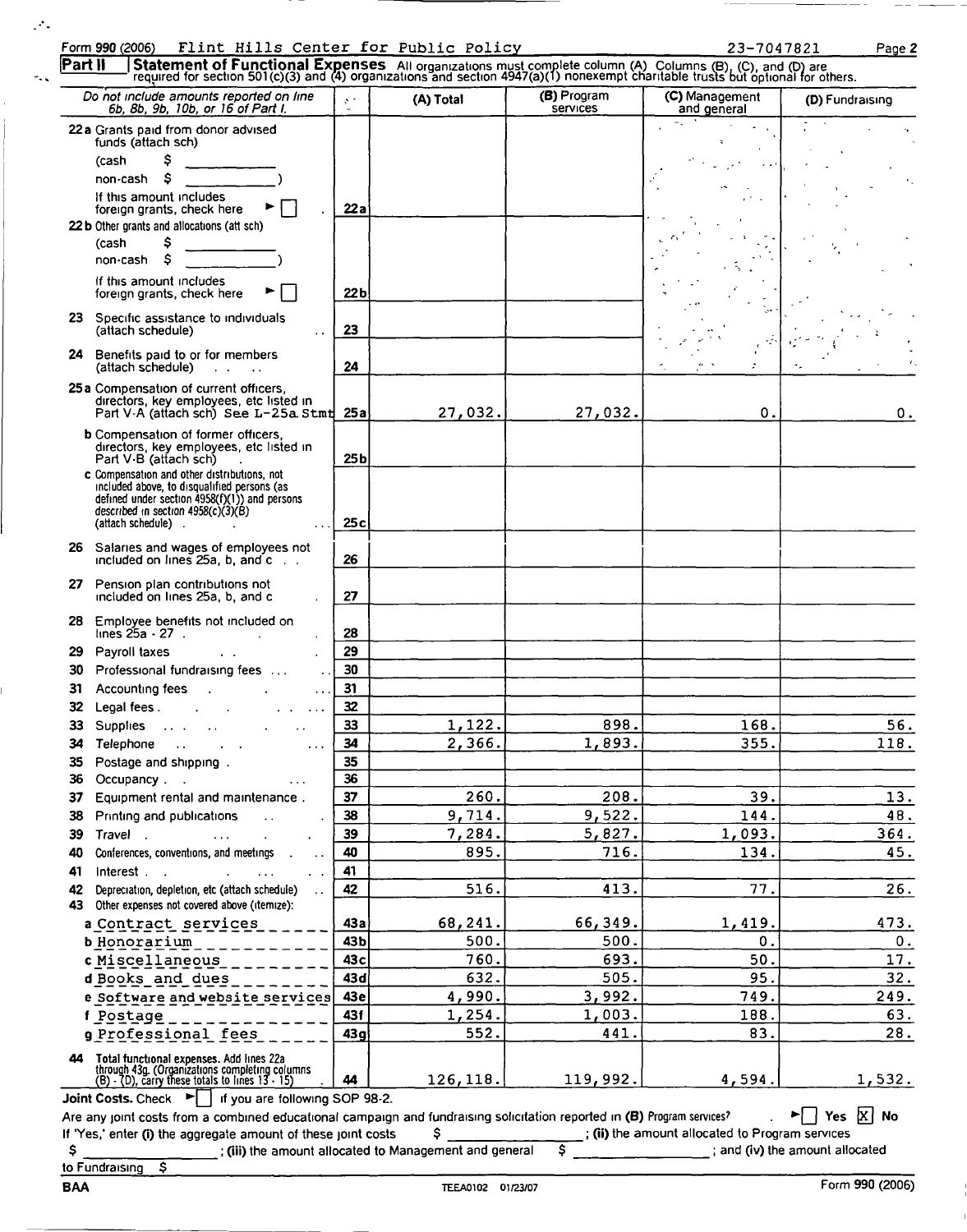|          | Do not include amounts reported on line<br>6b, 8b, 9b, 10b, or 16 of Part I.                                                                            | $\mathcal{O}^{(2)}$ | (A) Total | (B) Program<br>services                                                                                                 | (C) Management<br>and general | (D) Fundraising |
|----------|---------------------------------------------------------------------------------------------------------------------------------------------------------|---------------------|-----------|-------------------------------------------------------------------------------------------------------------------------|-------------------------------|-----------------|
|          | 22a Grants paid from donor advised                                                                                                                      |                     |           |                                                                                                                         |                               |                 |
|          | funds (attach sch)                                                                                                                                      |                     |           |                                                                                                                         |                               |                 |
|          | \$<br>(cash<br>Ŝ                                                                                                                                        |                     |           |                                                                                                                         |                               |                 |
|          | non-cash<br>If this amount includes                                                                                                                     |                     |           |                                                                                                                         |                               |                 |
|          | foreign grants, check here                                                                                                                              | 22a                 |           |                                                                                                                         |                               |                 |
|          | 22 b Other grants and allocations (att sch)                                                                                                             |                     |           |                                                                                                                         |                               |                 |
|          | \$<br>(cash                                                                                                                                             |                     |           |                                                                                                                         |                               |                 |
|          | \$<br>non-cash                                                                                                                                          |                     |           |                                                                                                                         |                               |                 |
|          | If this amount includes                                                                                                                                 | 22 <sub>b</sub>     |           |                                                                                                                         |                               |                 |
|          | foreign grants, check here                                                                                                                              |                     |           |                                                                                                                         |                               |                 |
|          | 23 Specific assistance to individuals<br>(attach schedule)                                                                                              | 23                  |           |                                                                                                                         |                               |                 |
|          | $\ddot{\phantom{a}}$                                                                                                                                    |                     |           |                                                                                                                         |                               |                 |
| 24       | Benefits paid to or for members<br>(attach schedule)<br>$\mathbf{L}$ and $\mathbf{L}$                                                                   | 24                  |           |                                                                                                                         |                               |                 |
|          | 25 a Compensation of current officers,                                                                                                                  |                     |           |                                                                                                                         |                               |                 |
|          | directors, key employees, etc listed in<br>Part V-A (attach sch) See L-25a Stmt                                                                         | 25a                 | 27,032.   | 27,032.                                                                                                                 | $\mathbf{0}$ .                | О.              |
|          | <b>b</b> Compensation of former officers,                                                                                                               |                     |           |                                                                                                                         |                               |                 |
|          | directors, key employees, etc listed in<br>Part V-B (attach sch)                                                                                        | 25 <sub>b</sub>     |           |                                                                                                                         |                               |                 |
|          | c Compensation and other distributions, not                                                                                                             |                     |           |                                                                                                                         |                               |                 |
|          | included above, to disqualified persons (as<br>defined under section $4958(f)(1)$ ) and persons                                                         |                     |           |                                                                                                                         |                               |                 |
|          | described in section $4958(c)(3)(B)$                                                                                                                    | 25c                 |           |                                                                                                                         |                               |                 |
|          | (attach schedule).                                                                                                                                      |                     |           |                                                                                                                         |                               |                 |
| 26       | Salaries and wages of employees not<br>included on lines $25a$ , b, and $c$ .                                                                           | 26                  |           |                                                                                                                         |                               |                 |
|          |                                                                                                                                                         |                     |           |                                                                                                                         |                               |                 |
| 27       | Pension plan contributions not<br>included on lines 25a, b, and c                                                                                       | 27                  |           |                                                                                                                         |                               |                 |
| 28       | Employee benefits not included on<br>lines 25a - 27 - .                                                                                                 | 28                  |           |                                                                                                                         |                               |                 |
| 29       | Payroll taxes<br>$\mathbf{r}$                                                                                                                           | 29                  |           |                                                                                                                         |                               |                 |
| 30       | Professional fundraising fees                                                                                                                           | 30                  |           |                                                                                                                         |                               |                 |
| 31       | Accounting fees                                                                                                                                         | 31                  |           |                                                                                                                         |                               |                 |
| 32       | Legal fees.                                                                                                                                             | 32                  |           |                                                                                                                         |                               |                 |
| 33       | Supplies<br>and a state of the state<br>$\mathbf{r} = \mathbf{r}$<br>$\ddot{\phantom{0}}$                                                               | 33                  | 1,122.    | 898.                                                                                                                    | 168.                          | 56.             |
| 34       | Telephone<br>$\sim$ $\sim$                                                                                                                              | 34                  | 2,366.    | 1,893.                                                                                                                  | 355.                          | 118.            |
| 35       | Postage and shipping.                                                                                                                                   | 35                  |           |                                                                                                                         |                               |                 |
| 36       | Occupancy<br>$\cdots$                                                                                                                                   | 36                  |           |                                                                                                                         |                               |                 |
| 37       | Equipment rental and maintenance.                                                                                                                       | 37                  | 260.      | 208.                                                                                                                    | 39.                           | 13.             |
| 38       | Printing and publications<br>$\ddot{\phantom{a}}$                                                                                                       | 38                  | 9,714.    | 9,522.                                                                                                                  | 144.                          | 48.             |
| 39       | Travel.<br>$\sim 100$                                                                                                                                   | 39                  | 7,284.    | 5,827.                                                                                                                  | 1,093.                        | 364.            |
| 40       | Conferences, conventions, and meetings                                                                                                                  | 40                  | 895.      | 716.                                                                                                                    | 134.                          | 45.             |
| 41       | Interest<br>$\cdots$                                                                                                                                    | 41                  |           |                                                                                                                         |                               |                 |
| 42<br>43 | Depreciation, depletion, etc (attach schedule)<br>Other expenses not covered above (itemize):                                                           | 42                  | 516.      | 413.                                                                                                                    | 77.                           | 26.             |
|          | a Contract services                                                                                                                                     | 43а                 | 68,241.   | 66,349.                                                                                                                 | 1,419.                        | 473.            |
|          | b Honorarium                                                                                                                                            | 43b                 | 500.      | 500.                                                                                                                    | О.                            | 0.              |
|          | c Miscellaneous                                                                                                                                         | 43c                 | 760.      | 693.                                                                                                                    | 50.                           | 17.             |
|          | d Books and dues                                                                                                                                        | 43d                 | 632.      | 505.                                                                                                                    | 95.                           | 32.             |
|          | e Software and website services                                                                                                                         | 43e                 | 4,990.    | 3,992.                                                                                                                  | 749.                          | 249.            |
|          | f Postage                                                                                                                                               | 43f                 | 1,254.    | 1,003.                                                                                                                  | 188.                          | 63.             |
|          | g Professional fees                                                                                                                                     | 43q                 | 552.      | 441.                                                                                                                    | 83.                           | 28.             |
|          |                                                                                                                                                         |                     |           |                                                                                                                         |                               |                 |
|          | <b>44 Total functional expenses.</b> Add lines 22a<br>through 43g. (Organizations completing columns<br>(B) - (D), carry these totals to lines 13 - 15) | 44                  | 126, 118. | 119,992.                                                                                                                | 4,594.                        | 1,532.          |
|          | <b>Joint Costs.</b> Check $\blacktriangleright$   If you are following SOP 98-2.                                                                        |                     |           |                                                                                                                         |                               |                 |
|          |                                                                                                                                                         |                     |           | Are any joint costs from a combined educational campaign and fundraising solicitation reported in (B) Program services? |                               | ⊠<br>►⊟         |

| Fundraising |  |
|-------------|--|

 $\overline{\mathfrak{s}}$ 

 $\mathcal{F}_\bullet$ 

 $\sim$ 

 $\mathbb{F}$ 

j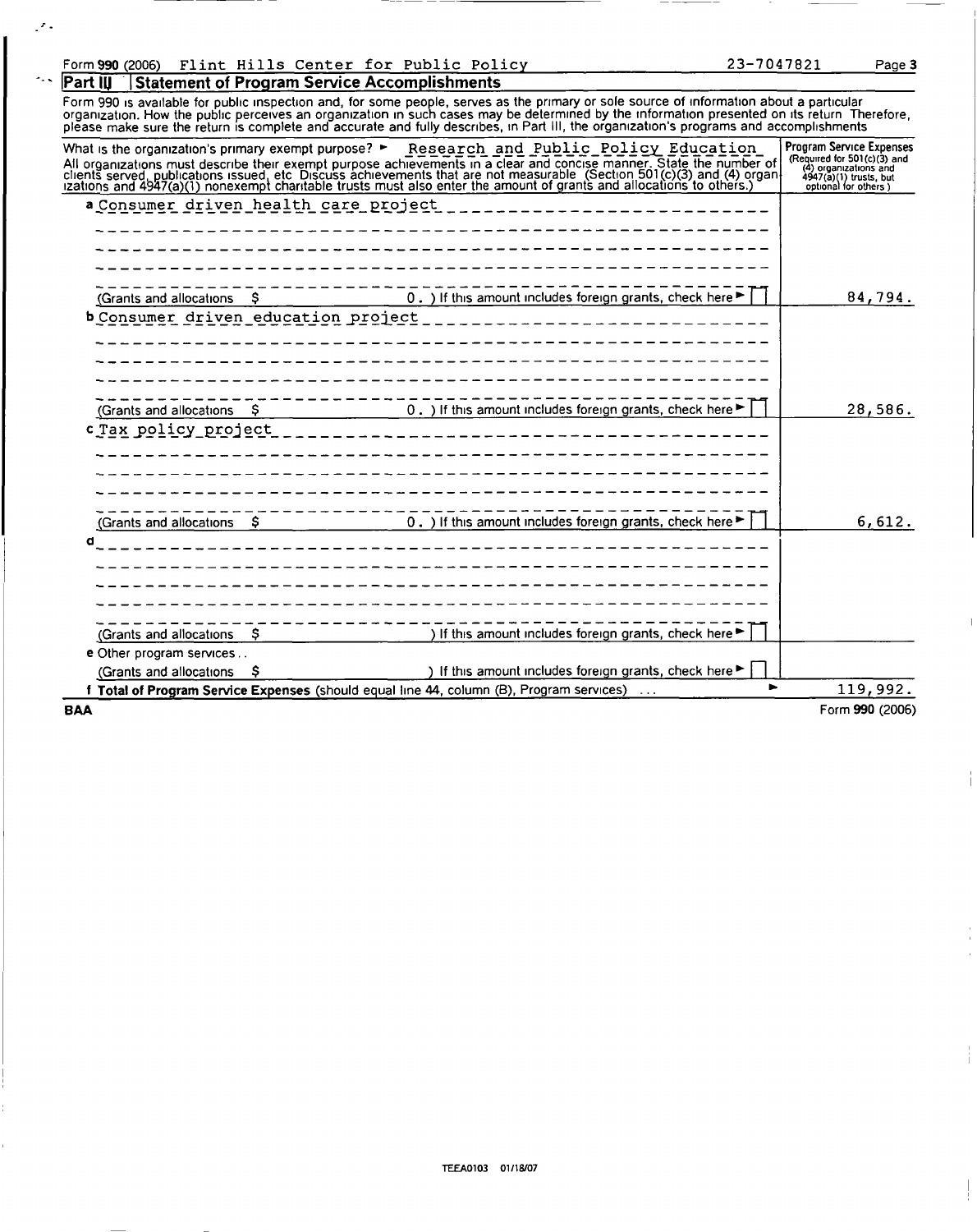## Form 990 (2006) Flint Hills Center for Public Policy 23-7047821 Page 3<br>Part III Statement of Program Service Accomplishments 2008

 $\mathcal{F}_{\mathcal{F}}$ 

 $\sim$   $\sim$ 

**Statement of Program Service Accomplishments** Form 990 is available for public inspection and, for some people, serves as the primary or sole source of information about a particular<br>organization. How the public perceives an organization in such cases may be determine

| <b>BAA</b>                                                               |    |                                                                                                                                                                                                                                   | Form 990 (2006)                                        |
|--------------------------------------------------------------------------|----|-----------------------------------------------------------------------------------------------------------------------------------------------------------------------------------------------------------------------------------|--------------------------------------------------------|
|                                                                          |    | f Total of Program Service Expenses (should equal line 44, column (B), Program services)                                                                                                                                          | 119,992.                                               |
| (Grants and allocations                                                  |    | ) If this amount includes foreign grants, check here $\blacktriangleright$                                                                                                                                                        |                                                        |
| e Other program services                                                 |    |                                                                                                                                                                                                                                   |                                                        |
| (Grants and allocations                                                  | Ş. | ) If this amount includes foreign grants, check here                                                                                                                                                                              |                                                        |
|                                                                          |    |                                                                                                                                                                                                                                   |                                                        |
| d                                                                        |    |                                                                                                                                                                                                                                   |                                                        |
| (Grants and allocations \$                                               |    | 0. ) If this amount includes foreign grants, check here $\blacktriangleright$                                                                                                                                                     | 6,612.                                                 |
| c Tax policy project                                                     |    | ________________ <b>_______</b> _____                                                                                                                                                                                             |                                                        |
| (Grants and allocations \$                                               |    | 0. ) If this amount includes foreign grants, check here                                                                                                                                                                           | 28,586.                                                |
|                                                                          |    |                                                                                                                                                                                                                                   |                                                        |
| b Consumer driven education project                                      |    |                                                                                                                                                                                                                                   |                                                        |
| (Grants and allocations                                                  | S. | 0. ) If this amount includes foreign grants, check here                                                                                                                                                                           | 84,794.                                                |
|                                                                          |    |                                                                                                                                                                                                                                   |                                                        |
| a Consumer driven health care project                                    |    |                                                                                                                                                                                                                                   |                                                        |
|                                                                          |    |                                                                                                                                                                                                                                   | $4947(a)(1)$ trusts, but<br>optional for others)       |
|                                                                          |    | All organizations must describe their exempt purpose achievements in a clear and concise manner. State the number of<br>clients served, publications issued, etc. Discuss achievements that are not measurable. (Section 501(c)(3 | (Required for $501(c)(3)$ and<br>(4) organizations and |
| What is the organization's primary exempt purpose? $\blacktriangleright$ |    | Research and Public Policy Education                                                                                                                                                                                              | <b>Program Service Expenses</b>                        |

TEEA0103 01/18/07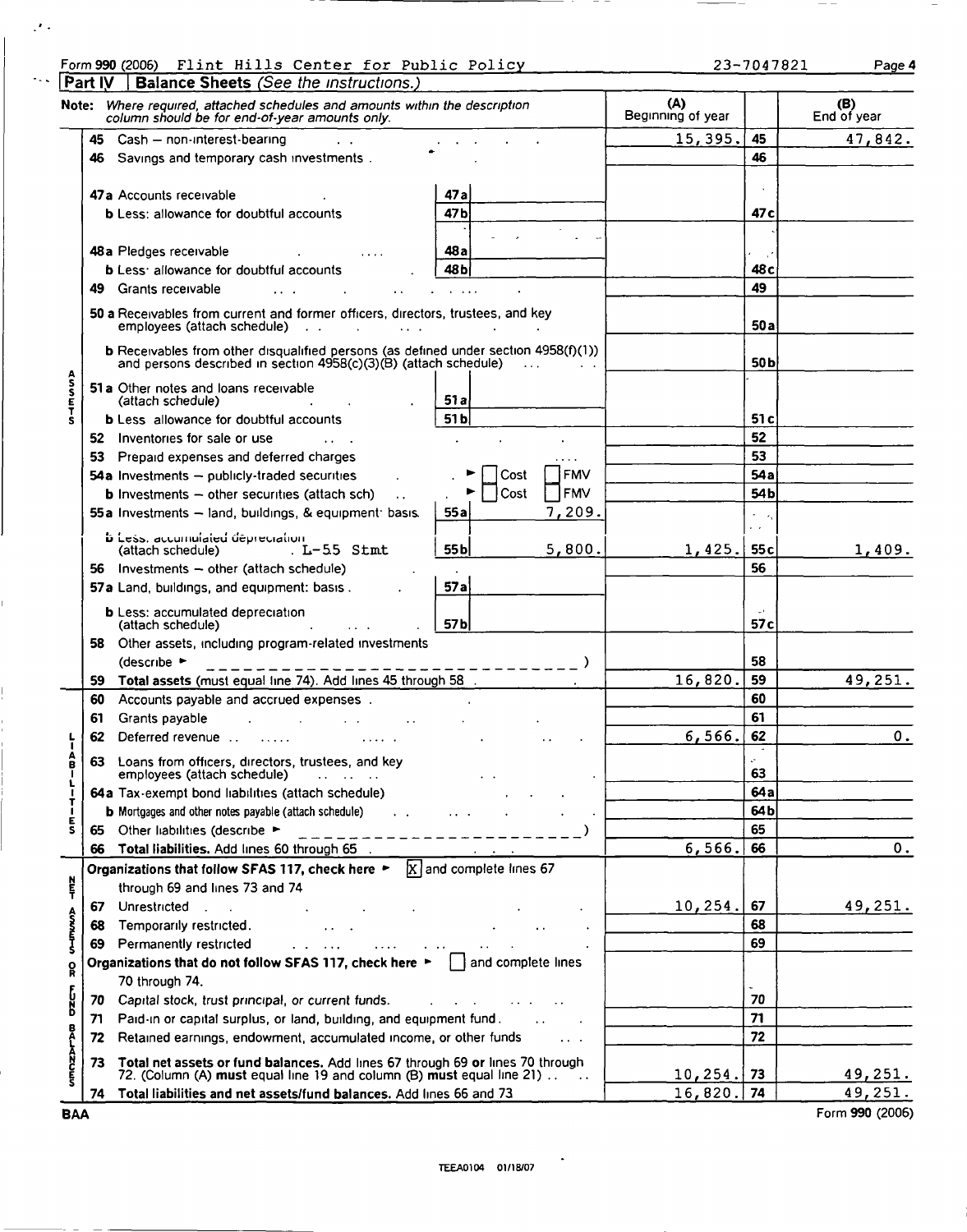| Form 990 (2006)                                                                         |  | Flint Hills Center for Public Policy |  | 23-7047821 | Page 4 |
|-----------------------------------------------------------------------------------------|--|--------------------------------------|--|------------|--------|
| $\mathbf{R}$ . $\mathbf{R}$ , $\mathbf{R}$ , $\mathbf{R}$ , $\mathbf{R}$ , $\mathbf{R}$ |  |                                      |  |            |        |

 $\mathcal{F}$  .

|                 | Part IV | <b>Balance Sheets</b> (See the instructions.)                                                                                                           |                 |                           |      |               |                          |                         |                    |
|-----------------|---------|---------------------------------------------------------------------------------------------------------------------------------------------------------|-----------------|---------------------------|------|---------------|--------------------------|-------------------------|--------------------|
| Note:           |         | Where required, attached schedules and amounts within the description<br>column should be for end-of-year amounts only.                                 |                 |                           |      |               | (A)<br>Beginning of year |                         | (B)<br>End of year |
|                 |         | 45 Cash - non-interest-bearing                                                                                                                          |                 |                           |      |               | 15,395.                  | 45                      | 47,842.            |
|                 | 46      | Savings and temporary cash investments.                                                                                                                 |                 |                           | 46   |               |                          |                         |                    |
|                 |         |                                                                                                                                                         |                 |                           |      |               |                          |                         |                    |
|                 |         | 47a Accounts receivable                                                                                                                                 | 47 a            |                           |      |               |                          |                         |                    |
|                 |         | <b>b</b> Less: allowance for doubtful accounts                                                                                                          | 47 <sub>b</sub> |                           |      |               |                          | 47 c                    |                    |
|                 |         |                                                                                                                                                         |                 |                           |      |               |                          |                         |                    |
|                 |         | 48a Pledges receivable                                                                                                                                  | 48 a            |                           |      |               |                          |                         |                    |
|                 |         | <b>b</b> Less: allowance for doubtful accounts                                                                                                          | 48 <sub>b</sub> |                           |      |               |                          | 48 c                    |                    |
|                 | 49.     | Grants receivable                                                                                                                                       |                 |                           |      |               |                          | 49                      |                    |
|                 |         | 50 a Receivables from current and former officers, directors, trustees, and key<br>$\cdots$                                                             |                 |                           |      |               |                          | 50 a                    |                    |
|                 |         | b Receivables from other disqualified persons (as defined under section 4958(f)(1))<br>and persons described in section 4958(c)(3)(B) (attach schedule) |                 |                           |      |               |                          | 50 <sub>b</sub>         |                    |
| <b>ASSETS</b>   |         | 51 a Other notes and loans receivable                                                                                                                   |                 |                           |      |               |                          |                         |                    |
|                 |         | (attach schedule)                                                                                                                                       | 51a             |                           |      |               |                          |                         |                    |
|                 |         | <b>b</b> Less allowance for doubtful accounts                                                                                                           | 51 bl           |                           |      |               |                          | 51 c                    |                    |
|                 |         | 52 Inventories for sale or use                                                                                                                          |                 |                           |      |               |                          | 52                      |                    |
|                 |         | 53 Prepaid expenses and deferred charges                                                                                                                |                 |                           |      |               |                          | 53                      |                    |
|                 |         | 54a Investments $-$ publicly-traded securities                                                                                                          |                 |                           | Cost | <b>FMV</b>    |                          | 54 a                    |                    |
|                 |         | <b>b</b> Investments $-$ other securities (attach sch)                                                                                                  |                 | Cost                      |      | <b>FMV</b>    |                          | 54 b                    |                    |
|                 |         | 55a Investments - land, buildings, & equipment basis.                                                                                                   | 55 a            |                           |      | 7,209.        |                          |                         |                    |
|                 |         |                                                                                                                                                         |                 |                           |      |               |                          | $\epsilon$              |                    |
|                 |         | <b>b</b> Less, accumulated depreciation<br>$.L-55$ Stmt<br>(attach schedule)                                                                            | 55 <sub>b</sub> |                           |      | 5,800.        | 1,425.                   | 55 <sub>c</sub>         | 1,409.             |
|                 | 56      | Investments - other (attach schedule)                                                                                                                   |                 |                           |      |               |                          | 56                      |                    |
|                 |         | 57a Land, buildings, and equipment: basis.                                                                                                              | 57a             |                           |      |               |                          |                         |                    |
|                 |         |                                                                                                                                                         |                 |                           |      |               |                          |                         |                    |
|                 |         | <b>b</b> Less: accumulated depreciation<br>(attach schedule)                                                                                            | 57 <sub>b</sub> |                           |      |               |                          | $-1$<br>57 <sub>c</sub> |                    |
|                 |         | 58 Other assets, including program-related investments                                                                                                  |                 |                           |      |               |                          |                         |                    |
|                 |         | (describe ►                                                                                                                                             |                 |                           |      |               |                          | 58                      |                    |
|                 | 59      | Total assets (must equal line 74). Add lines 45 through 58 .                                                                                            |                 |                           |      |               | 16,820                   | 59                      | 49,251.            |
|                 | 60      | Accounts payable and accrued expenses.                                                                                                                  |                 |                           |      |               |                          | 60                      |                    |
|                 | 61      | Grants payable<br>the contract of the contract of the                                                                                                   |                 |                           |      |               |                          | 61                      |                    |
|                 | 62      | Deferred revenue                                                                                                                                        |                 |                           |      |               | 6,566.                   | 62                      | 0.                 |
|                 |         |                                                                                                                                                         |                 |                           |      |               |                          |                         |                    |
| Å               | 63      | Loans from officers, directors, trustees, and key<br>employees (attach schedule)                                                                        |                 |                           |      |               |                          | ò.<br>63                |                    |
|                 |         | 64a Tax-exempt bond liabilities (attach schedule)                                                                                                       |                 |                           |      |               |                          | 64 a                    |                    |
|                 |         | <b>b</b> Mortgages and other notes payable (attach schedule)<br>$\sim 10$                                                                               |                 |                           |      |               |                          | 64b                     |                    |
| Ė<br>S          | 65      | Other liabilities (describe ►                                                                                                                           |                 |                           |      |               |                          | 65                      |                    |
|                 | 66      | -----------<br>Total liabilities. Add lines 60 through 65 .                                                                                             |                 |                           |      |               | 6,566.                   | 66                      | 0.                 |
|                 |         | Organizations that follow SFAS 117, check here ►                                                                                                        |                 | $X$ and complete lines 67 |      |               |                          |                         |                    |
| 집구              |         | through 69 and lines 73 and 74                                                                                                                          |                 |                           |      |               |                          |                         |                    |
|                 | 67      | Unrestricted .<br><b>Contract Contract</b>                                                                                                              |                 |                           |      |               | 10,254.                  | 67                      | 49,251.            |
|                 | 68      | Temporarily restricted.                                                                                                                                 |                 |                           |      |               |                          | 68                      |                    |
| <b>A-STROND</b> | 69      | Permanently restricted                                                                                                                                  |                 |                           |      |               |                          | 69                      |                    |
|                 |         | Organizations that do not follow SFAS 117, check here $\blacktriangleright$                                                                             |                 | and complete lines        |      |               |                          |                         |                    |
| ខ្ព             |         | 70 through 74.                                                                                                                                          |                 |                           |      |               |                          |                         |                    |
|                 | 70      | Capital stock, trust principal, or current funds.                                                                                                       |                 |                           |      |               |                          | 70                      |                    |
| ل<br>الإ        |         | Paid-in or capital surplus, or land, building, and equipment fund.                                                                                      |                 |                           |      |               |                          | 71                      |                    |
|                 | 71      |                                                                                                                                                         |                 |                           |      |               |                          | 72                      |                    |
|                 | 72      | Retained earnings, endowment, accumulated income, or other funds                                                                                        |                 |                           |      |               |                          |                         |                    |
| <b>DESPLAND</b> | 73      | Total net assets or fund balances. Add lines 67 through 69 or lines 70 through 72. (Column (A) must equal line 19 and column (B) must equal line 21).   |                 |                           |      | $\sim$ $\sim$ | 10, 254.                 | 73                      | 49,251.            |
|                 | 74      | Total liabilities and net assets/fund balances. Add lines 66 and 73                                                                                     |                 |                           |      |               | 16,820.                  | 74                      | 49,251.            |
|                 |         |                                                                                                                                                         |                 |                           |      |               |                          |                         |                    |

BAA Form 990 (2006)

TEEA0104 01/18/07

 $\cdot$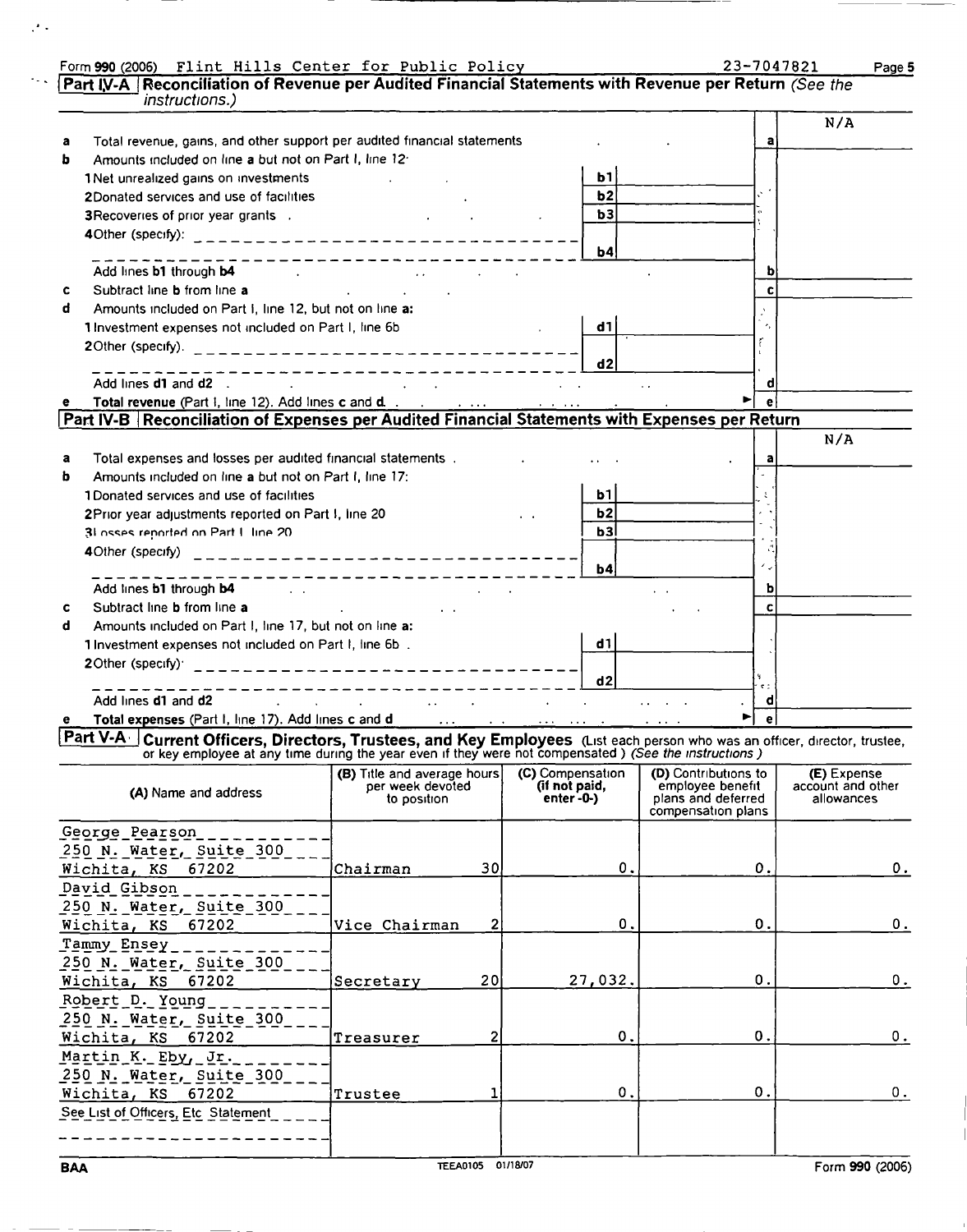| Part IV-A   Reconciliation of Revenue per Audited Financial Statements with Revenue per Return (See the                                                                                                                                  | Form 990 (2006) Flint Hills Center for Public Policy      |    |                  |               |                                          |    | Page 5            |
|------------------------------------------------------------------------------------------------------------------------------------------------------------------------------------------------------------------------------------------|-----------------------------------------------------------|----|------------------|---------------|------------------------------------------|----|-------------------|
| <i>instructions.)</i>                                                                                                                                                                                                                    |                                                           |    |                  |               |                                          |    |                   |
|                                                                                                                                                                                                                                          |                                                           |    |                  |               |                                          |    | N/A               |
| Total revenue, gains, and other support per audited financial statements<br>а                                                                                                                                                            |                                                           |    |                  |               |                                          | a  |                   |
| Amounts included on line a but not on Part I, line 12:<br>b                                                                                                                                                                              |                                                           |    |                  |               |                                          |    |                   |
| 1 Net unrealized gains on investments                                                                                                                                                                                                    | and the state of the state of                             |    |                  | ь1            |                                          |    |                   |
| 2Donated services and use of facilities                                                                                                                                                                                                  |                                                           |    |                  | b2            |                                          |    |                   |
| 3 Recoveries of prior year grants .                                                                                                                                                                                                      |                                                           |    |                  | b3            |                                          |    |                   |
|                                                                                                                                                                                                                                          |                                                           |    |                  | <b>b4</b>     |                                          |    |                   |
| Add lines <b>b1</b> through <b>b4</b> and the contract of the contract of the contract of the contract of the contract of the contract of the contract of the contract of the contract of the contract of the contract of the contract o | -----------------                                         |    |                  |               |                                          | b  |                   |
| Subtract line <b>b</b> from line a<br>c                                                                                                                                                                                                  | the control of the control of the con-                    |    |                  |               |                                          | c  |                   |
| Amounts included on Part i, line 12, but not on line a:<br>d                                                                                                                                                                             |                                                           |    |                  |               |                                          |    |                   |
| 1 Investment expenses not included on Part I, line 6b                                                                                                                                                                                    |                                                           |    |                  | d1            |                                          |    |                   |
|                                                                                                                                                                                                                                          |                                                           |    |                  |               |                                          |    |                   |
|                                                                                                                                                                                                                                          |                                                           |    |                  | d2            |                                          |    |                   |
| Add lines <b>d1</b> and <b>d2</b> .<br><b>Contract</b>                                                                                                                                                                                   | --------------------------<br>and the company of the com- |    |                  |               |                                          | d  |                   |
|                                                                                                                                                                                                                                          |                                                           |    |                  |               |                                          |    |                   |
| Part IV-B Reconciliation of Expenses per Audited Financial Statements with Expenses per Return                                                                                                                                           |                                                           |    |                  |               |                                          |    |                   |
|                                                                                                                                                                                                                                          |                                                           |    |                  |               |                                          |    |                   |
|                                                                                                                                                                                                                                          |                                                           |    |                  |               |                                          |    | N/A               |
| Total expenses and losses per audited financial statements.<br>a                                                                                                                                                                         |                                                           |    |                  |               |                                          | a  |                   |
| Amounts included on line a but not on Part I. line 17:<br>ь                                                                                                                                                                              |                                                           |    |                  |               |                                          |    |                   |
| 1Donated services and use of facilities                                                                                                                                                                                                  |                                                           |    |                  | b1            |                                          |    |                   |
| 2Prior year adjustments reported on Part I, line 20                                                                                                                                                                                      |                                                           |    |                  | b2l           |                                          |    |                   |
| 31 osses reported on Part L line 20                                                                                                                                                                                                      |                                                           |    |                  | b3            |                                          |    |                   |
|                                                                                                                                                                                                                                          |                                                           |    |                  |               |                                          |    |                   |
|                                                                                                                                                                                                                                          | ------------------                                        |    |                  | $\mathbf{b}$  |                                          |    |                   |
| Add lines <b>b1</b> through <b>b4</b> and the set of the set of the set of the set of the set of the set of the set of the set of the set of the set of the set of the set of the set of the set of the set of the set of the set of the |                                                           |    |                  |               |                                          | b  |                   |
| Subtract line b from line a<br><b>Contract Contract</b><br>с                                                                                                                                                                             | <b>Contract Contract</b>                                  |    |                  |               |                                          | c  |                   |
| Amounts included on Part I, line 17, but not on line a:<br>d                                                                                                                                                                             |                                                           |    |                  |               |                                          |    |                   |
| 1 Investment expenses not included on Part I, line 6b.                                                                                                                                                                                   |                                                           |    |                  | d1            |                                          |    |                   |
| 20ther (specify) $20$                                                                                                                                                                                                                    |                                                           |    |                  |               |                                          |    |                   |
|                                                                                                                                                                                                                                          |                                                           |    |                  | d2            |                                          |    |                   |
| Add lines d1 and d2<br>the control of the control of the                                                                                                                                                                                 | the control of the control of the control of the          |    |                  |               |                                          | d  |                   |
| Total expenses (Part I, line 17). Add lines c and d with the state of the state of the state of the state of the state of the state of the state of the state of the state of the state of the state of the state of the state           |                                                           |    |                  |               |                                          |    |                   |
| Part V-A Current Officers, Directors, Trustees, and Key Employees (List each person who was an officer, director, trustee,                                                                                                               |                                                           |    |                  |               |                                          |    |                   |
| or key employee at any time during the year even if they were not compensated) (See the instructions)                                                                                                                                    | (B) Title and average hours                               |    | (C) Compensation |               | <b>(D)</b> Contributions to              |    | (E) Expense       |
| (A) Name and address                                                                                                                                                                                                                     | per week devoted                                          |    | (if not paid,    |               | employee benefit                         |    | account and other |
|                                                                                                                                                                                                                                          | to position                                               |    | $enter - 0$      |               | plans and deferred<br>compensation plans |    | allowances        |
|                                                                                                                                                                                                                                          |                                                           |    |                  |               |                                          |    |                   |
| George Pearson                                                                                                                                                                                                                           |                                                           |    |                  |               |                                          |    |                   |
| 250 N. Water, Suite 300                                                                                                                                                                                                                  |                                                           |    |                  |               |                                          |    |                   |
| Wichita, KS 67202                                                                                                                                                                                                                        | Chairman                                                  | 30 |                  | 0.            |                                          | 0. |                   |
| David Gibson                                                                                                                                                                                                                             |                                                           |    |                  |               |                                          |    |                   |
| 250 N. Water, Suite 300                                                                                                                                                                                                                  |                                                           |    |                  |               |                                          |    |                   |
| Wichita, KS 67202                                                                                                                                                                                                                        | Vice Chairman                                             | 2  |                  | 0.            |                                          | 0. |                   |
| Tammy Ensey                                                                                                                                                                                                                              |                                                           |    |                  |               |                                          |    |                   |
| 250 N. Water, Suite 300                                                                                                                                                                                                                  |                                                           |    |                  |               |                                          |    |                   |
| Wichita, KS 67202                                                                                                                                                                                                                        | Secretary                                                 | 20 |                  | 27,032.       |                                          | О. |                   |
| Robert D. Young                                                                                                                                                                                                                          |                                                           |    |                  |               |                                          |    |                   |
|                                                                                                                                                                                                                                          |                                                           |    |                  |               |                                          |    |                   |
| 250 N. Water, Suite 300                                                                                                                                                                                                                  |                                                           |    |                  |               |                                          |    | 0.                |
| Wichita, KS 67202                                                                                                                                                                                                                        | Treasurer                                                 |    |                  | $\mathbf 0$ . |                                          | 0. |                   |

Wichita , KS 67202 Trustee <sup>1</sup> 0. 0. 0.

 $\mathcal{F}$  .

Martin<sub>-</sub>K. Eby, Jr. - - - - - - -250 N. Water, Suite 300<br>Wichita Ko 67303

See List of Officers, Etc Statement \_ \_ \_ \_ \_ ----------------------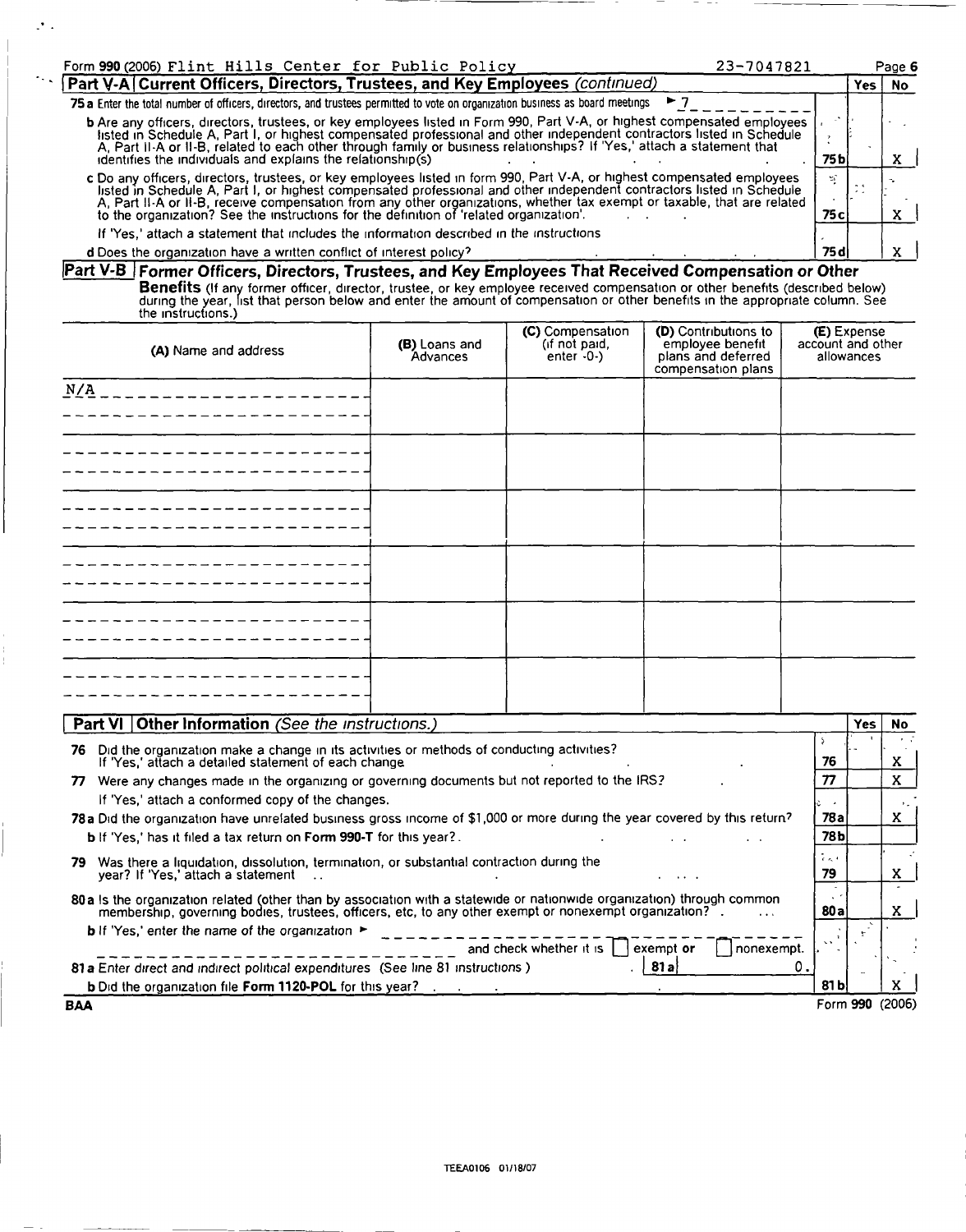| Form 990 (2006) Flint Hills Center for Public Policy                                                                                                                                                                                                                                                                                                                                                                                                                     | 23-7047821 |              |  | Page 6 |  |
|--------------------------------------------------------------------------------------------------------------------------------------------------------------------------------------------------------------------------------------------------------------------------------------------------------------------------------------------------------------------------------------------------------------------------------------------------------------------------|------------|--------------|--|--------|--|
| Part V-A Current Officers, Directors, Trustees, and Key Employees (continued)                                                                                                                                                                                                                                                                                                                                                                                            |            |              |  |        |  |
| 75 a Enter the total number of officers, directors, and trustees permitted to vote on organization business as board meetings                                                                                                                                                                                                                                                                                                                                            |            |              |  |        |  |
| b Are any officers, directors, trustees, or key employees listed in Form 990, Part V-A, or highest compensated employees<br>Isted in Schedule A, Part I, or highest compensated professional and other independent contractors listed in Schedule<br>A, Part II-A or II-B, related to each other through family or business relationships? If 'Yes,' attach a statement that<br>identifies the individuals and explains the relationship(s)                              |            | 75 b I       |  |        |  |
| c Do any officers, directors, trustees, or key employees listed in form 990, Part V-A, or highest compensated employees<br>listed in Schedule A, Part I, or highest compensated professional and other independent contractors listed in Schedule<br>A, Part II-A or II-B, receive compensation from any other organizations, whether tax exempt or taxable, that are related<br>to the organization? See the instructions for the definition of 'related organization'. |            | zî.<br>75 cl |  |        |  |
| If 'Yes,' attach a statement that includes the information described in the instructions                                                                                                                                                                                                                                                                                                                                                                                 |            |              |  |        |  |
| <b>d</b> Does the organization have a written conflict of interest policy?                                                                                                                                                                                                                                                                                                                                                                                               |            | 75 di        |  |        |  |

 $\mathcal{F}$  .

 $\ddotsc$ 

Part V-B]Former Officers, Directors, Trustees, and Key Employees That Received Compensation or Other **Benetits** (If any former officer, director, trustee, or key employee received compensation or other benefits (described below)<br>during the year, list that person below and enter the amount of compensation or other benefits

| (A) Name and address | (B) Loans and<br>Advances | (C) Compensation<br>$($ if not paid,<br>enter $-0$ - $)$ | <b>(D)</b> Contributions to<br>employee benefit<br>plans and deferred<br>compensation plans | <b>(E)</b> Expense<br>account and other<br>allowances |
|----------------------|---------------------------|----------------------------------------------------------|---------------------------------------------------------------------------------------------|-------------------------------------------------------|
| N/A                  |                           |                                                          |                                                                                             |                                                       |
|                      |                           |                                                          |                                                                                             |                                                       |
|                      |                           |                                                          |                                                                                             |                                                       |
|                      |                           |                                                          |                                                                                             |                                                       |
|                      |                           |                                                          |                                                                                             |                                                       |
|                      |                           |                                                          |                                                                                             |                                                       |

| Part VI   Other Information (See the instructions.)                                                                                                                                                                                |                      | <b>Yes</b>      | No. |
|------------------------------------------------------------------------------------------------------------------------------------------------------------------------------------------------------------------------------------|----------------------|-----------------|-----|
| Did the organization make a change in its activities or methods of conducting activities?<br>76<br>If 'Yes,' attach a detailed statement of each change.                                                                           | 76                   |                 | x   |
| Were any changes made in the organizing or governing documents but not reported to the IRS?<br>77                                                                                                                                  | 77                   |                 | x   |
| If 'Yes,' attach a conformed copy of the changes.                                                                                                                                                                                  |                      |                 |     |
| 78a Did the organization have unrelated business gross income of \$1,000 or more during the year covered by this return?                                                                                                           | 78 a                 |                 | x   |
| <b>b</b> If 'Yes,' has it filed a tax return on Form 990-T for this year?.                                                                                                                                                         | 78Ы                  |                 |     |
| Was there a liquidation, dissolution, termination, or substantial contraction during the<br>79<br>year? If 'Yes,' attach a statement<br>$\cdots$                                                                                   | $\epsilon < 1$<br>79 |                 | x   |
| 80 a Is the organization related (other than by association with a statewide or nationwide organization) through common<br>membership, governing bodies, trustees, officers, etc, to any other exempt or nonexempt organization? . | 80 a                 |                 | x   |
| <b>b</b> If 'Yes,' enter the name of the organization $\blacktriangleright$<br>and check whether it is  <br>exempt or<br>nonexempt.                                                                                                | $\sim$               |                 |     |
| <b>81al</b><br>81 a Enter direct and indirect political expenditures (See line 81 instructions)                                                                                                                                    |                      | $\sim$          |     |
| b Did the organization file Form 1120-POL for this year?                                                                                                                                                                           | 81 bl                |                 |     |
| <b>BAA</b>                                                                                                                                                                                                                         |                      | Form 990 (2006) |     |

TE&no106 01/18/07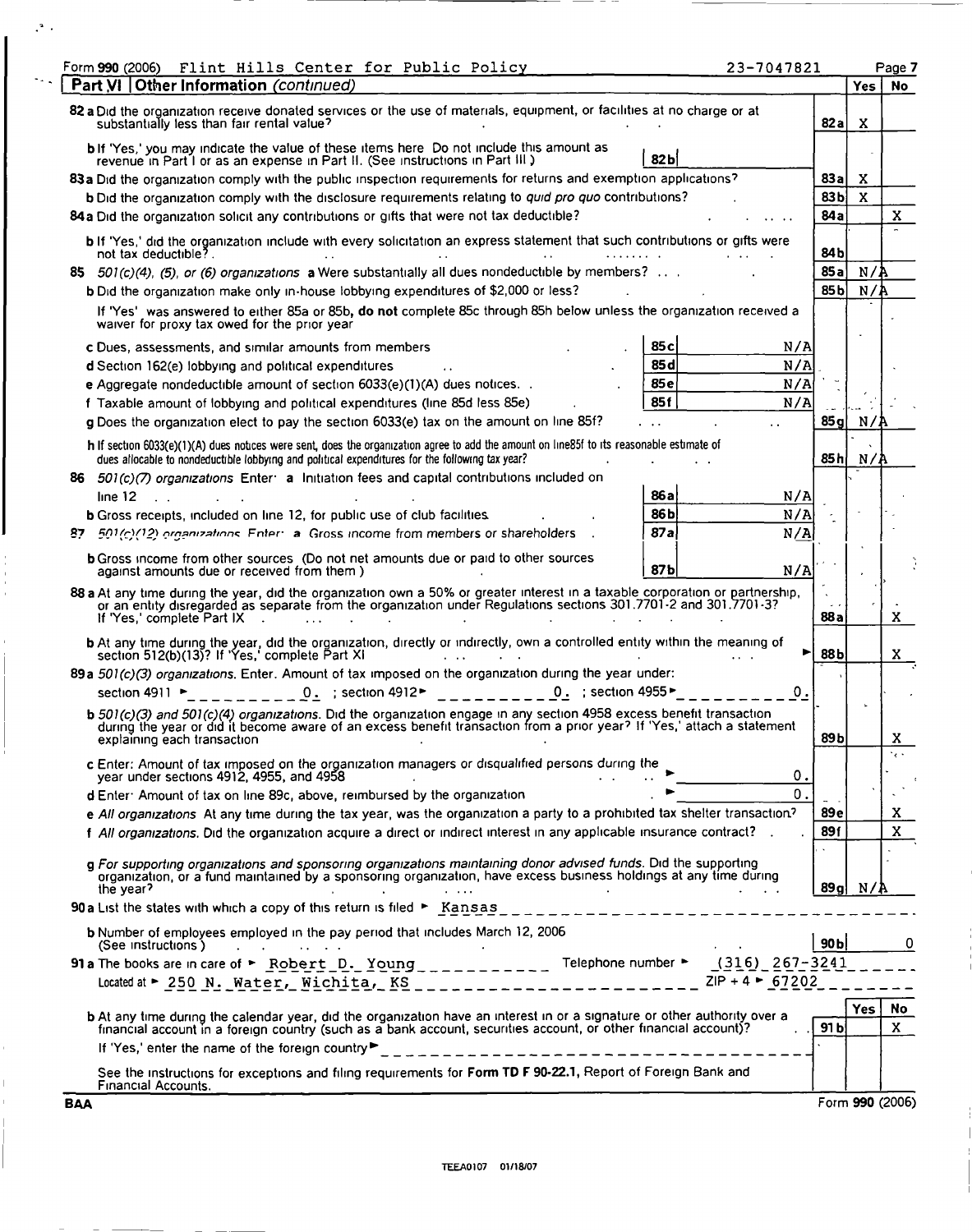| Flint Hills Center for Public Policy<br>Form 990 (2006)                                                                                                                                                                                                                                                        | 23-7047821                       |                 |              | Page 7          |
|----------------------------------------------------------------------------------------------------------------------------------------------------------------------------------------------------------------------------------------------------------------------------------------------------------------|----------------------------------|-----------------|--------------|-----------------|
| Part VI   Other Information (continued)                                                                                                                                                                                                                                                                        |                                  |                 | Yes.         | <b>No</b>       |
| 82 a Did the organization receive donated services or the use of materials, equipment, or facilities at no charge or at<br>substantially less than fair rental value?                                                                                                                                          |                                  | 82 a            | x            |                 |
| <b>b</b> If 'Yes,' you may indicate the value of these items here Do not include this amount as                                                                                                                                                                                                                |                                  |                 |              |                 |
| revenue in Part I or as an expense in Part II. (See instructions in Part III.)                                                                                                                                                                                                                                 | 82bl                             |                 |              |                 |
| 83 a Did the organization comply with the public inspection requirements for returns and exemption applications?                                                                                                                                                                                               |                                  | 83a             | x            |                 |
| b Did the organization comply with the disclosure requirements relating to quid pro quo contributions?                                                                                                                                                                                                         |                                  | 83 <sub>b</sub> | $\mathbf{x}$ |                 |
| 84 a Did the organization solicit any contributions or gifts that were not tax deductible?                                                                                                                                                                                                                     |                                  | 84 a            |              | X               |
| b If 'Yes,' did the organization include with every solicitation an express statement that such contributions or gifts were<br>not tax deductible?.                                                                                                                                                            |                                  | 84 b            |              |                 |
| 85 $501(c)(4)$ , (5), or (6) organizations a Were substantially all dues nondeductible by members?                                                                                                                                                                                                             |                                  | 85a             | N/2          |                 |
| <b>b</b> Did the organization make only in-house lobbying expenditures of \$2,000 or less?                                                                                                                                                                                                                     |                                  | 85 b            | N/           |                 |
| If 'Yes' was answered to either 85a or 85b, do not complete 85c through 85h below unless the organization received a<br>waiver for proxy tax owed for the prior year                                                                                                                                           |                                  |                 |              |                 |
| c Dues, assessments, and similar amounts from members                                                                                                                                                                                                                                                          | 85 с<br>N/A                      |                 |              |                 |
| d Section 162(e) lobbying and political expenditures                                                                                                                                                                                                                                                           | 85 d<br>N/A                      |                 |              |                 |
| <b>e</b> Aggregate nondeductible amount of section $6033(e)(1)(A)$ dues notices                                                                                                                                                                                                                                | 85e<br>N/A                       |                 |              |                 |
| f Taxable amount of lobbying and political expenditures (line 85d less 85e)                                                                                                                                                                                                                                    | 85f<br>N/A                       |                 |              |                 |
| g Does the organization elect to pay the section 6033(e) tax on the amount on line 85f?                                                                                                                                                                                                                        |                                  | 85 g            | N/P          |                 |
| h If section 6033(e)(1)(A) dues notices were sent, does the organization agree to add the amount on line85f to its reasonable estimate of<br>dues allocable to nondeductible lobbying and political expenditures for the following tax year?                                                                   |                                  | 85 h            | N/F          |                 |
| 86                                                                                                                                                                                                                                                                                                             |                                  |                 |              |                 |
| $501(c)(7)$ organizations Enter a Initiation fees and capital contributions included on<br>line 12                                                                                                                                                                                                             | 86 a<br>N/A                      |                 |              |                 |
|                                                                                                                                                                                                                                                                                                                | 86 b<br>N/A                      |                 |              |                 |
| <b>b</b> Gross receipts, included on line 12, for public use of club facilities.<br>501(c)(12) organizations. Enter: a Gross income from members or shareholders                                                                                                                                               | 87a<br>N/A                       |                 |              |                 |
| 87                                                                                                                                                                                                                                                                                                             |                                  |                 |              |                 |
| <b>b</b> Gross income from other sources (Do not net amounts due or paid to other sources<br>against amounts due or received from them.)                                                                                                                                                                       | 87b<br>N/A                       |                 |              |                 |
| 88 a At any time during the year, did the organization own a 50% or greater interest in a taxable corporation or partnership, or an entity disregarded as separate from the organization under Regulations sections 301.7701-2<br>If 'Yes,' complete Part IX                                                   |                                  | 88 a            |              | x               |
| b At any time during the year, did the organization, directly or indirectly, own a controlled entity within the meaning of<br>section 512(b)(13)? If 'Yes,' complete Part XI                                                                                                                                   | ►                                | 88 b            |              | X.              |
| 89a 501(c)(3) organizations. Enter. Amount of tax imposed on the organization during the year under:                                                                                                                                                                                                           |                                  |                 |              |                 |
| $0.$ ; section 4912 $\blacktriangleright$<br>0. $\pm$ section 4955<br>section 4911 ►                                                                                                                                                                                                                           | о.                               |                 |              |                 |
| b 501(c)(3) and 501(c)(4) organizations. Did the organization engage in any section 4958 excess benefit transaction<br>during the year or did it become aware of an excess benefit transaction from a prior year? If 'Yes,' attach a statement<br>explaining each transaction                                  |                                  | 89 b            |              | x               |
| c Enter: Amount of tax imposed on the organization managers or disqualified persons during the                                                                                                                                                                                                                 |                                  |                 |              | $\cdot$         |
| vear under sections 4912, 4955, and 4958                                                                                                                                                                                                                                                                       | 0.                               |                 |              |                 |
| d Enter: Amount of tax on line 89c, above, reimbursed by the organization                                                                                                                                                                                                                                      | 0.                               |                 |              |                 |
| e All organizations At any time during the tax year, was the organization a party to a prohibited tax shelter transaction?                                                                                                                                                                                     |                                  | 89 e            |              | x               |
| f All organizations. Did the organization acquire a direct or indirect interest in any applicable insurance contract?                                                                                                                                                                                          |                                  | 89f             |              | $\mathbf x$     |
|                                                                                                                                                                                                                                                                                                                |                                  |                 |              |                 |
| g For supporting organizations and sponsoring organizations maintaining donor advised funds. Did the supporting<br>organization, or a fund maintained by a sponsoring organization, have excess business holdings at any time during<br>the year?<br>the company of the state of the state                     |                                  | 89 al           | N/A          |                 |
| <b>90a</b> List the states with which a copy of this return is filed $\blacktriangleright$ Kansas                                                                                                                                                                                                              |                                  |                 |              |                 |
| b Number of employees employed in the pay period that includes March 12, 2006                                                                                                                                                                                                                                  |                                  |                 |              |                 |
| (See instructions)<br>and the company of the company of the company of                                                                                                                                                                                                                                         |                                  | 90 <sub>b</sub> |              | 0               |
| 91 a The books are in care of $\triangleright$ Robert D. Young ___________<br>Telephone number ►                                                                                                                                                                                                               | (316) 267-3241                   |                 |              |                 |
|                                                                                                                                                                                                                                                                                                                | $ZIP + 4$ $\triangleright$ 67202 |                 |              |                 |
|                                                                                                                                                                                                                                                                                                                |                                  |                 | Yes          | No              |
| <b>b</b> At any time during the calendar year, did the organization have an interest in or a signature or other authority over a financial account in a foreign country (such as a bank account, securities account, or other finan<br>If 'Yes,' enter the name of the foreign country<br>-------------------- |                                  | 91 <sub>b</sub> |              | X               |
| See the instructions for exceptions and filing requirements for Form TD F 90-22.1, Report of Foreign Bank and<br>Financial Accounts.                                                                                                                                                                           |                                  |                 |              |                 |
| BAA                                                                                                                                                                                                                                                                                                            |                                  |                 |              | Form 990 (2006) |

 $\mathbb{R}^2$  .

 $\sim$  .

J

 $\frac{1}{3}$  $\bar{1}$ 

 $\mathbf{I}$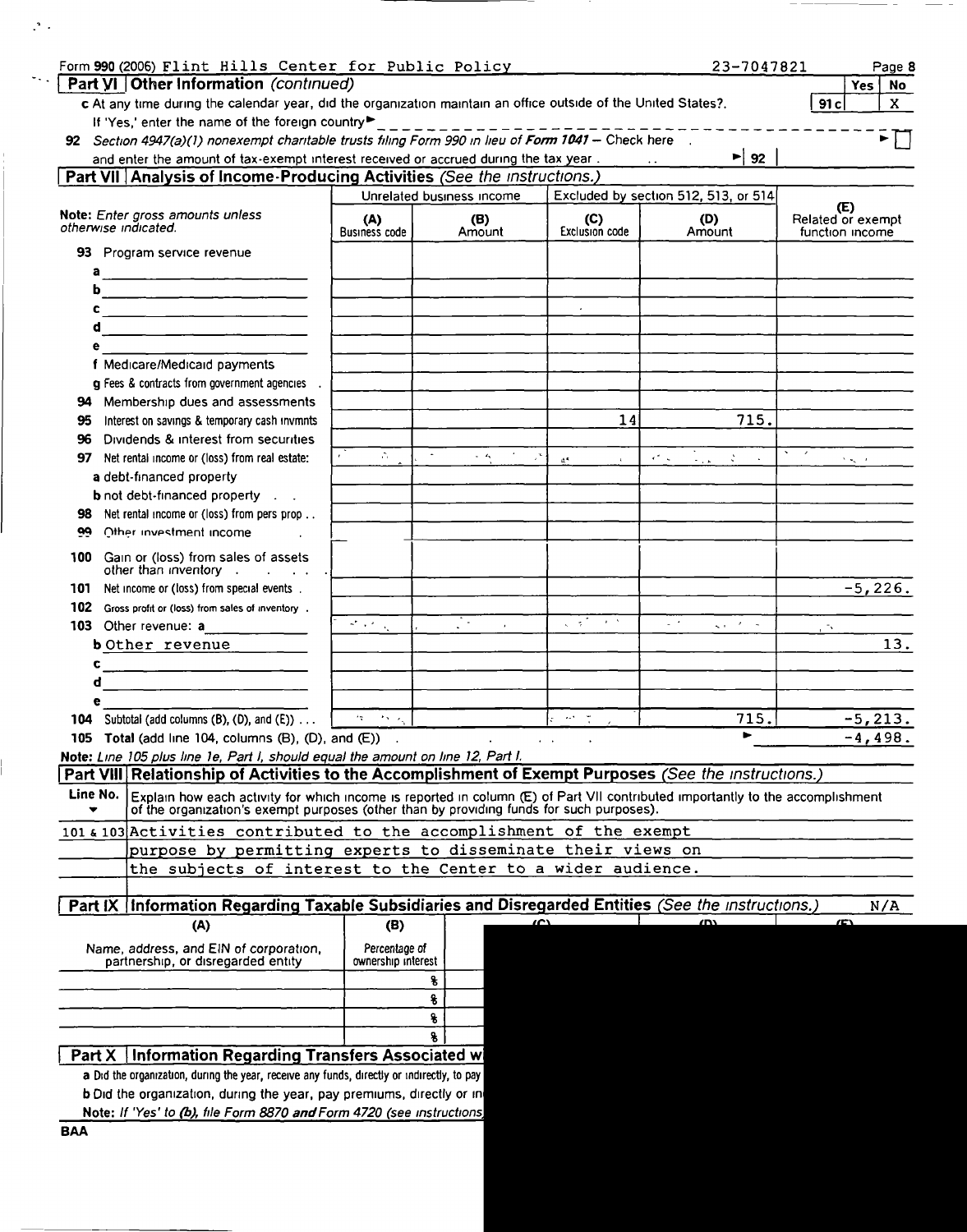| Form 990 (2006) Flint Hills Center for Public Policy                                                                                                                                                                                        |                                     |                           |                                                       | 23-7047821                                       | Page 8                                      |
|---------------------------------------------------------------------------------------------------------------------------------------------------------------------------------------------------------------------------------------------|-------------------------------------|---------------------------|-------------------------------------------------------|--------------------------------------------------|---------------------------------------------|
| Part VI   Other Information (continued)                                                                                                                                                                                                     |                                     |                           |                                                       |                                                  | Yes <sub>1</sub><br><b>No</b>               |
| c At any time during the calendar year, did the organization maintain an office outside of the United States?.<br>If 'Yes,' enter the name of the foreign country                                                                           |                                     |                           |                                                       |                                                  | 91c<br>X                                    |
| 92 Section 4947(a)(1) nonexempt charitable trusts filing Form 990 in lieu of Form 1041 - Check here                                                                                                                                         |                                     | . <u>. <b>.</b></u> .     |                                                       |                                                  |                                             |
| and enter the amount of tax-exempt interest received or accrued during the tax year                                                                                                                                                         |                                     |                           |                                                       | ► 92                                             |                                             |
| Part VII Analysis of Income Producing Activities (See the instructions.)                                                                                                                                                                    |                                     |                           |                                                       |                                                  |                                             |
|                                                                                                                                                                                                                                             |                                     | Unrelated business income |                                                       | Excluded by section 512, 513, or 514             |                                             |
| Note: Enter gross amounts unless<br>otherwise indicated.                                                                                                                                                                                    | (A)<br><b>Business code</b>         | (B)<br>Amount             | (C)<br>Exclusion code                                 | (D)<br>Amount                                    | (E)<br>Related or exempt<br>function income |
| 93 Program service revenue                                                                                                                                                                                                                  |                                     |                           |                                                       |                                                  |                                             |
| а<br>b                                                                                                                                                                                                                                      |                                     |                           |                                                       |                                                  |                                             |
| c<br><u> 1980 - Jan Barnett, mars and de la partie de la partie de la partie de la partie de la partie de la partie de la partie de la partie de la partie de la partie de la partie de la partie de la partie de la partie de la par</u>   |                                     |                           |                                                       |                                                  |                                             |
| d                                                                                                                                                                                                                                           |                                     |                           |                                                       |                                                  |                                             |
| е                                                                                                                                                                                                                                           |                                     |                           |                                                       |                                                  |                                             |
| f Medicare/Medicaid payments                                                                                                                                                                                                                |                                     |                           |                                                       |                                                  |                                             |
| g Fees & contracts from government agencies.                                                                                                                                                                                                |                                     |                           |                                                       |                                                  |                                             |
| 94 Membership dues and assessments                                                                                                                                                                                                          |                                     |                           |                                                       |                                                  |                                             |
| Interest on savings & temporary cash invmnts<br>95.                                                                                                                                                                                         |                                     |                           | 14                                                    | 715.                                             |                                             |
| Dividends & interest from securities<br>96                                                                                                                                                                                                  |                                     |                           |                                                       |                                                  |                                             |
| Net rental income or (loss) from real estate:<br>97                                                                                                                                                                                         | A.                                  | $\omega = Z_N$            | $\Delta^{\rm R}$                                      | $\epsilon^2$ . $\omega$<br>$\sim$ $\sim$ $\star$ | $\Sigma$ $\omega_{\infty} = \kappa$ .       |
| a debt-financed property                                                                                                                                                                                                                    |                                     |                           |                                                       |                                                  |                                             |
| <b>b</b> not debt-financed property                                                                                                                                                                                                         |                                     |                           |                                                       |                                                  |                                             |
| Net rental income or (loss) from pers prop<br>98                                                                                                                                                                                            |                                     |                           |                                                       |                                                  |                                             |
| Other investment income<br>œ                                                                                                                                                                                                                |                                     |                           |                                                       |                                                  |                                             |
| Gain or (loss) from sales of assets<br>100<br>other than inventory                                                                                                                                                                          |                                     |                           |                                                       |                                                  |                                             |
| Net income or (loss) from special events.<br>101                                                                                                                                                                                            |                                     |                           |                                                       |                                                  | $-5,226.$                                   |
| 102<br>Gross profit or (loss) from sales of inventory.                                                                                                                                                                                      |                                     | ۰.                        | $\sqrt{2}$ , $\sqrt{2}$                               | $\omega$ , $\omega$                              |                                             |
| 103 Other revenue: a                                                                                                                                                                                                                        | ਤੀਜਾ ਹੈ                             |                           |                                                       | kan Miller                                       | . The                                       |
| b Other revenue                                                                                                                                                                                                                             |                                     |                           |                                                       |                                                  | 13.                                         |
| c                                                                                                                                                                                                                                           |                                     |                           |                                                       |                                                  |                                             |
| đ<br>e                                                                                                                                                                                                                                      |                                     |                           |                                                       |                                                  |                                             |
| 104 Subtotal (add columns $(B)$ , $(D)$ , and $(E)$ )                                                                                                                                                                                       | ٠ę.<br>$2.8\,{\rm M}_{\odot}$       |                           | $\mathcal{M}^{\mathcal{A}}=\frac{1}{2}$               | 715.                                             | $-5, 213.$                                  |
| 105 Total (add line 104, columns (B), (D), and (E))                                                                                                                                                                                         |                                     |                           | $\bullet$ .<br><br>As $\bullet$ , and $\bullet$ , and | ►                                                | $-4,498.$                                   |
| Note: Line 105 plus line 1e, Part I, should equal the amount on line 12, Part I.                                                                                                                                                            |                                     |                           |                                                       |                                                  |                                             |
| Part VIII Relationship of Activities to the Accomplishment of Exempt Purposes (See the instructions.)                                                                                                                                       |                                     |                           |                                                       |                                                  |                                             |
| Line No.<br>Explain how each activity for which income is reported in column (E) of Part VII contributed importantly to the accomplishment<br>of the organization's exempt purposes (other than by providing funds for such purposes).<br>۳ |                                     |                           |                                                       |                                                  |                                             |
| 101 & 103 Activities contributed to the accomplishment of the exempt                                                                                                                                                                        |                                     |                           |                                                       |                                                  |                                             |
| purpose by permitting experts to disseminate their views on                                                                                                                                                                                 |                                     |                           |                                                       |                                                  |                                             |
| the subjects of interest to the Center to a wider audience.                                                                                                                                                                                 |                                     |                           |                                                       |                                                  |                                             |
|                                                                                                                                                                                                                                             |                                     |                           |                                                       |                                                  |                                             |
| Part IX Information Regarding Taxable Subsidiaries and Disregarded Entities (See the Instructions.)                                                                                                                                         |                                     |                           | $\sim$                                                | $\mathbf{w}$                                     | N/A<br>$\mathcal{L}$                        |
| (A)                                                                                                                                                                                                                                         | (B)                                 |                           |                                                       |                                                  |                                             |
| Name, address, and EIN of corporation,<br>partnership, or disregarded entity                                                                                                                                                                | Percentage of<br>ownership interest |                           |                                                       |                                                  |                                             |
|                                                                                                                                                                                                                                             |                                     | s                         |                                                       |                                                  |                                             |
|                                                                                                                                                                                                                                             |                                     | 8                         |                                                       |                                                  |                                             |
|                                                                                                                                                                                                                                             |                                     | 8                         |                                                       |                                                  |                                             |
|                                                                                                                                                                                                                                             |                                     | g                         |                                                       |                                                  |                                             |
| <b>Information Regarding Transfers Associated wi</b><br>Part X                                                                                                                                                                              |                                     |                           |                                                       |                                                  |                                             |
| a Did the organization, during the year, receive any funds, directly or indirectly, to pay                                                                                                                                                  |                                     |                           |                                                       |                                                  |                                             |
| <b>b</b> Did the organization, during the year, pay premiums, directly or in                                                                                                                                                                |                                     |                           |                                                       |                                                  |                                             |
| Note: If 'Yes' to (b), file Form 8870 and Form 4720 (see instructions)                                                                                                                                                                      |                                     |                           |                                                       |                                                  |                                             |

 $\mathbb{R}^{\mathfrak{a}}$  .

 $\sim$  .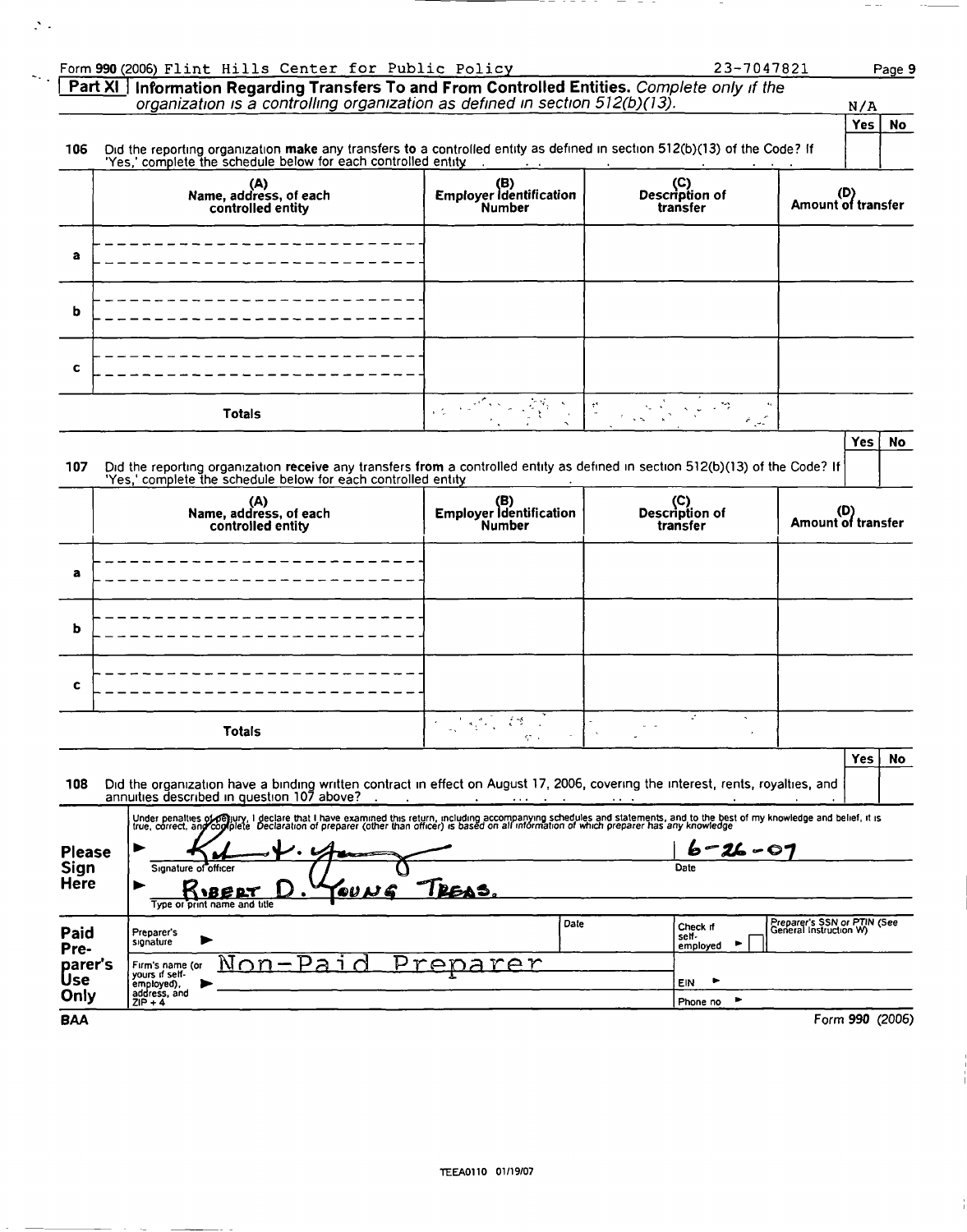|                                        | Form 990 (2006) Flint Hills Center for Public Policy                                                                                                                                                                              |                                          | 23-7047821                         | Page 9                                                |
|----------------------------------------|-----------------------------------------------------------------------------------------------------------------------------------------------------------------------------------------------------------------------------------|------------------------------------------|------------------------------------|-------------------------------------------------------|
|                                        | Part XI   Information Regarding Transfers To and From Controlled Entities. Complete only if the<br>organization is a controlling organization as defined in section 512(b)(13).                                                   |                                          |                                    | N/A                                                   |
|                                        |                                                                                                                                                                                                                                   |                                          |                                    | <b>Yes</b><br><b>No</b>                               |
| 106                                    | Did the reporting organization make any transfers to a controlled entity as defined in section 512(b)(13) of the Code? If<br>'Yes,' complete the schedule below for each controlled entity                                        | <b>Contract Contract Contract</b>        |                                    |                                                       |
|                                        | (A)<br>Name, address, of each<br>controlled entity                                                                                                                                                                                | (B)<br>Employer Identification<br>Number | (C)<br>Description of<br>transfer  | (D)<br>Amount of transfer                             |
| a                                      |                                                                                                                                                                                                                                   |                                          |                                    |                                                       |
| b                                      |                                                                                                                                                                                                                                   |                                          |                                    |                                                       |
| c                                      |                                                                                                                                                                                                                                   |                                          |                                    |                                                       |
|                                        | <b>Totals</b>                                                                                                                                                                                                                     | 经经济人类的                                   | $\epsilon_{\rm gas}$               |                                                       |
|                                        |                                                                                                                                                                                                                                   |                                          |                                    | Yes<br><b>No</b>                                      |
| 107                                    | Did the reporting organization receive any transfers from a controlled entity as defined in section 512(b)(13) of the Code? If<br>'Yes,' complete the schedule below for each controlled entity                                   |                                          |                                    |                                                       |
|                                        | (A)<br>Name, address, of each<br>controlled entity                                                                                                                                                                                | (B)<br>Employer Identification<br>Number | (C)<br>Description of<br>transfer  | (D)<br>Amount of transfer                             |
| a                                      |                                                                                                                                                                                                                                   |                                          |                                    |                                                       |
| b                                      |                                                                                                                                                                                                                                   |                                          |                                    |                                                       |
| c                                      |                                                                                                                                                                                                                                   |                                          |                                    |                                                       |
|                                        | <b>Totals</b>                                                                                                                                                                                                                     | 不是 经资本                                   | ÷.<br>$\boldsymbol{\checkmark}$    |                                                       |
| 108                                    | Did the organization have a binding written contract in effect on August 17, 2006, covering the interest, rents, royalties, and                                                                                                   |                                          |                                    | Yes<br>No                                             |
|                                        | annuities described in question 107 above?                                                                                                                                                                                        | $\cdots$                                 |                                    |                                                       |
|                                        | Under penalties of Gejiury, I declare that I have examined this return, including accompanying schedules and statements, and to the best of my knowledge and belief, it is<br>true, correct, any cogliplete Declaration of prepar |                                          |                                    |                                                       |
| <b>Please</b>                          |                                                                                                                                                                                                                                   |                                          | 26 - 07                            |                                                       |
| Sign<br>Here                           | Signature of officer<br><b>IBERT</b><br>Type or print name and title                                                                                                                                                              | PEAS.                                    | Date                               |                                                       |
|                                        | Preparer's<br>signature                                                                                                                                                                                                           | Date                                     | Check if<br>self-<br>٠<br>employed |                                                       |
| Paid<br>Pre-<br>parer's<br>Use<br>Only | <u>ר ב</u><br>NON<br>$\cap$<br>Firm's name (or<br>yours if self-<br>employed),<br>address, and                                                                                                                                    | rer<br>rer                               | <b>EIN</b><br>٠                    | Preparer's SSN or PTIN (See<br>General Instruction W) |

 $\cdots$ 

 $\mathbb{R}^2$  .

 $\frac{1}{2} \frac{1}{2} \frac{1}{2} \frac{1}{2} \frac{1}{2} \frac{1}{2} \frac{1}{2} \frac{1}{2} \frac{1}{2} \frac{1}{2} \frac{1}{2} \frac{1}{2} \frac{1}{2} \frac{1}{2} \frac{1}{2} \frac{1}{2} \frac{1}{2} \frac{1}{2} \frac{1}{2} \frac{1}{2} \frac{1}{2} \frac{1}{2} \frac{1}{2} \frac{1}{2} \frac{1}{2} \frac{1}{2} \frac{1}{2} \frac{1}{2} \frac{1}{2} \frac{1}{2} \frac{1}{2} \frac{$ 

 $\sim$ 

 $-\hspace{0.1cm} -$ 

 $\sim$   $-$ 

 $\frac{1}{1}$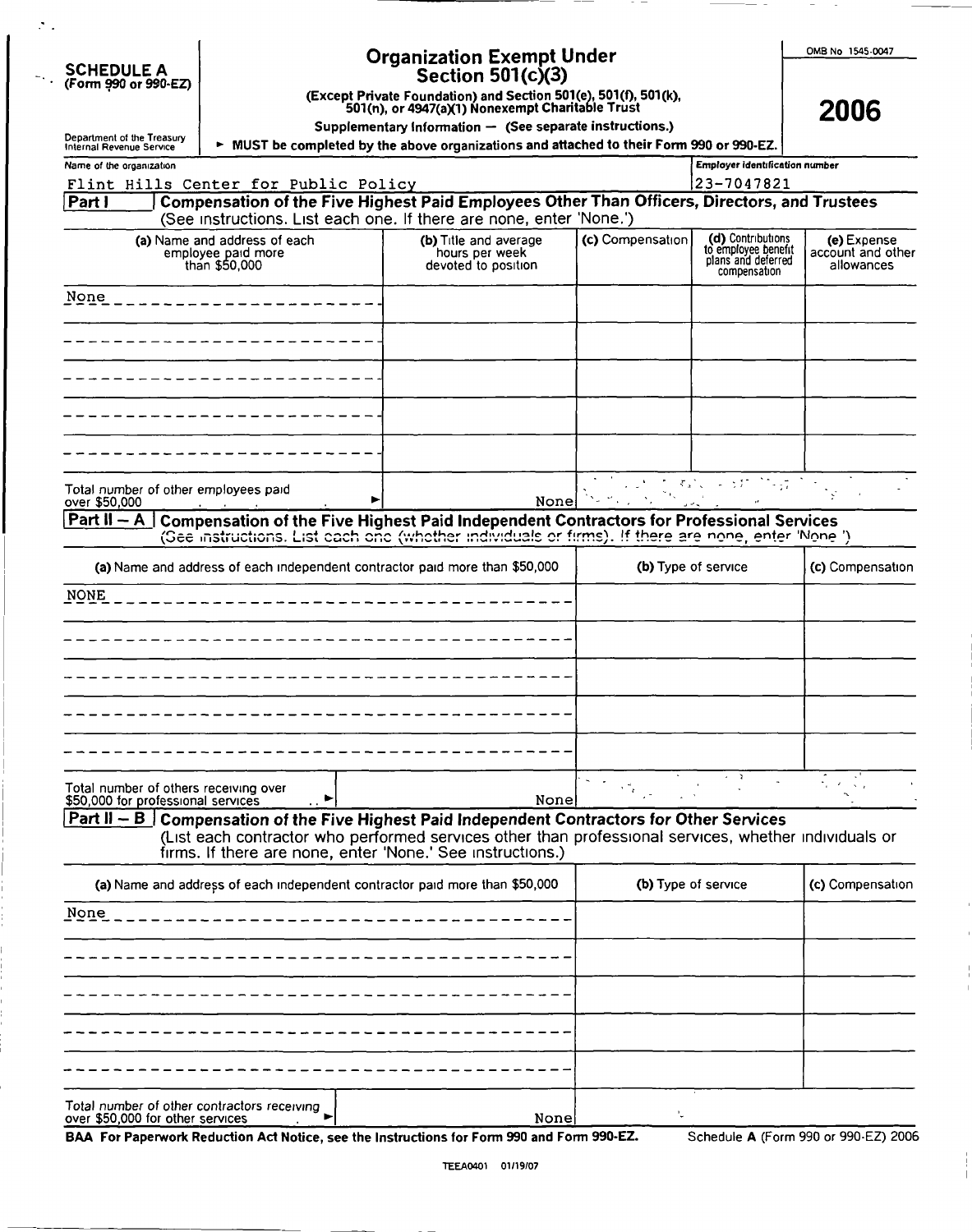| <b>SCHEDULE A</b>    |
|----------------------|
| (Form 990 or 990-EZ) |

 $\mathcal{P}_{\mathcal{A}}$ 

# Organization Exempt Under

0MB No 1545.0047

2006

| SCHEDULE A           | Section 501(c)(3) |  |
|----------------------|-------------------|--|
| (Form 990 or 990-EZ) |                   |  |

(Except Private Foundation) and Section 501(e), 501(f), 501(k), 501(n), or 4947(aX1) Nonexempt Charitable Trust

Supplementary Information  $-$  (See separate instructions.)

| Department of the Treasury<br>Internal Revenue Service                          | > MUST be completed by the above organizations and attached to their Form 990 or 990-EZ.                                                                                                      |                     |                                                                                |                                                |
|---------------------------------------------------------------------------------|-----------------------------------------------------------------------------------------------------------------------------------------------------------------------------------------------|---------------------|--------------------------------------------------------------------------------|------------------------------------------------|
| Name of the organization                                                        |                                                                                                                                                                                               |                     | <b>Employer identification number</b>                                          |                                                |
| Flint Hills Center for Public Policy                                            |                                                                                                                                                                                               |                     | 23-7047821                                                                     |                                                |
| Part I                                                                          | Compensation of the Five Highest Paid Employees Other Than Officers, Directors, and Trustees                                                                                                  |                     |                                                                                |                                                |
|                                                                                 | (See instructions. List each one. If there are none, enter 'None.')                                                                                                                           |                     |                                                                                |                                                |
| (a) Name and address of each<br>employee paid more<br>than \$50,000             | (b) Title and average<br>hours per week<br>devoted to position                                                                                                                                | (c) Compensation    | (d) Contributions<br>to employee benefit<br>plans and deferred<br>compensation | (e) Expense<br>account and other<br>allowances |
| None                                                                            |                                                                                                                                                                                               |                     |                                                                                |                                                |
|                                                                                 |                                                                                                                                                                                               |                     |                                                                                |                                                |
|                                                                                 |                                                                                                                                                                                               |                     |                                                                                |                                                |
|                                                                                 |                                                                                                                                                                                               |                     |                                                                                |                                                |
|                                                                                 |                                                                                                                                                                                               |                     | たすれい ようだ ひらむ                                                                   |                                                |
| Total number of other employees paid<br>over \$50,000                           | None                                                                                                                                                                                          |                     |                                                                                |                                                |
| Part $II - A$                                                                   | Compensation of the Five Highest Paid Independent Contractors for Professional Services<br>(See instructions. List each one (whether individuals or firms). If there are none, enter 'None ') |                     |                                                                                |                                                |
|                                                                                 | (a) Name and address of each independent contractor paid more than \$50,000                                                                                                                   |                     | (b) Type of service                                                            | (c) Compensation                               |
| <b>NONE</b>                                                                     |                                                                                                                                                                                               |                     |                                                                                |                                                |
|                                                                                 |                                                                                                                                                                                               |                     |                                                                                |                                                |
|                                                                                 |                                                                                                                                                                                               |                     |                                                                                |                                                |
|                                                                                 |                                                                                                                                                                                               |                     |                                                                                |                                                |
|                                                                                 |                                                                                                                                                                                               |                     | $\sim$ $\sim$ $\sim$                                                           |                                                |
| Total number of others receiving over<br>\$50,000 for professional services     | None                                                                                                                                                                                          |                     |                                                                                |                                                |
|                                                                                 | <b>Part II – B</b> Compensation of the Five Highest Paid Independent Contractors for Other Services                                                                                           |                     |                                                                                |                                                |
|                                                                                 | (List each contractor who performed services other than professional services, whether individuals or<br>firms. If there are none, enter 'None.' See instructions.)                           |                     |                                                                                |                                                |
|                                                                                 | (a) Name and address of each independent contractor paid more than \$50,000                                                                                                                   | (b) Type of service |                                                                                | (c) Compensation                               |
| None                                                                            |                                                                                                                                                                                               |                     |                                                                                |                                                |
|                                                                                 |                                                                                                                                                                                               |                     |                                                                                |                                                |
|                                                                                 |                                                                                                                                                                                               |                     |                                                                                |                                                |
|                                                                                 |                                                                                                                                                                                               |                     |                                                                                |                                                |
|                                                                                 |                                                                                                                                                                                               |                     |                                                                                |                                                |
| Total number of other contractors receiving<br>over \$50,000 for other services | None                                                                                                                                                                                          |                     |                                                                                |                                                |

BAA For Paperwork Reduction Act Notice , see the Instructions for Form 990 and Form 990-EZ. Schedule A (Form 990 or 990•EZ) 2006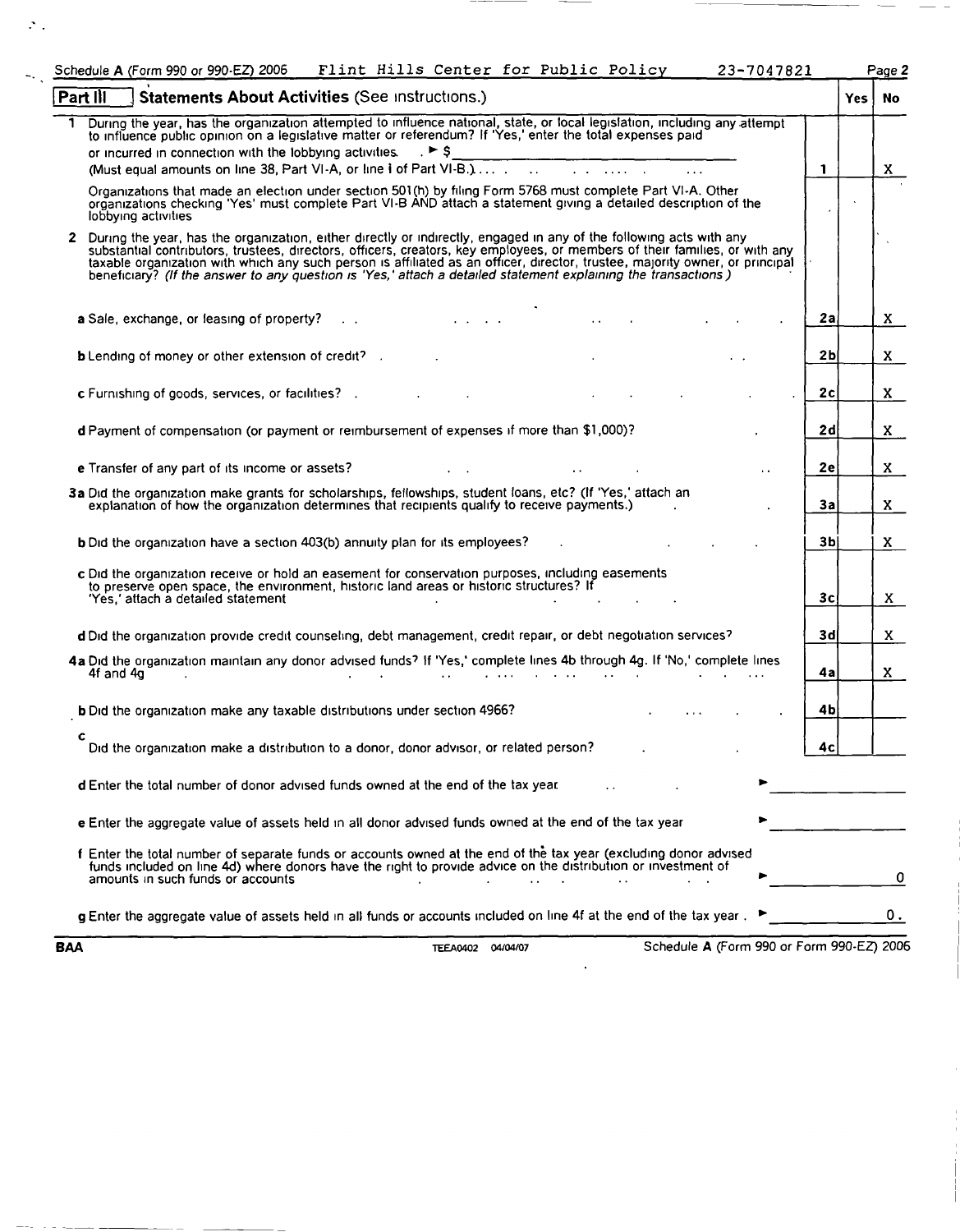|            | Schedule A (Form 990 or 990-EZ) 2006                                                                                                                                                                                                                                                                                                                                                                                                                                                                 | Flint Hills Center for Public Policy |                                                                                 | 23-7047821                                |                |      | Page 2 |
|------------|------------------------------------------------------------------------------------------------------------------------------------------------------------------------------------------------------------------------------------------------------------------------------------------------------------------------------------------------------------------------------------------------------------------------------------------------------------------------------------------------------|--------------------------------------|---------------------------------------------------------------------------------|-------------------------------------------|----------------|------|--------|
| Part III   | Statements About Activities (See Instructions.)                                                                                                                                                                                                                                                                                                                                                                                                                                                      |                                      |                                                                                 |                                           |                | Yes. | No.    |
|            | During the year, has the organization attempted to influence national, state, or local legislation, including any attempt<br>to influence public opinion on a legislative matter or referendum? If 'Yes,' enter the total expenses paid                                                                                                                                                                                                                                                              |                                      |                                                                                 |                                           |                |      |        |
|            | or incurred in connection with the lobbying activities. $\mathbb{R}^5$                                                                                                                                                                                                                                                                                                                                                                                                                               |                                      |                                                                                 |                                           |                |      |        |
|            |                                                                                                                                                                                                                                                                                                                                                                                                                                                                                                      |                                      |                                                                                 |                                           | $\mathbf{1}$   |      | X.     |
|            | Organizations that made an election under section 501(h) by filing Form 5768 must complete Part VI-A. Other<br>organizations checking 'Yes' must complete Part VI-B AND attach a statement giving a detailed description of the<br>lobbying activities                                                                                                                                                                                                                                               |                                      |                                                                                 |                                           |                |      |        |
| 2          | During the year, has the organization, either directly or indirectly, engaged in any of the following acts with any<br>substantial contributors, trustees, directors, officers, creators, key employees, or members of their families, or with any<br>taxable organization with which any such person is affiliated as an officer, director, trustee, majority owner, or principal<br>beneficiary? (If the answer to any question is 'Yes,' attach a detailed statement explaining the transactions) |                                      |                                                                                 |                                           |                |      |        |
|            | a Sale, exchange, or leasing of property?                                                                                                                                                                                                                                                                                                                                                                                                                                                            | and the contract of the contract of  |                                                                                 |                                           | 2a             |      | X.     |
|            | <b>b</b> Lending of money or other extension of credit?                                                                                                                                                                                                                                                                                                                                                                                                                                              |                                      |                                                                                 |                                           | 2 <sub>b</sub> |      | X.     |
|            | c Furnishing of goods, services, or facilities? .                                                                                                                                                                                                                                                                                                                                                                                                                                                    |                                      |                                                                                 |                                           | 2c             |      | X.     |
|            | d Payment of compensation (or payment or reimbursement of expenses if more than \$1,000)?                                                                                                                                                                                                                                                                                                                                                                                                            |                                      |                                                                                 |                                           | 2d             |      | X.     |
|            | e Transfer of any part of its income or assets?                                                                                                                                                                                                                                                                                                                                                                                                                                                      |                                      |                                                                                 |                                           | 2e             |      | X.     |
|            | 3a Did the organization make grants for scholarships, fellowships, student loans, etc? (If 'Yes,' attach an<br>explanation of how the organization determines that recipients qualify to receive payments.)                                                                                                                                                                                                                                                                                          |                                      |                                                                                 |                                           | За             |      | X.     |
|            | <b>b</b> Did the organization have a section 403(b) annuity plan for its employees?                                                                                                                                                                                                                                                                                                                                                                                                                  |                                      |                                                                                 |                                           | 3b             |      | X.     |
|            | c Did the organization receive or hold an easement for conservation purposes, including easements<br>to preserve open space, the environment, historic land areas or historic structures? If<br>'Yes,' attach a detailed statement                                                                                                                                                                                                                                                                   |                                      |                                                                                 |                                           | 3c             |      | X.     |
|            | d Did the organization provide credit counseling, debt management, credit repair, or debt negotiation services?                                                                                                                                                                                                                                                                                                                                                                                      |                                      |                                                                                 |                                           | 3d             |      | X.     |
|            | 4a Did the organization maintain any donor advised funds? If 'Yes,' complete lines 4b through 4g. If 'No,' complete lines<br>4f and $4g$<br>$\sim 10^{-1}$                                                                                                                                                                                                                                                                                                                                           |                                      | the contract of the contract of the contract of the contract of the contract of |                                           | 4а             |      | X.     |
|            | <b>b</b> Did the organization make any taxable distributions under section 4966?                                                                                                                                                                                                                                                                                                                                                                                                                     |                                      |                                                                                 |                                           | 4b             |      |        |
| с          | Did the organization make a distribution to a donor, donor advisor, or related person?                                                                                                                                                                                                                                                                                                                                                                                                               |                                      |                                                                                 |                                           | 4с             |      |        |
|            | <b>d</b> Enter the total number of donor advised funds owned at the end of the tax year.                                                                                                                                                                                                                                                                                                                                                                                                             |                                      |                                                                                 |                                           |                |      |        |
|            | e Enter the aggregate value of assets held in all donor advised funds owned at the end of the tax year                                                                                                                                                                                                                                                                                                                                                                                               |                                      |                                                                                 |                                           |                |      |        |
|            | f Enter the total number of separate funds or accounts owned at the end of the tax year (excluding donor advised<br>funds included on line 4d) where donors have the right to provide advice on the distribution or investment of<br>amounts in such funds or accounts                                                                                                                                                                                                                               |                                      |                                                                                 |                                           |                |      | 0      |
|            | g Enter the aggregate value of assets held in all funds or accounts included on line 4f at the end of the tax year.                                                                                                                                                                                                                                                                                                                                                                                  |                                      |                                                                                 |                                           |                |      | О.     |
| <b>BAA</b> |                                                                                                                                                                                                                                                                                                                                                                                                                                                                                                      | TEEA0402 04/04/07                    |                                                                                 | Schedule A (Form 990 or Form 990-EZ) 2006 |                |      |        |

 $\mathcal{P}_{\mathcal{A}}$ 

 $\sim$  .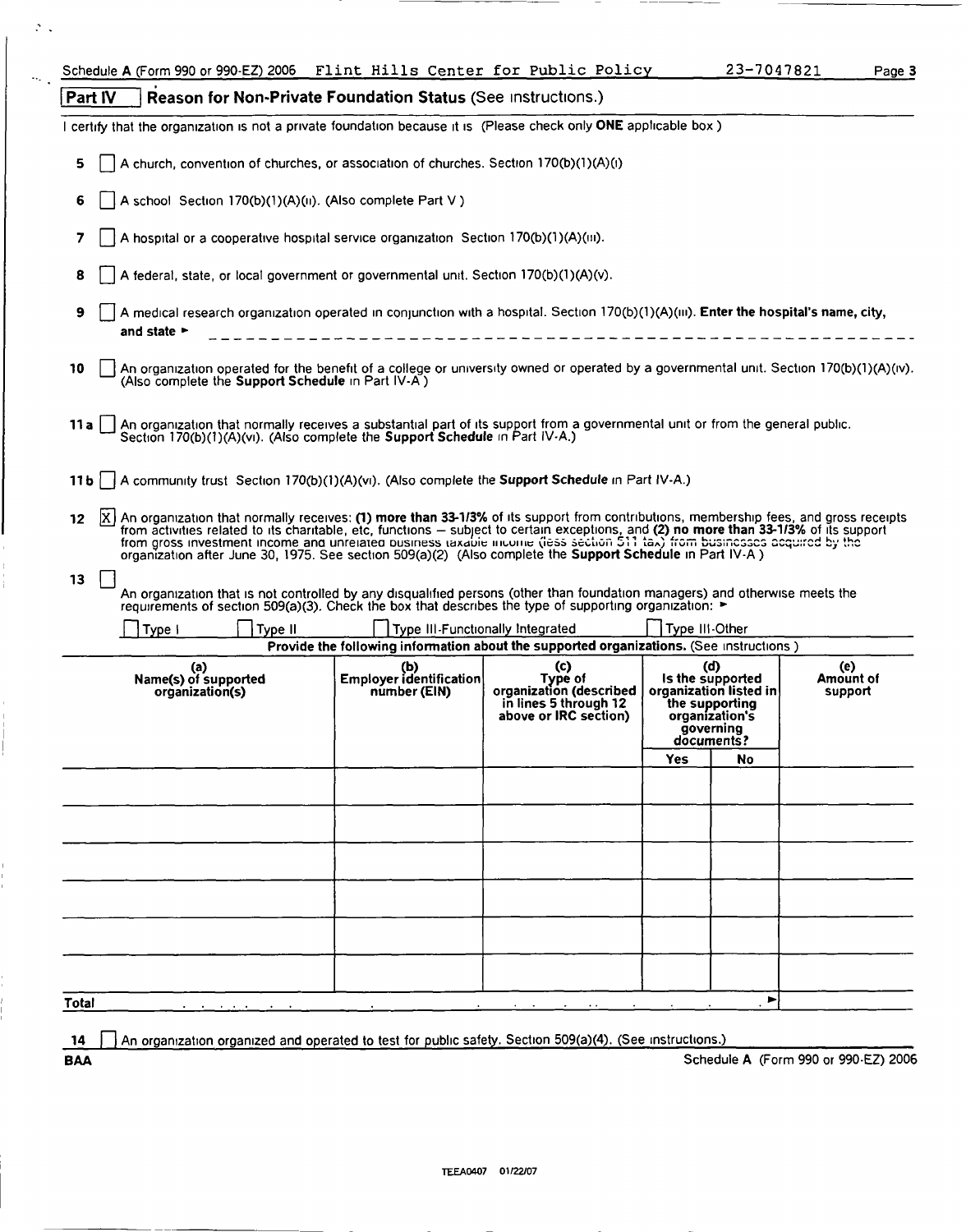|        | Part IV |                                                                                                                                        |         | Reason for Non-Private Foundation Status (See Instructions.)                          |                                                                                                                                                                                                                                        |                |                                                                                                                  |                             |
|--------|---------|----------------------------------------------------------------------------------------------------------------------------------------|---------|---------------------------------------------------------------------------------------|----------------------------------------------------------------------------------------------------------------------------------------------------------------------------------------------------------------------------------------|----------------|------------------------------------------------------------------------------------------------------------------|-----------------------------|
|        |         |                                                                                                                                        |         |                                                                                       | I certify that the organization is not a private foundation because it is (Please check only ONE applicable box)                                                                                                                       |                |                                                                                                                  |                             |
| 5      |         |                                                                                                                                        |         | A church, convention of churches, or association of churches. Section 170(b)(1)(A)(i) |                                                                                                                                                                                                                                        |                |                                                                                                                  |                             |
| 6      |         |                                                                                                                                        |         | A school Section 170(b)(1)(A)(ii). (Also complete Part V)                             |                                                                                                                                                                                                                                        |                |                                                                                                                  |                             |
| 7      |         |                                                                                                                                        |         | A hospital or a cooperative hospital service organization Section 170(b)(1)(A)(iii).  |                                                                                                                                                                                                                                        |                |                                                                                                                  |                             |
| 8      |         |                                                                                                                                        |         | A federal, state, or local government or governmental unit. Section 170(b)(1)(A)(v).  |                                                                                                                                                                                                                                        |                |                                                                                                                  |                             |
| 9      |         | and state $\blacktriangleright$                                                                                                        |         |                                                                                       | A medical research organization operated in conjunction with a hospital. Section 170(b)(1)(A)(iii). Enter the hospital's name, city,                                                                                                   |                |                                                                                                                  |                             |
| 10     |         | (Also complete the Support Schedule in Part IV-A)                                                                                      |         |                                                                                       | An organization operated for the benefit of a college or university owned or operated by a governmental unit. Section 170(b)(1)(A)(iv).                                                                                                |                |                                                                                                                  |                             |
| 11 a l |         |                                                                                                                                        |         | Section 170(b)(1)(A)(vi). (Also complete the Support Schedule in Part IV-A.)          | An organization that normally receives a substantial part of its support from a governmental unit or from the general public.                                                                                                          |                |                                                                                                                  |                             |
|        |         |                                                                                                                                        |         |                                                                                       | 11b   A community trust Section 170(b)(1)(A)(vi). (Also complete the Support Schedule in Part IV-A.)                                                                                                                                   |                |                                                                                                                  |                             |
| 12     |         | from activities related to its charitable, etc, functions - subject to certain exceptions, and (2) no more than 33-1/3% of its support |         |                                                                                       | X  An organization that normally receives: (1) more than 33-1/3% of its support from contributions, membership fees, and gross receipts                                                                                                |                |                                                                                                                  |                             |
|        |         |                                                                                                                                        |         |                                                                                       | from gross investment income and unrelated business taxable income (less section 511 tax) from businesses acquired by the<br>organization after June 30, 1975. See section 509(a)(2) (Also complete the Support Schedule in Part IV-A) |                |                                                                                                                  |                             |
|        |         |                                                                                                                                        |         |                                                                                       | An organization that is not controlled by any disqualified persons (other than foundation managers) and otherwise meets the<br>requirements of section 509(a)(3). Check the box that describes the type of supporting organization: ►  |                |                                                                                                                  |                             |
|        |         | Type I                                                                                                                                 | Type II |                                                                                       | Type III-Functionally Integrated                                                                                                                                                                                                       | Type III-Other |                                                                                                                  |                             |
|        |         |                                                                                                                                        |         |                                                                                       | Provide the following information about the supported organizations. (See instructions)                                                                                                                                                |                |                                                                                                                  |                             |
| 13     |         | (a)<br>Name(s) of supported<br>organization(s)                                                                                         |         | Employer identification<br>number (EIN)                                               | (c)<br>Type of<br>organization (described<br>in lines 5 through 12<br>above or IRC section)                                                                                                                                            |                | (d)<br>Is the supported<br>organization listed in<br>the supporting<br>organization's<br>governing<br>documents? | (e)<br>Amount of<br>support |
|        |         |                                                                                                                                        |         |                                                                                       |                                                                                                                                                                                                                                        | <b>Yes</b>     | No                                                                                                               |                             |
|        |         |                                                                                                                                        |         |                                                                                       |                                                                                                                                                                                                                                        |                |                                                                                                                  |                             |
|        |         |                                                                                                                                        |         |                                                                                       |                                                                                                                                                                                                                                        |                |                                                                                                                  |                             |
|        |         |                                                                                                                                        |         |                                                                                       |                                                                                                                                                                                                                                        |                |                                                                                                                  |                             |
|        |         |                                                                                                                                        |         |                                                                                       |                                                                                                                                                                                                                                        |                |                                                                                                                  |                             |
|        |         |                                                                                                                                        |         |                                                                                       |                                                                                                                                                                                                                                        |                |                                                                                                                  |                             |
|        |         |                                                                                                                                        |         |                                                                                       |                                                                                                                                                                                                                                        |                |                                                                                                                  |                             |
|        |         |                                                                                                                                        |         |                                                                                       |                                                                                                                                                                                                                                        |                | ►                                                                                                                |                             |

 $\mathcal{N}_{\mathrm{c}}$ 

ł

 $\bar{\rm I}$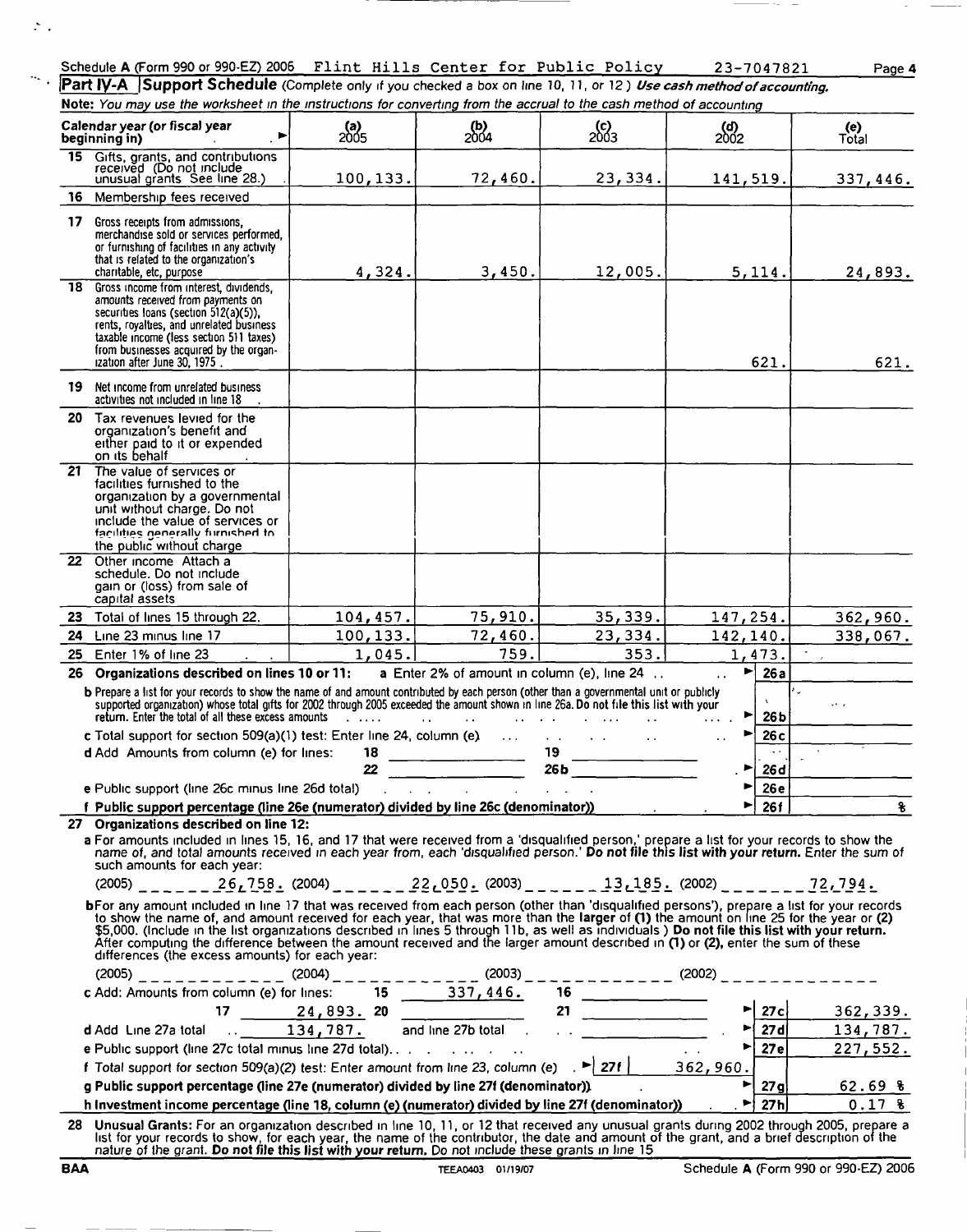#### Schedule A (Form 990 or 990 -EZ) 2006 Flint Hills Center for Public Policy 23-7047821 Page 4

**Part IV-A** Support Schedule (Complete only if you checked a box on line 10, 11, or 12) Use cash method of accounting. Note: You may use the worksheet in the instructions for converting from the accrual to the cash method of accounting

|     | Calendar year (or fiscal year<br>beainnina in)                                                                                                                                                                                                                                                                                                                                                                                                                                                                                                                                                                                                                                                                                                                                                                                                                                                                                                                                                                                           | <b>(a)</b><br>2005       | $^{(b)}_{2004}$                      | 2003                                        | 2002                        | (e)<br>Total                                                   |
|-----|------------------------------------------------------------------------------------------------------------------------------------------------------------------------------------------------------------------------------------------------------------------------------------------------------------------------------------------------------------------------------------------------------------------------------------------------------------------------------------------------------------------------------------------------------------------------------------------------------------------------------------------------------------------------------------------------------------------------------------------------------------------------------------------------------------------------------------------------------------------------------------------------------------------------------------------------------------------------------------------------------------------------------------------|--------------------------|--------------------------------------|---------------------------------------------|-----------------------------|----------------------------------------------------------------|
|     | 15 Gifts, grants, and contributions<br>received (Do not include<br>unusual grants See line 28.)                                                                                                                                                                                                                                                                                                                                                                                                                                                                                                                                                                                                                                                                                                                                                                                                                                                                                                                                          | 100, 133.                | 72,460.                              | 23,334.                                     | 141,519.                    | 337,446.                                                       |
| 16. | Membership fees received                                                                                                                                                                                                                                                                                                                                                                                                                                                                                                                                                                                                                                                                                                                                                                                                                                                                                                                                                                                                                 |                          |                                      |                                             |                             |                                                                |
|     | 17 Gross receipts from admissions,<br>merchandise sold or services performed,<br>or furnishing of facilities in any activity<br>that is related to the organization's<br>charitable, etc, purpose                                                                                                                                                                                                                                                                                                                                                                                                                                                                                                                                                                                                                                                                                                                                                                                                                                        | 4,324.                   | 3,450.                               | 12,005.                                     | 5, 114.                     | 24,893.                                                        |
| 18. | Gross income from interest, dividends,<br>amounts received from payments on<br>securities loans (section 512(a)(5)).<br>rents, royalties, and unrelated business<br>taxable income (less section 511 taxes)<br>from businesses acquired by the organ-<br>ization after June 30, 1975.                                                                                                                                                                                                                                                                                                                                                                                                                                                                                                                                                                                                                                                                                                                                                    |                          |                                      |                                             | 621.                        | 621.                                                           |
| 19. | Net income from unrelated business<br>activities not included in line 18                                                                                                                                                                                                                                                                                                                                                                                                                                                                                                                                                                                                                                                                                                                                                                                                                                                                                                                                                                 |                          |                                      |                                             |                             |                                                                |
|     | 20 Tax revenues levied for the<br>organization's benefit and<br>either paid to it or expended<br>on its behalf                                                                                                                                                                                                                                                                                                                                                                                                                                                                                                                                                                                                                                                                                                                                                                                                                                                                                                                           |                          |                                      |                                             |                             |                                                                |
| 21. | The value of services or<br>facilities furnished to the<br>organization by a governmental<br>unit without charge. Do not<br>include the value of services or<br>facilities generally furnished to<br>the public without charge                                                                                                                                                                                                                                                                                                                                                                                                                                                                                                                                                                                                                                                                                                                                                                                                           |                          |                                      |                                             |                             |                                                                |
|     | 22 Other income Attach a<br>schedule. Do not include<br>gain or (loss) from sale of<br>capital assets                                                                                                                                                                                                                                                                                                                                                                                                                                                                                                                                                                                                                                                                                                                                                                                                                                                                                                                                    |                          |                                      |                                             |                             |                                                                |
|     | 23 Total of lines 15 through 22.                                                                                                                                                                                                                                                                                                                                                                                                                                                                                                                                                                                                                                                                                                                                                                                                                                                                                                                                                                                                         | 104, 457.                | 75,910.                              | 35,339.                                     | 147,254.                    | 362,960.                                                       |
| 24  | Line 23 minus line 17                                                                                                                                                                                                                                                                                                                                                                                                                                                                                                                                                                                                                                                                                                                                                                                                                                                                                                                                                                                                                    | 100, 133.                | 72,460.                              | 23,334.                                     | 142,140.                    | 338,067.                                                       |
| 25  | Enter 1% of line 23                                                                                                                                                                                                                                                                                                                                                                                                                                                                                                                                                                                                                                                                                                                                                                                                                                                                                                                                                                                                                      | 1,045.                   | 759.                                 | 353.                                        | 1,473.                      |                                                                |
| 26  | Organizations described on lines 10 or 11:                                                                                                                                                                                                                                                                                                                                                                                                                                                                                                                                                                                                                                                                                                                                                                                                                                                                                                                                                                                               |                          |                                      | a Enter 2% of amount in column (e), line 24 | ►∣<br>$\ddot{\phantom{0}}$  | 26a                                                            |
|     | b Prepare a list for your records to show the name of and amount contributed by each person (other than a governmental unit or publicly<br>supported organization) whose total gifts for 2002 through 2005 exceeded the amount shown in line 26a. Do not file this list with your<br>return. Enter the total of all these excess amounts                                                                                                                                                                                                                                                                                                                                                                                                                                                                                                                                                                                                                                                                                                 | <b>Contract Contract</b> | $\sim$ $\sim$<br>$\Delta$ $\Delta$ . |                                             | ►<br>$\cdots$               | Rú.<br>26 <sub>b</sub>                                         |
|     | c Total support for section $509(a)(1)$ test: Enter line 24, column (e) $\dots$<br>d Add Amounts from column (e) for lines:                                                                                                                                                                                                                                                                                                                                                                                                                                                                                                                                                                                                                                                                                                                                                                                                                                                                                                              | 18                       |                                      | 19 <sub>°</sub>                             | 26c<br>$\ddot{\phantom{a}}$ |                                                                |
|     |                                                                                                                                                                                                                                                                                                                                                                                                                                                                                                                                                                                                                                                                                                                                                                                                                                                                                                                                                                                                                                          | 22                       |                                      | 26b                                         | 26d<br>٠                    |                                                                |
|     | e Public support (line 26c minus line 26d total)                                                                                                                                                                                                                                                                                                                                                                                                                                                                                                                                                                                                                                                                                                                                                                                                                                                                                                                                                                                         |                          |                                      |                                             | 26e                         |                                                                |
|     | f Public support percentage (line 26e (numerator) divided by line 26c (denominator))                                                                                                                                                                                                                                                                                                                                                                                                                                                                                                                                                                                                                                                                                                                                                                                                                                                                                                                                                     |                          |                                      |                                             |                             | 26f<br>g                                                       |
|     | 27 Organizations described on line 12:<br>a For amounts included in lines 15, 16, and 17 that were received from a 'disqualified person,' prepare a list for your records to show the<br>name of, and total amounts received in each year from, each 'disqualified person.' Do not file this list with your return. Enter the sum of<br>such amounts for each year:<br>$(2005)$ $_{\sim}$ $_{\sim}$ $_{\sim}$ $(26.758 \cdot (2004)$ $_{\sim}$ $_{\sim}$ $_{\sim}$ $ (22.050 \cdot (2003)$ $_{\sim}$ $_{\sim}$ $_{\sim}$ $(2185 \cdot (2002)$ $_{\sim}$ $_{\sim}$ $_{\sim}$ $  (27.794 \cdot$<br>bFor any amount included in line 17 that was received from each person (other than 'disqualified persons'), prepare a list for your records<br>to show the name of, and amount received for each year, that was more than the larger of (1) the amount on line 25 for the year or (2)<br>\$5,000. (Include in the list organizations described in lines 5 through 11b, as well as individuals ) Do not file this list with your return. |                          |                                      |                                             |                             |                                                                |
|     | After computing the difference between the amount received and the larger amount described in $(1)$ or $(2)$ , enter the sum of these<br>differences (the excess amounts) for each year:                                                                                                                                                                                                                                                                                                                                                                                                                                                                                                                                                                                                                                                                                                                                                                                                                                                 |                          |                                      |                                             |                             |                                                                |
|     |                                                                                                                                                                                                                                                                                                                                                                                                                                                                                                                                                                                                                                                                                                                                                                                                                                                                                                                                                                                                                                          |                          |                                      |                                             |                             |                                                                |
|     | (2005)<br>c Add: Amounts from column (e) for lines:<br>17 24, 893. 20<br>d Add Line 27a total<br>134, 787.<br>and line 27b total<br>134, 787.                                                                                                                                                                                                                                                                                                                                                                                                                                                                                                                                                                                                                                                                                                                                                                                                                                                                                            |                          |                                      |                                             |                             | 362,339.                                                       |
|     |                                                                                                                                                                                                                                                                                                                                                                                                                                                                                                                                                                                                                                                                                                                                                                                                                                                                                                                                                                                                                                          |                          |                                      |                                             |                             | $\triangleright$ 27d 134,787.<br>$\triangleright$ 27e 227,552. |
|     |                                                                                                                                                                                                                                                                                                                                                                                                                                                                                                                                                                                                                                                                                                                                                                                                                                                                                                                                                                                                                                          |                          |                                      |                                             |                             |                                                                |
|     |                                                                                                                                                                                                                                                                                                                                                                                                                                                                                                                                                                                                                                                                                                                                                                                                                                                                                                                                                                                                                                          |                          |                                      |                                             |                             |                                                                |
|     | g Public support percentage (line 27e (numerator) divided by line 27f (denominator)) and the support                                                                                                                                                                                                                                                                                                                                                                                                                                                                                                                                                                                                                                                                                                                                                                                                                                                                                                                                     |                          |                                      |                                             |                             | $\frac{1}{27g}$ 62.69 %                                        |
|     | h Investment income percentage (line 18, column (e) (numerator) divided by line 27f (denominator)) [16]                                                                                                                                                                                                                                                                                                                                                                                                                                                                                                                                                                                                                                                                                                                                                                                                                                                                                                                                  |                          |                                      |                                             |                             | $27h$ 0.17 %                                                   |
|     | 28 Unusual Grants: For an organization described in line 10, 11, or 12 that received any unusual grants during 2002 through 2005, prepare a<br>list for your records to show, for each year, the name of the contributor, the date and amount of the grant, and a brief description of the<br>nature of the grant. Do not file this list with your return. Do not include these grants in line 15                                                                                                                                                                                                                                                                                                                                                                                                                                                                                                                                                                                                                                        |                          |                                      |                                             |                             |                                                                |

 $\mathcal{Z}_{\mathcal{A}}$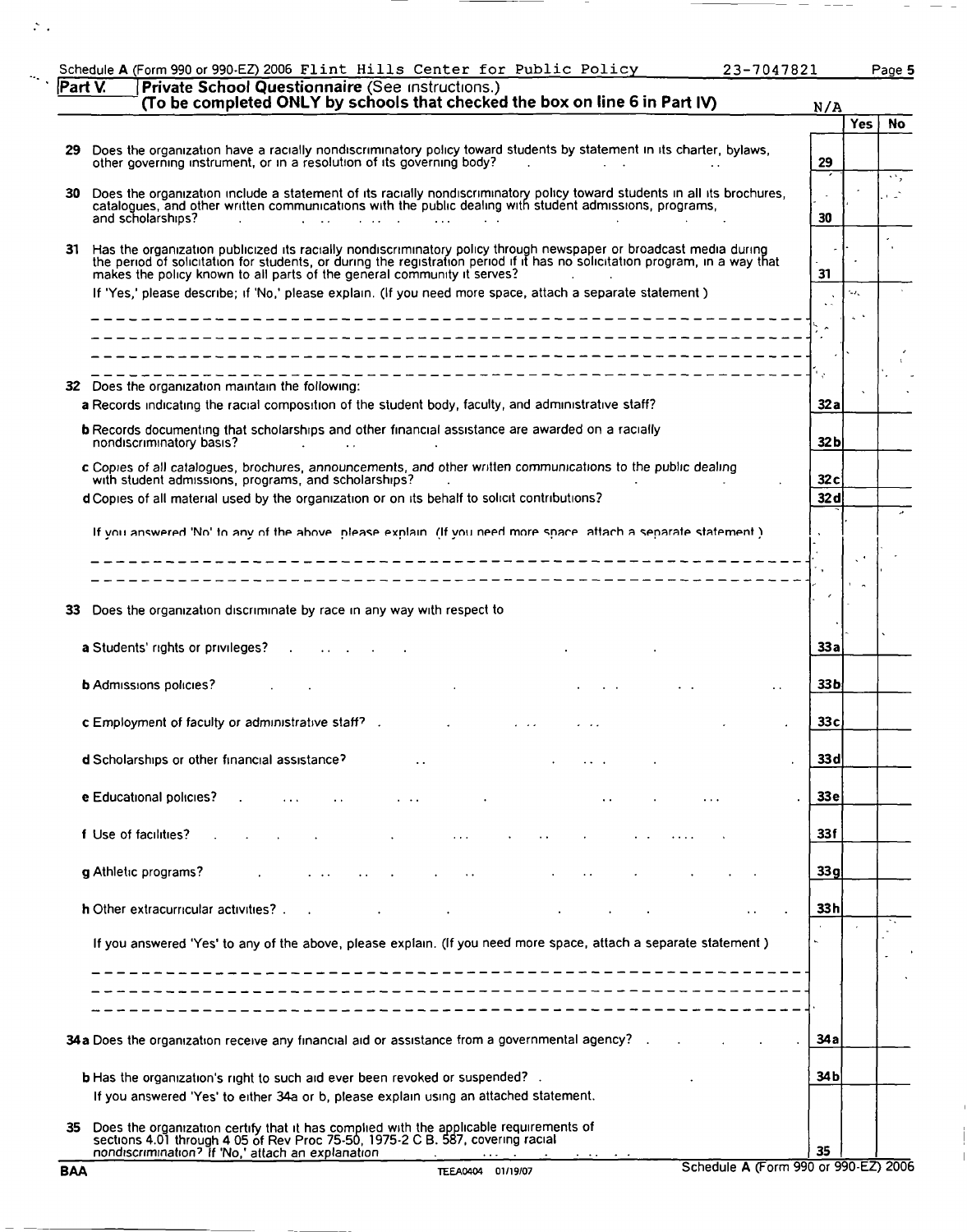| Schedule A (Form 990 or 990-EZ) 2006 Flint Hills Center for Public Policy<br>23-7047821                                                                                                                                                                                                                                           |                 |      | Page 5 |
|-----------------------------------------------------------------------------------------------------------------------------------------------------------------------------------------------------------------------------------------------------------------------------------------------------------------------------------|-----------------|------|--------|
| Private School Questionnaire (See Instructions.)<br>Part V.<br>(To be completed ONLY by schools that checked the box on line 6 in Part IV)                                                                                                                                                                                        | N/A             |      |        |
|                                                                                                                                                                                                                                                                                                                                   |                 | Yes  | No.    |
| Does the organization have a racially nondiscriminatory policy toward students by statement in its charter, bylaws,<br>29<br>other governing instrument, or in a resolution of its governing body?                                                                                                                                | 29              |      |        |
| Does the organization include a statement of its racially nondiscriminatory policy toward students in all its brochures,<br>30<br>catalogues, and other written communications with the public dealing with student admissions, programs,<br>and scholarships?                                                                    | 30              |      | ٠.,    |
| Has the organization publicized its racially nondiscriminatory policy through newspaper or broadcast media during<br>31<br>the period of solicitation for students, or during the registration period if it has no solicitation program, in a way that<br>makes the policy known to all parts of the general community it serves? | 31              |      |        |
| If 'Yes,' please describe; if 'No,' please explain. (If you need more space, attach a separate statement)                                                                                                                                                                                                                         |                 | ta e |        |
| ------------------------------                                                                                                                                                                                                                                                                                                    |                 |      |        |
| _______________________                                                                                                                                                                                                                                                                                                           |                 |      |        |
| 32 Does the organization maintain the following:<br>a Records indicating the racial composition of the student body, faculty, and administrative staff?                                                                                                                                                                           | 32 a            |      |        |
| <b>b</b> Records documenting that scholarships and other financial assistance are awarded on a racially<br>nondiscriminatory basis?<br>and the company of the company of                                                                                                                                                          | 32 b            |      |        |
| c Copies of all catalogues, brochures, announcements, and other written communications to the public dealing<br>with student admissions, programs, and scholarships?                                                                                                                                                              | 32 c            |      |        |
| d Copies of all material used by the organization or on its behalf to solicit contributions?                                                                                                                                                                                                                                      | 32d             |      |        |
| If you answered 'No' to any of the above intease explain. (If you need more space, attach a separate statement.)                                                                                                                                                                                                                  |                 |      |        |
| ___________________________                                                                                                                                                                                                                                                                                                       |                 |      |        |
|                                                                                                                                                                                                                                                                                                                                   |                 |      |        |
| Does the organization discriminate by race in any way with respect to<br>33                                                                                                                                                                                                                                                       |                 |      |        |
| a Students' rights or privileges?                                                                                                                                                                                                                                                                                                 | 33 a            |      |        |
| <b>b</b> Admissions policies?                                                                                                                                                                                                                                                                                                     | 33b             |      |        |
| <b>c</b> Employment of faculty or administrative staff?                                                                                                                                                                                                                                                                           | 33c             |      |        |
| d Scholarships or other financial assistance?                                                                                                                                                                                                                                                                                     | 33 d            |      |        |
| e Educational policies?                                                                                                                                                                                                                                                                                                           | 33 <sub>e</sub> |      |        |
| f Use of facilities?                                                                                                                                                                                                                                                                                                              | 33 f            |      |        |
| g Athletic programs?                                                                                                                                                                                                                                                                                                              | 33g             |      |        |
| h Other extracurricular activities?                                                                                                                                                                                                                                                                                               | 33h             |      |        |
| If you answered 'Yes' to any of the above, please explain. (If you need more space, attach a separate statement)                                                                                                                                                                                                                  |                 |      |        |
|                                                                                                                                                                                                                                                                                                                                   |                 |      |        |
|                                                                                                                                                                                                                                                                                                                                   |                 |      |        |
| 34 a Does the organization receive any financial aid or assistance from a governmental agency? .                                                                                                                                                                                                                                  | 34 a            |      |        |
| <b>b</b> Has the organization's right to such aid ever been revoked or suspended? .<br>If you answered 'Yes' to either 34a or b, please explain using an attached statement.                                                                                                                                                      | 34 b            |      |        |
| Does the organization certify that it has complied with the applicable requirements of sections 4.01 through 4.05 of Rev Proc 75-50, 1975-2 C B. 587, covering racial<br>35                                                                                                                                                       | 35              |      |        |
| nondiscrimination? If 'No,' attach an explanation<br>Schedule A (Form 990 or 990-EZ) 2006<br><b>BAA</b><br>TEEA0404 01/19/07                                                                                                                                                                                                      |                 |      |        |

 $\overline{1}$  $\frac{1}{2}$  $\begin{array}{c} \hline \end{array}$ 

 $\mathcal{Z}_{\mathcal{A}}$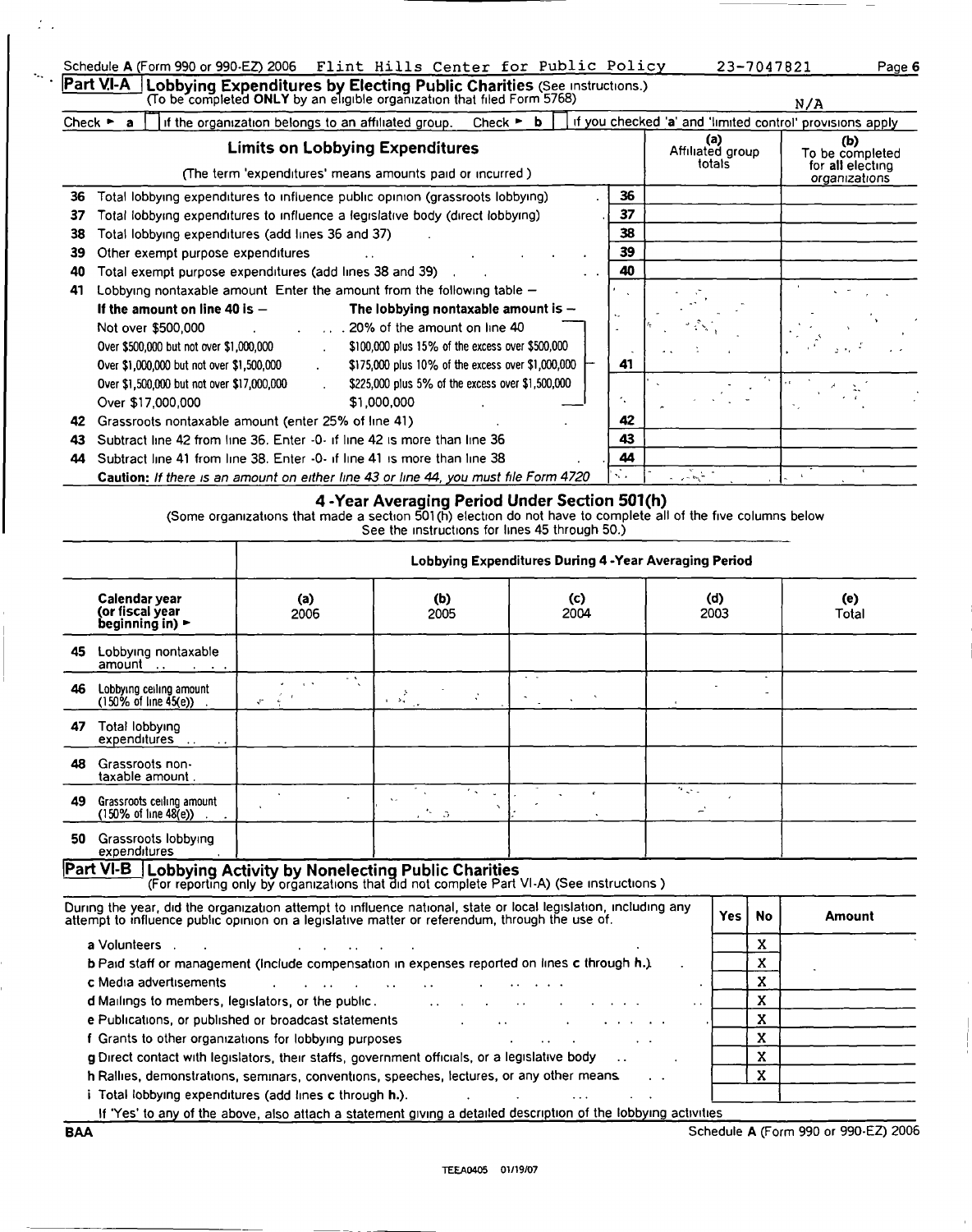|                             | Schedule A (Form 990 or 990-EZ) 2006 Flint Hills Center for Public Policy                                                                                       |                      | 23-7047821                                                | Page 6                                                      |
|-----------------------------|-----------------------------------------------------------------------------------------------------------------------------------------------------------------|----------------------|-----------------------------------------------------------|-------------------------------------------------------------|
|                             | $Part VI-A$<br>Lobbying Expenditures by Electing Public Charities (See Instructions.)<br>To be completed ONLY by an eligible organization that filed Form 5768) |                      |                                                           | N/A                                                         |
| Check $\blacktriangleright$ | if the organization belongs to an affiliated group.<br>Check $\blacktriangleright$<br>а                                                                         |                      | if you checked 'a' and 'limited control' provisions apply |                                                             |
|                             | <b>Limits on Lobbying Expenditures</b><br>(The term 'expenditures' means amounts paid or incurred)                                                              |                      | (a)<br>Affiliated group<br>totals                         | (b)<br>To be completed<br>for all electing<br>organizations |
| 36                          | Total lobbying expenditures to influence public opinion (grassroots lobbying)                                                                                   | 36                   |                                                           |                                                             |
| 37                          | Total lobbying expenditures to influence a legislative body (direct lobbying)                                                                                   | 37                   |                                                           |                                                             |
| 38                          | Total lobbying expenditures (add lines 36 and 37)                                                                                                               | 38                   |                                                           |                                                             |
| 39                          | Other exempt purpose expenditures                                                                                                                               | 39                   |                                                           |                                                             |
| 40                          | Total exempt purpose expenditures (add lines 38 and 39)                                                                                                         | 40                   |                                                           |                                                             |
| 41                          | Lobbying nontaxable amount Enter the amount from the following table $-$                                                                                        |                      |                                                           |                                                             |
|                             | If the amount on line 40 is $-$<br>The lobbying nontaxable amount is $-$                                                                                        | $\ddot{\phantom{0}}$ |                                                           |                                                             |
|                             | 20% of the amount on line 40<br>Not over \$500,000                                                                                                              |                      |                                                           |                                                             |
|                             | \$100,000 plus 15% of the excess over \$500,000<br>Over \$500,000 but not over \$1,000,000                                                                      |                      |                                                           | $4.19 \pm 1.0$                                              |

k.

Over \$1,000,000 but not over \$1,500,000  $\cdot$  \$175,000 plus 10% of the excess over \$1,000,000  $\leftarrow$  41

Over \$1,500,000 but not over \$17,000,000 \$225,000 plus 5% of the excess over \$1,500,000 Over \$17,000,000 \$1,000,000 - 42 Grassroots nontaxable amount (enter 25% of line 41) A2 43 Subtract line 42 from line 36. Enter -0- if line 42 is more than line 36 43 44 Subtract line 41 from line 38. Enter -0- if line 41 is more than line 38 . 44

|                                                                         |                                                        | 4-Year Averaging Period Under Section 501(h)      |                |                                                                                                               |              |  |  |  |
|-------------------------------------------------------------------------|--------------------------------------------------------|---------------------------------------------------|----------------|---------------------------------------------------------------------------------------------------------------|--------------|--|--|--|
|                                                                         |                                                        | See the instructions for lines 45 through 50.)    |                | (Some organizations that made a section 501(h) election do not have to complete all of the five columns below |              |  |  |  |
|                                                                         | Lobbying Expenditures During 4 - Year Averaging Period |                                                   |                |                                                                                                               |              |  |  |  |
| Calendar year<br>(or fiscal year<br>beginning in) $\blacktriangleright$ | (a)<br>2006                                            | (b)<br>2005                                       | (c)<br>2004    | (d)<br>2003                                                                                                   | (e)<br>Total |  |  |  |
| Lobbying nontaxable<br>45                                               |                                                        |                                                   |                |                                                                                                               |              |  |  |  |
| Lobbying ceiling amount<br>46<br>$(150\% \text{ of line } 45(e))$ .     | $\sim$ 10<br>$\sim$<br>¢.                              | $\frac{1}{4}$ , $\frac{1}{24}$ , $\frac{1}{24}$ , | $\sim$ $ \sim$ |                                                                                                               |              |  |  |  |
| Total lobbying<br>47<br>expenditures<br>$\cdots$                        |                                                        |                                                   |                |                                                                                                               |              |  |  |  |
| Grassroots non-<br>48<br>taxable amount.                                |                                                        |                                                   |                |                                                                                                               |              |  |  |  |
| Grassroots ceiling amount<br>49<br>$(150\% \text{ of line } 48(e))$     |                                                        | $\mathbf{v}$ .<br>$\sim$ $\alpha$                 |                | $\mathcal{P}_{\mathcal{L}^{\mathcal{L}^{\mathcal{L}}}}$                                                       |              |  |  |  |
| Grassroots lobbying<br>50<br>expenditures                               |                                                        |                                                   |                |                                                                                                               |              |  |  |  |

During the year, did the organization attempt to influence national, state or local legislation, including any butting the year, and the organization attempt to immuerice national, state or local legislation, including any<br>attempt to influence public opinion on a legislative matter or referendum, through the use of. a Volunteers . X <sup>V</sup> **b** Paid staff or management (include compensation in expenses reported on lines c through h.)  $\begin{array}{c} \begin{array}{c} \end{array} & \begin{array}{c} \end{array} & \begin{array}{c} \end{array} & \begin{array}{c} \end{array} & \begin{array}{c} \end{array} & \begin{array}{c} \end{array} & \begin{array}{c} \end{array} & \begin{array}{c} \end{array} & \begin{array}{c} \end{array} & \$ **c** Media advertisements and the contract of the contract of the contract of the contract of the contract of the contract of the contract of the contract of the contract of the contract of the contract of the contract of t d Mailings to members, legislators, or the public. The contract of the contract of the public contract of the contract of the contract of the contract of the contract of the contract of the contract of the contract of the e Publications, or published or broadcast statements and the statements of the statements of the statements of the statements of the statements of the statements of the statements of the statements of the statements of the f Grants to other organizations for lobbying purposes and the state of the state of the state of the state of the state of the state of the state of the state of the state of the state of the state of the state of the stat **g** Direct contact with legislators, their staffs, government officials, or a legislative body  $\ldots$   $\ldots$ h Rallies, demonstrations, seminars, conventions, speeches, lectures, or any other means  $\therefore$   $\begin{matrix} \end{matrix}$  X i Total lobbying expenditures (add lines c through  $h$ .).  $\ldots$  ... ... ... ...

If 'Yes' to any of the above, also attach a statement giving a detailed description of the lobbying activities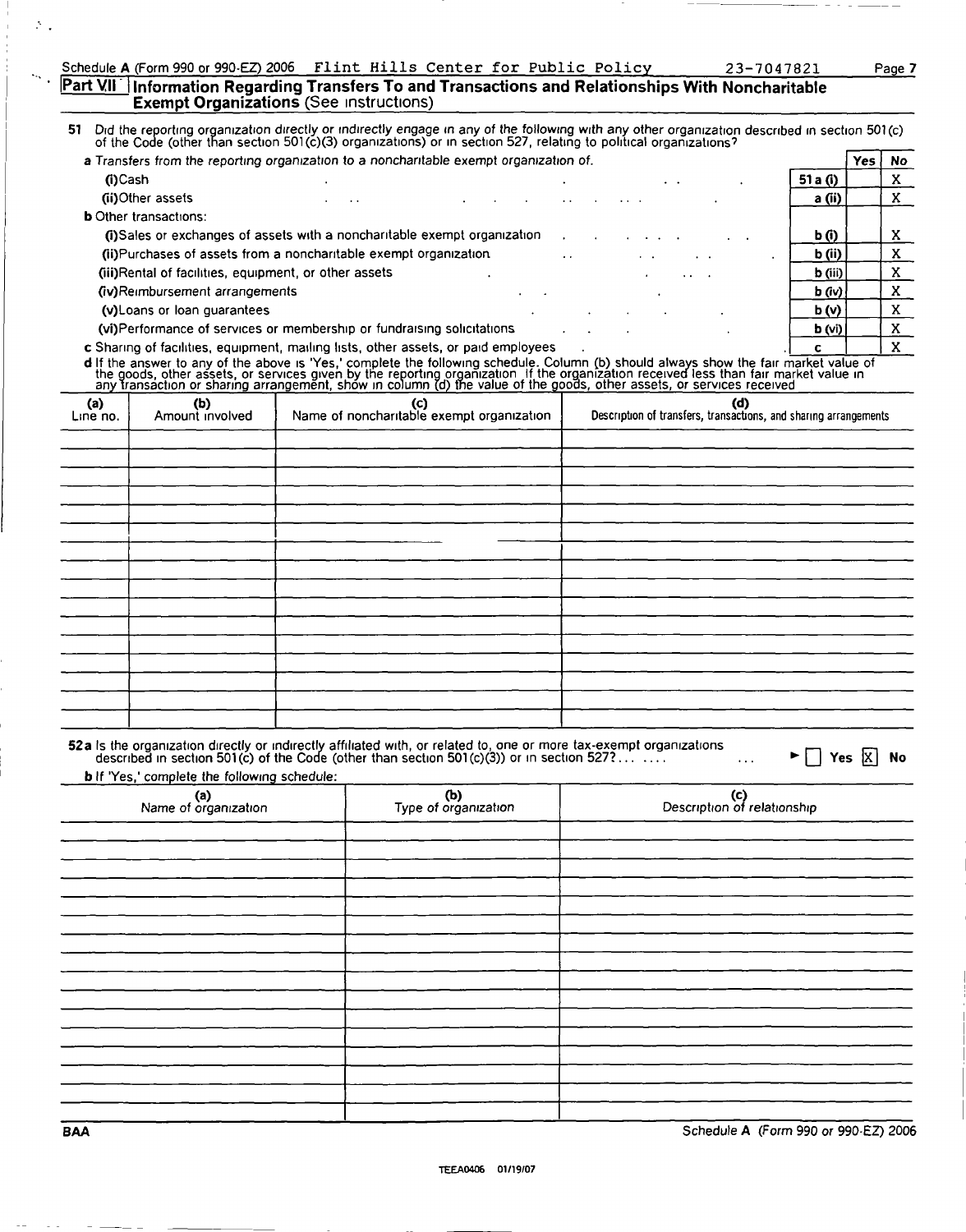#### Part VII i Information Regarding Transfers To and Transactions and Relationships With Noncharitable **Exempt Organizations** (See instructions)

51 Did the reporting organization directly or indirectly engage in any of the following with any other organization describ Did the reporting organization directly or indirectly engage in any of the following with any other organization described in section 501(c)<br>of the Code (other than section 501(c)(3) organizations) or in section 527, relat

| a Transfers from the reporting organization to a noncharitable exempt organization of.              |                 |  |  |  |  |                 |           | Yes | No |
|-----------------------------------------------------------------------------------------------------|-----------------|--|--|--|--|-----------------|-----------|-----|----|
| (i)Cash                                                                                             |                 |  |  |  |  |                 | 51 a (i)  |     |    |
| (ii)Other assets                                                                                    | $\cdot$ $\cdot$ |  |  |  |  |                 | a (ii)    |     |    |
| <b>b</b> Other transactions:                                                                        |                 |  |  |  |  |                 |           |     |    |
| (i)Sales or exchanges of assets with a noncharitable exempt organization<br>b(0)                    |                 |  |  |  |  |                 |           |     |    |
| (ii) Purchases of assets from a noncharitable exempt organization<br>b (ii)<br>$\ddot{\phantom{0}}$ |                 |  |  |  |  |                 |           |     |    |
| (iii)Rental of facilities, equipment, or other assets                                               |                 |  |  |  |  | $\cdot$ $\cdot$ | $b$ (iii) |     |    |
| (iv)Reimbursement arrangements                                                                      |                 |  |  |  |  |                 | $b$ (iv)  |     |    |
| (v) Loans or loan quarantees                                                                        |                 |  |  |  |  |                 | b(v)      |     |    |
| (vi)Performance of services or membership or fundraising solicitations<br>b(w)                      |                 |  |  |  |  |                 |           |     |    |
| c Sharing of facilities, equipment, mailing lists, other assets, or paid employees                  |                 |  |  |  |  |                 |           |     |    |

d If the answer to any of the above is 'Yes,' complete the following schedule. Column (b) should always show the fair m<br>the goods, other assets, or services given by the reporting organization if the organization received narket valu<br>arket value<br>d ue of<br>؛ וח

| (a)<br>Line no. | (b)<br>Amount involved | (c)<br>Name of noncharitable exempt organization | (d)<br>Description of transfers, transactions, and sharing arrangements |
|-----------------|------------------------|--------------------------------------------------|-------------------------------------------------------------------------|
|                 |                        |                                                  |                                                                         |
|                 |                        |                                                  |                                                                         |
|                 |                        |                                                  |                                                                         |
|                 |                        |                                                  |                                                                         |
|                 |                        |                                                  |                                                                         |
|                 |                        |                                                  |                                                                         |
|                 |                        |                                                  |                                                                         |
|                 |                        |                                                  |                                                                         |
|                 |                        |                                                  |                                                                         |
|                 |                        |                                                  |                                                                         |
|                 |                        |                                                  |                                                                         |

| 52a Is the organization directly or indirectly affiliated with, or related to, one or more tax-exempt organizations<br>described in section 501(c) of the Code (other than section 501(c)(3)) or in section 527? |  | $\blacktriangleright \Box$ Yes $\overline{X}$ No |
|------------------------------------------------------------------------------------------------------------------------------------------------------------------------------------------------------------------|--|--------------------------------------------------|
|------------------------------------------------------------------------------------------------------------------------------------------------------------------------------------------------------------------|--|--------------------------------------------------|

**b** If 'Yes,' complete the following schedule:

| .<br>(a)<br>Name of organization | (b)<br>Type of organization | (c)<br>Description of relationship |
|----------------------------------|-----------------------------|------------------------------------|
|                                  |                             |                                    |
|                                  |                             |                                    |
|                                  |                             |                                    |
|                                  |                             |                                    |
|                                  |                             |                                    |
|                                  |                             |                                    |
|                                  |                             |                                    |
|                                  |                             |                                    |
|                                  |                             |                                    |

BAA Schedule A (Form 990 or 990-EZ) 2006

 $\mathbb{R}_{>0}$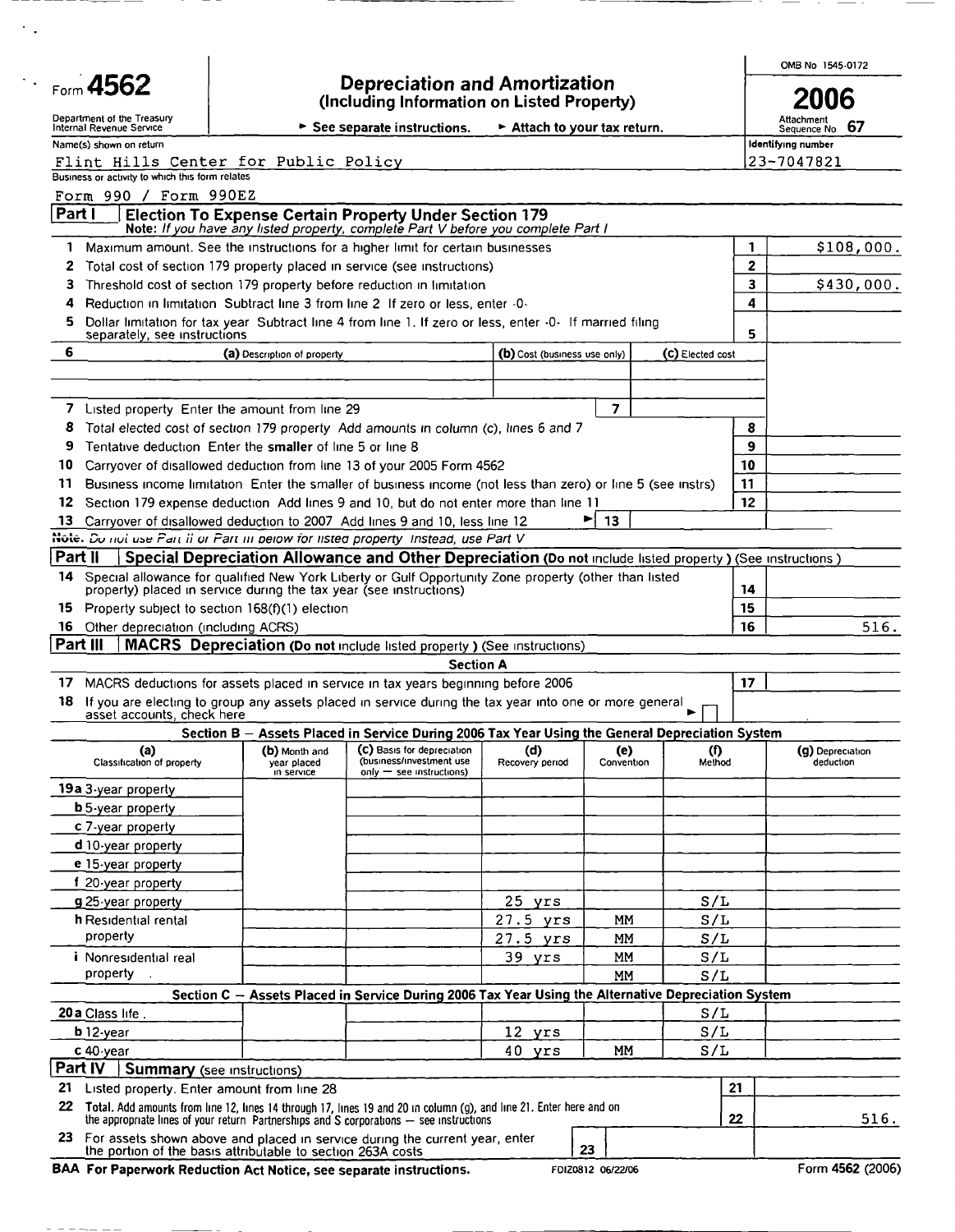|                                                                                                                                                                                                                   |                                                                                                                                                         |                                            |                                                                                                              |                              |                         |                    |    | OMB No 1545-0172                |  |
|-------------------------------------------------------------------------------------------------------------------------------------------------------------------------------------------------------------------|---------------------------------------------------------------------------------------------------------------------------------------------------------|--------------------------------------------|--------------------------------------------------------------------------------------------------------------|------------------------------|-------------------------|--------------------|----|---------------------------------|--|
| Form 4562                                                                                                                                                                                                         |                                                                                                                                                         |                                            | <b>Depreciation and Amortization</b><br>(Including Information on Listed Property)                           |                              |                         |                    |    | 2006                            |  |
| Department of the Treasury<br>Internal Revenue Service                                                                                                                                                            |                                                                                                                                                         |                                            | See separate instructions.                                                                                   | Attach to your tax return.   |                         |                    |    | Attachment<br>67<br>Sequence No |  |
| Name(s) shown on return                                                                                                                                                                                           |                                                                                                                                                         |                                            |                                                                                                              |                              |                         |                    |    | Identifying number              |  |
| Flint Hills Center for Public Policy                                                                                                                                                                              |                                                                                                                                                         |                                            |                                                                                                              |                              |                         |                    |    | 23-7047821                      |  |
| Business or activity to which this form relates                                                                                                                                                                   |                                                                                                                                                         |                                            |                                                                                                              |                              |                         |                    |    |                                 |  |
| Form 990 / Form 990EZ<br>Part 1                                                                                                                                                                                   |                                                                                                                                                         |                                            | <b>Election To Expense Certain Property Under Section 179</b>                                                |                              |                         |                    |    |                                 |  |
|                                                                                                                                                                                                                   |                                                                                                                                                         |                                            | Note: If you have any listed property, complete Part V before you complete Part I                            |                              |                         |                    |    |                                 |  |
|                                                                                                                                                                                                                   |                                                                                                                                                         |                                            | 1 Maximum amount. See the instructions for a higher limit for certain businesses                             |                              |                         |                    | 1  | \$108,000.                      |  |
| 2                                                                                                                                                                                                                 |                                                                                                                                                         |                                            | Total cost of section 179 property placed in service (see instructions)                                      |                              |                         |                    | 2  | \$430,000.                      |  |
| 3                                                                                                                                                                                                                 | Threshold cost of section 179 property before reduction in limitation<br>Reduction in limitation Subtract line 3 from line 2 If zero or less, enter -0- |                                            |                                                                                                              |                              |                         |                    |    |                                 |  |
| 4                                                                                                                                                                                                                 |                                                                                                                                                         |                                            |                                                                                                              |                              |                         |                    | 4  |                                 |  |
| 5<br>separately, see instructions                                                                                                                                                                                 |                                                                                                                                                         |                                            | Dollar limitation for tax year Subtract line 4 from line 1. If zero or less, enter -0- If married filing     |                              |                         |                    | 5  |                                 |  |
| 6                                                                                                                                                                                                                 | (a) Description of property                                                                                                                             |                                            |                                                                                                              | (b) Cost (business use only) |                         | (C) Elected cost   |    |                                 |  |
|                                                                                                                                                                                                                   |                                                                                                                                                         |                                            |                                                                                                              |                              |                         |                    |    |                                 |  |
|                                                                                                                                                                                                                   |                                                                                                                                                         |                                            |                                                                                                              |                              |                         |                    |    |                                 |  |
| 7<br>Listed property Enter the amount from line 29                                                                                                                                                                |                                                                                                                                                         |                                            |                                                                                                              |                              | $\overline{\mathbf{z}}$ |                    |    |                                 |  |
| 8                                                                                                                                                                                                                 |                                                                                                                                                         |                                            | Total elected cost of section 179 property Add amounts in column (c), lines 6 and 7                          |                              |                         |                    | 8  |                                 |  |
| Tentative deduction Enter the smaller of line 5 or line 8<br>9                                                                                                                                                    |                                                                                                                                                         |                                            |                                                                                                              |                              |                         |                    | 9  |                                 |  |
| 10                                                                                                                                                                                                                |                                                                                                                                                         |                                            | Carrvover of disallowed deduction from line 13 of your 2005 Form 4562                                        |                              |                         |                    | 10 |                                 |  |
| 11                                                                                                                                                                                                                |                                                                                                                                                         |                                            | Business income limitation. Enter the smaller of business income (not less than zero) or line 5 (see instrs) |                              |                         |                    | 11 |                                 |  |
| 12                                                                                                                                                                                                                |                                                                                                                                                         |                                            | Section 179 expense deduction Add lines 9 and 10, but do not enter more than line 11                         |                              |                         |                    | 12 |                                 |  |
| 13                                                                                                                                                                                                                |                                                                                                                                                         |                                            | Carryover of disallowed deduction to 2007 Add lines 9 and 10, less line 12                                   |                              | 13                      |                    |    |                                 |  |
| Note. Du not use Part if or Part in pelow for listed property Instead, use Part V<br>Part II                                                                                                                      |                                                                                                                                                         |                                            | Special Depreciation Allowance and Other Depreciation (Do not include listed property) (See instructions)    |                              |                         |                    |    |                                 |  |
| 14                                                                                                                                                                                                                |                                                                                                                                                         |                                            | Special allowance for qualified New York Liberty or Gulf Opportunity Zone property (other than listed        |                              |                         |                    |    |                                 |  |
| property) placed in service during the tax year (see instructions)                                                                                                                                                |                                                                                                                                                         |                                            |                                                                                                              |                              |                         |                    | 14 |                                 |  |
| Property subject to section 168(f)(1) election<br>15.                                                                                                                                                             |                                                                                                                                                         |                                            |                                                                                                              |                              |                         |                    | 15 |                                 |  |
| 16 Other depreciation (including ACRS)                                                                                                                                                                            |                                                                                                                                                         |                                            |                                                                                                              |                              |                         |                    | 16 | 516.                            |  |
| Part III                                                                                                                                                                                                          |                                                                                                                                                         |                                            | <b>MACRS</b> Depreciation (Do not include listed property) (See instructions)                                |                              |                         |                    |    |                                 |  |
|                                                                                                                                                                                                                   |                                                                                                                                                         |                                            | <b>Section A</b>                                                                                             |                              |                         |                    |    |                                 |  |
| 17.                                                                                                                                                                                                               |                                                                                                                                                         |                                            | MACRS deductions for assets placed in service in tax years beginning before 2006                             |                              |                         |                    | 17 |                                 |  |
| 18<br>asset accounts, check here                                                                                                                                                                                  |                                                                                                                                                         |                                            | If you are electing to group any assets placed in service during the tax year into one or more general       |                              |                         |                    |    |                                 |  |
|                                                                                                                                                                                                                   |                                                                                                                                                         |                                            | Section B - Assets Placed in Service During 2006 Tax Year Using the General Depreciation System              |                              |                         |                    |    |                                 |  |
| (a)<br>Classification of property                                                                                                                                                                                 |                                                                                                                                                         | (b) Month and<br>year placed<br>in service | (C) Basis for depreciation<br>(business/investment use<br>$only$ = see instructions)                         | (d)<br>Recovery period       | (e)<br>Convention       | $\bf{r}$<br>Method |    | (g) Depreciation<br>deduction   |  |
| 19a 3-year property                                                                                                                                                                                               |                                                                                                                                                         |                                            |                                                                                                              |                              |                         |                    |    |                                 |  |
| <b>b</b> 5-year property                                                                                                                                                                                          |                                                                                                                                                         |                                            |                                                                                                              |                              |                         |                    |    |                                 |  |
| c 7-year property                                                                                                                                                                                                 |                                                                                                                                                         |                                            |                                                                                                              |                              |                         |                    |    |                                 |  |
| d 10-year property                                                                                                                                                                                                |                                                                                                                                                         |                                            |                                                                                                              |                              |                         |                    |    |                                 |  |
| e 15-year property                                                                                                                                                                                                |                                                                                                                                                         |                                            |                                                                                                              |                              |                         |                    |    |                                 |  |
| f 20-year property                                                                                                                                                                                                |                                                                                                                                                         |                                            |                                                                                                              |                              |                         |                    |    |                                 |  |
| g 25-year property                                                                                                                                                                                                |                                                                                                                                                         |                                            |                                                                                                              | $25$ yrs                     |                         | S/L                |    |                                 |  |
| h Residential rental<br>property                                                                                                                                                                                  |                                                                                                                                                         |                                            |                                                                                                              | $27.5$ yrs                   | МM                      | S/L                |    |                                 |  |
| i Nonresidential real                                                                                                                                                                                             |                                                                                                                                                         |                                            |                                                                                                              | $27.5$ yrs<br>39 yrs         | МM<br>MM                | S/L<br>S/L         |    |                                 |  |
| property                                                                                                                                                                                                          |                                                                                                                                                         |                                            |                                                                                                              |                              | <b>MM</b>               | S/L                |    |                                 |  |
|                                                                                                                                                                                                                   |                                                                                                                                                         |                                            | Section C - Assets Placed in Service During 2006 Tax Year Using the Alternative Depreciation System          |                              |                         |                    |    |                                 |  |
| 20 a Class life.                                                                                                                                                                                                  |                                                                                                                                                         |                                            |                                                                                                              |                              |                         | S/L                |    |                                 |  |
|                                                                                                                                                                                                                   | S/L<br>b 12-year<br>12 yrs                                                                                                                              |                                            |                                                                                                              |                              |                         |                    |    |                                 |  |
| S/L<br>40<br>MM<br>$c$ 40 $\cdot$ year<br>yrs                                                                                                                                                                     |                                                                                                                                                         |                                            |                                                                                                              |                              |                         |                    |    |                                 |  |
| Part IV<br><b>Summary</b> (see instructions)                                                                                                                                                                      |                                                                                                                                                         |                                            |                                                                                                              |                              |                         |                    |    |                                 |  |
| 21 Listed property. Enter amount from line 28                                                                                                                                                                     |                                                                                                                                                         |                                            |                                                                                                              |                              |                         |                    | 21 |                                 |  |
| 22 Total. Add amounts from line 12, lines 14 through 17, lines 19 and 20 in column (g), and line 21. Enter here and on<br>the appropriate lines of your return Partnerships and S corporations — see instructions |                                                                                                                                                         |                                            |                                                                                                              |                              |                         |                    |    |                                 |  |
| 23 For assets shown above and placed in service during the current year, enter<br>the portion of the basis attributable to section 263A costs                                                                     |                                                                                                                                                         |                                            |                                                                                                              |                              | 23                      |                    | 22 | 516.                            |  |
| BAA For Paperwork Reduction Act Notice, see separate instructions.                                                                                                                                                |                                                                                                                                                         |                                            |                                                                                                              |                              | FDIZ0812 06/22/06       |                    |    | Form 4562 (2006)                |  |

\_\_\_\_\_\_

 $\sim$  .

 $- - -$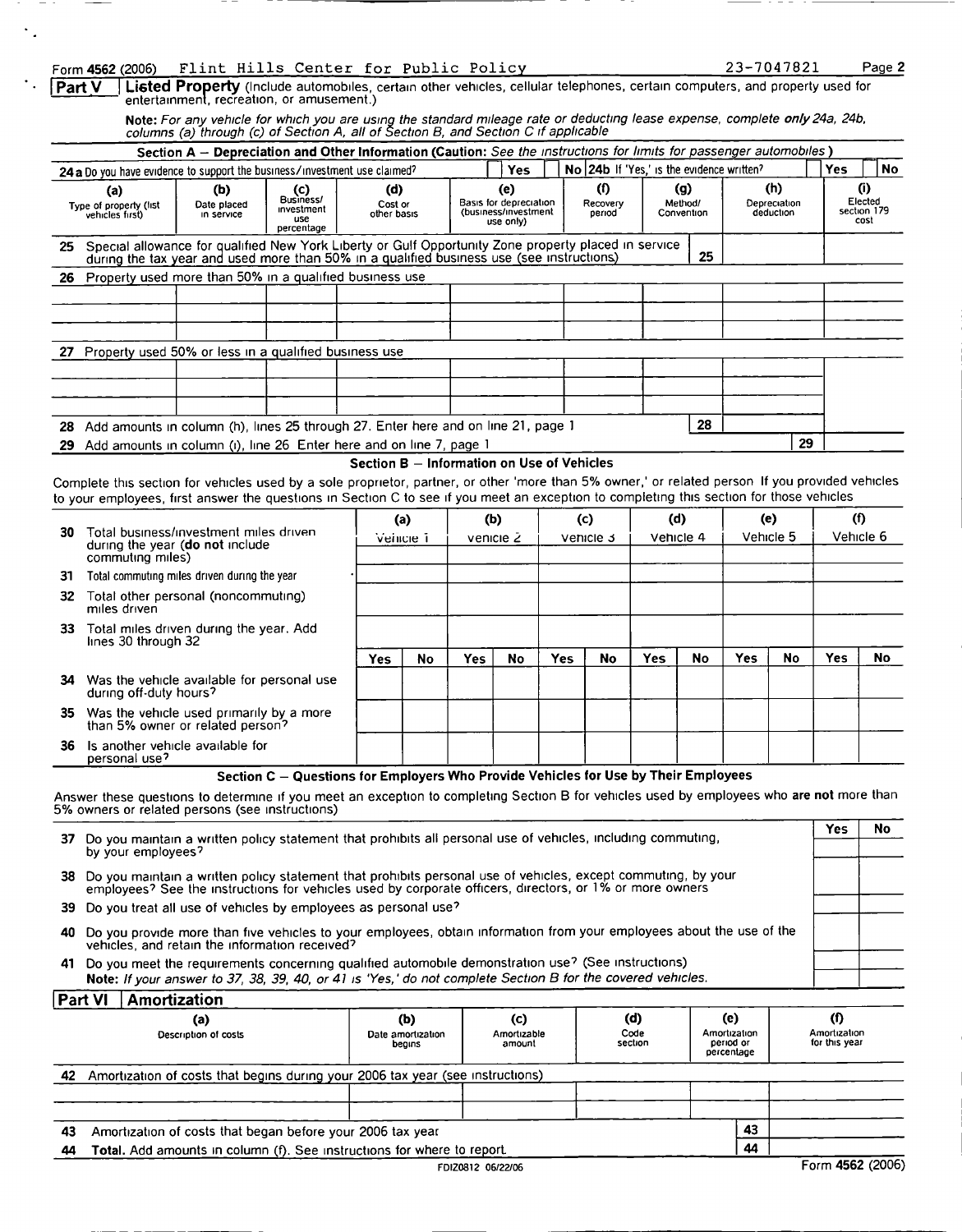#### Form 4562 (2006) Flint Hills Center for Public Policy 23

| 1-7047821<br>Page 2 |  |
|---------------------|--|
|---------------------|--|

| <b>Part V</b>   Listed Property (Include automobiles, certain other vehicles, cellular telephones, certain computers, and property used for |  |  |  |  |  |  |
|---------------------------------------------------------------------------------------------------------------------------------------------|--|--|--|--|--|--|
| entertainment, recreation, or amusement.)                                                                                                   |  |  |  |  |  |  |

**Note:** For any vehicle for which you are using the standard mileage rate or deducting lease expense, complete **only** 24a, 24b,<br>columns (a) through (c) of Section A, all of Section B, and Section C if applicable

|                                                                                                                                                                                                            |                                                                                                                                                                                                                                                                                              |                                  | Section A - Depreciation and Other Information (Caution: See the instructions for limits for passenger automobiles) |                                            |    |                  |                                                                    |            |                  |                           |                  |                                            |                  |                                  |                  |                                       |
|------------------------------------------------------------------------------------------------------------------------------------------------------------------------------------------------------------|----------------------------------------------------------------------------------------------------------------------------------------------------------------------------------------------------------------------------------------------------------------------------------------------|----------------------------------|---------------------------------------------------------------------------------------------------------------------|--------------------------------------------|----|------------------|--------------------------------------------------------------------|------------|------------------|---------------------------|------------------|--------------------------------------------|------------------|----------------------------------|------------------|---------------------------------------|
|                                                                                                                                                                                                            | 24 a Do you have evidence to support the business/investment use claimed?                                                                                                                                                                                                                    |                                  |                                                                                                                     |                                            |    |                  | <b>Yes</b>                                                         |            |                  |                           |                  | No 24b If 'Yes,' is the evidence written?  |                  |                                  | Yes.             | <b>No</b>                             |
|                                                                                                                                                                                                            | (a)<br>Type of property (fist<br>vehicles first)                                                                                                                                                                                                                                             | (b)<br>Date placed<br>in service | (c)<br>Business/<br>investment<br>use<br>percentage                                                                 | (d)<br>Cost or<br>other basis              |    |                  | (e)<br>Basis for depreciation<br>(business/investment<br>use only) |            |                  | (0)<br>Recovery<br>period |                  | $\left( q\right)$<br>Method/<br>Convention |                  | (h)<br>Depreciation<br>deduction |                  | (i)<br>Elected<br>section 179<br>cost |
| 25 Special allowance for qualified New York Liberty or Gulf Opportunity Zone property placed in service<br>25<br>during the tax year and used more than 50% in a qualified business use (see instructions) |                                                                                                                                                                                                                                                                                              |                                  |                                                                                                                     |                                            |    |                  |                                                                    |            |                  |                           |                  |                                            |                  |                                  |                  |                                       |
|                                                                                                                                                                                                            | 26 Property used more than 50% in a qualified business use                                                                                                                                                                                                                                   |                                  |                                                                                                                     |                                            |    |                  |                                                                    |            |                  |                           |                  |                                            |                  |                                  |                  |                                       |
|                                                                                                                                                                                                            |                                                                                                                                                                                                                                                                                              |                                  |                                                                                                                     |                                            |    |                  |                                                                    |            |                  |                           |                  |                                            |                  |                                  |                  |                                       |
|                                                                                                                                                                                                            |                                                                                                                                                                                                                                                                                              |                                  |                                                                                                                     |                                            |    |                  |                                                                    |            |                  |                           |                  |                                            |                  |                                  |                  |                                       |
|                                                                                                                                                                                                            |                                                                                                                                                                                                                                                                                              |                                  |                                                                                                                     |                                            |    |                  |                                                                    |            |                  |                           |                  |                                            |                  |                                  |                  |                                       |
|                                                                                                                                                                                                            | 27 Property used 50% or less in a qualified business use                                                                                                                                                                                                                                     |                                  |                                                                                                                     |                                            |    |                  |                                                                    |            |                  |                           |                  |                                            |                  |                                  |                  |                                       |
|                                                                                                                                                                                                            |                                                                                                                                                                                                                                                                                              |                                  |                                                                                                                     |                                            |    |                  |                                                                    |            |                  |                           |                  |                                            |                  |                                  |                  |                                       |
|                                                                                                                                                                                                            |                                                                                                                                                                                                                                                                                              |                                  |                                                                                                                     |                                            |    |                  |                                                                    |            |                  |                           |                  |                                            |                  |                                  |                  |                                       |
|                                                                                                                                                                                                            |                                                                                                                                                                                                                                                                                              |                                  |                                                                                                                     |                                            |    |                  |                                                                    |            |                  |                           |                  |                                            |                  |                                  |                  |                                       |
| 28<br>Add amounts in column (h), lines 25 through 27. Enter here and on line 21, page 1<br>28                                                                                                              |                                                                                                                                                                                                                                                                                              |                                  |                                                                                                                     |                                            |    |                  |                                                                    |            |                  |                           |                  |                                            |                  |                                  |                  |                                       |
|                                                                                                                                                                                                            | 29 Add amounts in column (i), line 26 Enter here and on line 7, page 1                                                                                                                                                                                                                       |                                  |                                                                                                                     |                                            |    |                  |                                                                    |            |                  |                           |                  |                                            |                  | 29                               |                  |                                       |
|                                                                                                                                                                                                            | Complete this section for vehicles used by a sole proprietor, partner, or other 'more than 5% owner,' or related person If you provided vehicles<br>to your employees, first answer the questions in Section C to see if you meet an exception to completing this section for those vehicles |                                  |                                                                                                                     | Section B - Information on Use of Vehicles |    |                  |                                                                    |            |                  |                           |                  |                                            |                  |                                  |                  |                                       |
| 30                                                                                                                                                                                                         | Total business/investment miles driven<br>during the year (do not include                                                                                                                                                                                                                    |                                  |                                                                                                                     | (a)<br>Verncie 1                           |    | (b)<br>venicie 2 |                                                                    |            | (c)<br>Vehicle 3 |                           | (d)<br>Vehicle 4 |                                            | (e)<br>Vehicle 5 |                                  | (1)<br>Vehicle 6 |                                       |
|                                                                                                                                                                                                            | commuting miles)                                                                                                                                                                                                                                                                             |                                  |                                                                                                                     |                                            |    |                  |                                                                    |            |                  |                           |                  |                                            |                  |                                  |                  |                                       |
| 31.                                                                                                                                                                                                        | Total commuting miles driven during the year                                                                                                                                                                                                                                                 |                                  |                                                                                                                     |                                            |    |                  |                                                                    |            |                  |                           |                  |                                            |                  |                                  |                  |                                       |
|                                                                                                                                                                                                            | 32 Total other personal (noncommuting)<br>miles driven                                                                                                                                                                                                                                       |                                  |                                                                                                                     |                                            |    |                  |                                                                    |            |                  |                           |                  |                                            |                  |                                  |                  |                                       |
| 33.                                                                                                                                                                                                        | Total miles driven during the year. Add<br>lines 30 through 32                                                                                                                                                                                                                               |                                  |                                                                                                                     |                                            |    |                  |                                                                    |            |                  |                           |                  |                                            |                  |                                  |                  |                                       |
|                                                                                                                                                                                                            |                                                                                                                                                                                                                                                                                              |                                  |                                                                                                                     | <b>Yes</b>                                 | No | Yes              | No                                                                 | <b>Yes</b> |                  | No                        | Yes              | No                                         | <b>Yes</b>       | No                               | Yes              | <b>No</b>                             |
| 34                                                                                                                                                                                                         | Was the vehicle available for personal use<br>during off-duty hours?                                                                                                                                                                                                                         |                                  |                                                                                                                     |                                            |    |                  |                                                                    |            |                  |                           |                  |                                            |                  |                                  |                  |                                       |
|                                                                                                                                                                                                            | 35 Was the vehicle used primarily by a more<br>than 5% owner or related person?                                                                                                                                                                                                              |                                  |                                                                                                                     |                                            |    |                  |                                                                    |            |                  |                           |                  |                                            |                  |                                  |                  |                                       |
| 36                                                                                                                                                                                                         | Is another vehicle available for<br>personal use?                                                                                                                                                                                                                                            |                                  |                                                                                                                     |                                            |    |                  |                                                                    |            |                  |                           |                  |                                            |                  |                                  |                  |                                       |
|                                                                                                                                                                                                            |                                                                                                                                                                                                                                                                                              |                                  | Section C - Questions for Employers Who Provide Vehicles for Use by Their Employees                                 |                                            |    |                  |                                                                    |            |                  |                           |                  |                                            |                  |                                  |                  |                                       |

Answer these questions to determine if you meet an exception to completing Section B for vehicles used by employees who **are not** more than 5% owners or related persons (see instructions)

|                                                                                                                                                                                                                              | Yes                                                                                                          | No |  |
|------------------------------------------------------------------------------------------------------------------------------------------------------------------------------------------------------------------------------|--------------------------------------------------------------------------------------------------------------|----|--|
| 37<br>by your employees?                                                                                                                                                                                                     |                                                                                                              |    |  |
| 38 Do you maintain a written policy statement that prohibits personal use of vehicles, except commuting, by your<br>employees? See the instructions for vehicles used by corporate officers, directors, or 1% or more owners |                                                                                                              |    |  |
| 39 Do you treat all use of vehicles by employees as personal use?                                                                                                                                                            |                                                                                                              |    |  |
| 40 Do you provide more than five vehicles to your employees, obtain information from your employees about the use of the<br>vehicles, and retain the information received?                                                   |                                                                                                              |    |  |
| 41 Do you meet the requirements concerning qualified automobile demonstration use? (See instructions)<br>Note: If your answer to 37, 38, 39, 40, or 41 is 'Yes,' do not complete Section B for the covered vehicles.         |                                                                                                              |    |  |
|                                                                                                                                                                                                                              | Do you maintain a written policy statement that prohibits all personal use of vehicles, including commuting, |    |  |

| (a)<br>Description of costs                                                          | (b)<br>Date amortization<br>begins | $\mathbf{(c)}$<br>Amortizable<br>amount | (d)<br>Code<br>section | (e)<br>Amortization<br>period or<br>percentage |    | Amortization<br>for this year |
|--------------------------------------------------------------------------------------|------------------------------------|-----------------------------------------|------------------------|------------------------------------------------|----|-------------------------------|
| Amortization of costs that begins during your 2006 tax year (see instructions)<br>42 |                                    |                                         |                        |                                                |    |                               |
|                                                                                      |                                    |                                         |                        |                                                |    |                               |
| Amortization of costs that began before your 2006 tax year<br>43                     |                                    | 43                                      |                        |                                                |    |                               |
| Total. Add amounts in column (f). See instructions for where to report.<br>44        |                                    |                                         |                        |                                                | 44 |                               |
|                                                                                      |                                    | FDIZ0812 06/22/06                       |                        |                                                |    | Form 4562 (2006)              |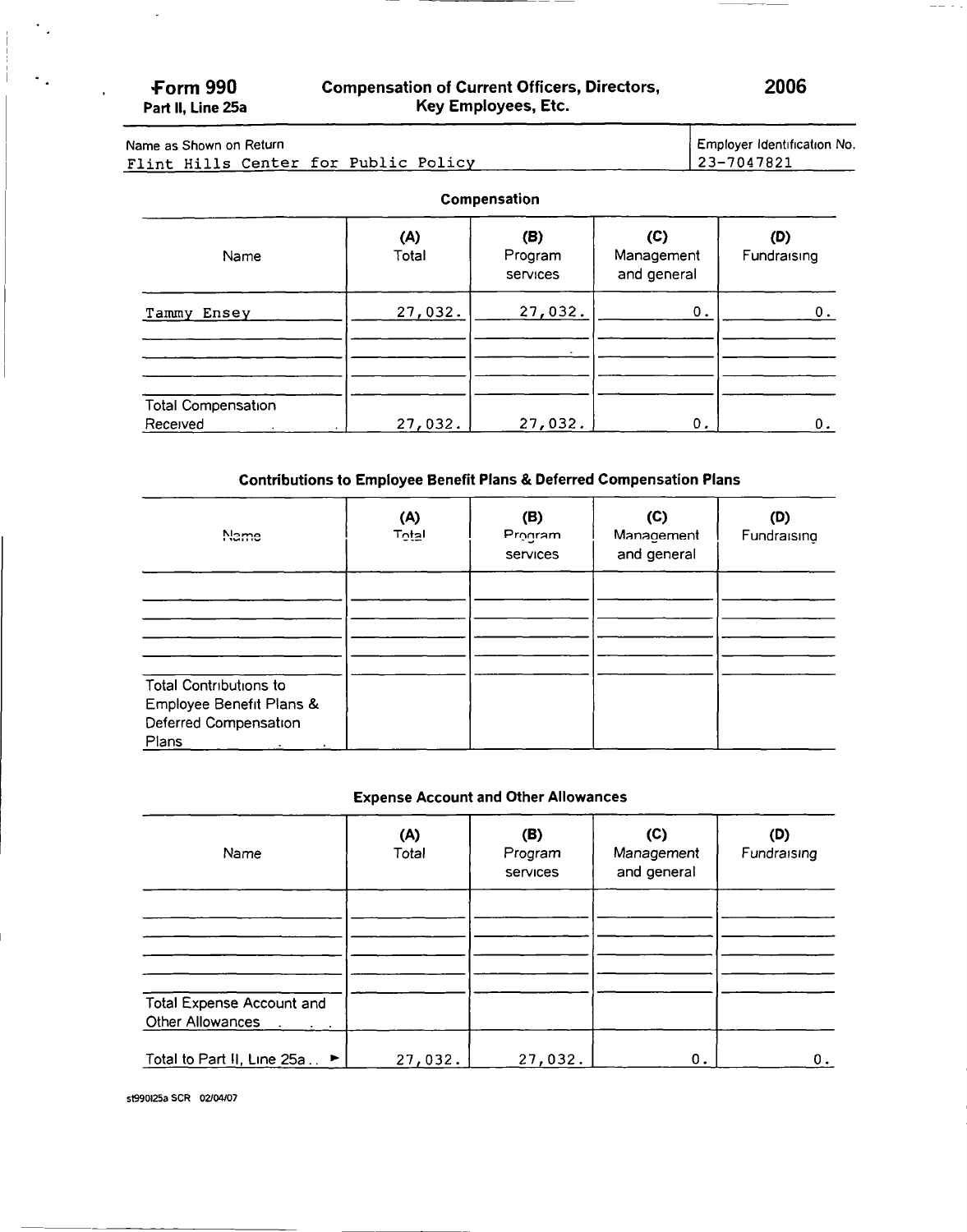$\ddot{\phantom{0}}$  .

 $\sigma_{\rm eff}$ 

### Form 990 Compensation of Current Officers, Directors, 2006<br>Part II, Line 25a Key Employees, Etc. Key Employees, Etc.

 $-1$ 

#### Name as Shown on Return Flint Hills Center for Public Policy Employer Identification No. 23-7047821

#### Compensation

| Name                                               | (A)<br>Total | (B)<br>Program<br>services | (C)<br>Management<br>and general | (D)<br>Fundraising |
|----------------------------------------------------|--------------|----------------------------|----------------------------------|--------------------|
| Tammy Ensey                                        | 27,032.      | 27,032.                    | 0.                               | 0.                 |
| <b>Total Compensation</b><br>Received<br>$\bullet$ | 27,032.      | 27,032.                    | 0.                               | 0.                 |

#### Contributions to Employee Benefit Plans & Deferred Compensation Plans

| Name                                                                                        | (A)<br>T <sub>Q</sub> taI | (B)<br>Program<br>services | (C)<br>Management<br>and general | (D)<br>Fundraising |
|---------------------------------------------------------------------------------------------|---------------------------|----------------------------|----------------------------------|--------------------|
|                                                                                             |                           |                            |                                  |                    |
| <b>Total Contributions to</b><br>Employee Benefit Plans &<br>Deferred Compensation<br>Plans |                           |                            |                                  |                    |

#### Expense Account and Other Allowances

| Name                                                                            | (A)<br>Total | (B)<br>Program<br>services | (C)<br>Management<br>and general | (D)<br>Fundraising |
|---------------------------------------------------------------------------------|--------------|----------------------------|----------------------------------|--------------------|
|                                                                                 |              |                            |                                  |                    |
|                                                                                 |              |                            |                                  |                    |
| <b>Total Expense Account and</b><br>Other Allowances<br>$\sim 100$ km s $^{-1}$ |              |                            |                                  |                    |
| Total to Part II, Line 25a ►                                                    | 27,032.      | 27,032.                    | 0.                               | О.                 |

st990125a SCR 02/04107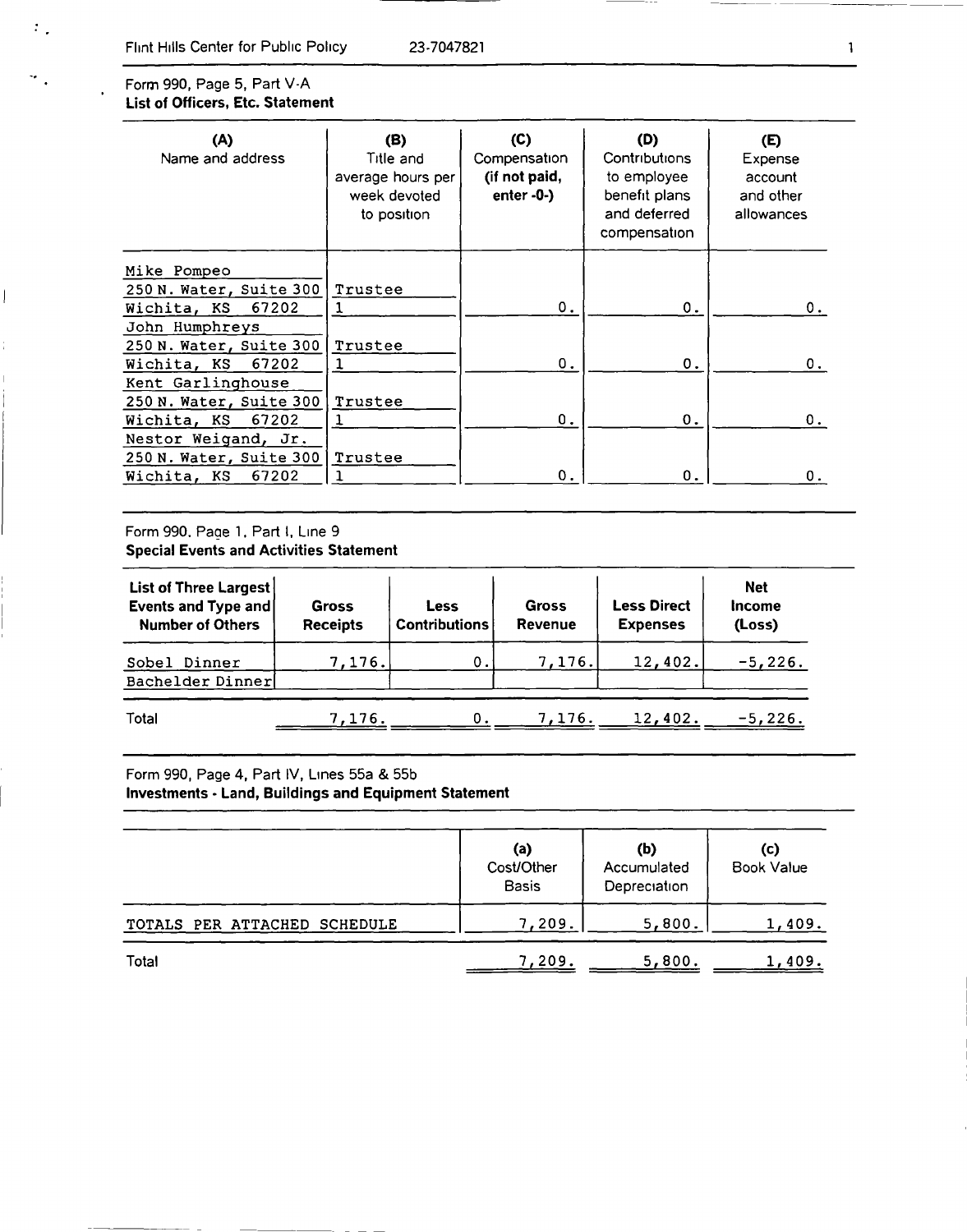#### Form 990, Page 5, Part V-A List of Officers, Etc. Statement

 $\mathcal{I}_{\mathcal{A}}$ 

 $\mathcal{F}_{\mathcal{A}}$ 

 $\overline{\phantom{a}}$ 

| (A)<br>Name and address | (B)<br>Title and<br>average hours per<br>week devoted<br>to position | (C)<br>Compensation<br>(if not paid,<br>enter $-0$ $-$ ) | (D)<br>Contributions<br>to employee<br>benefit plans<br>and deferred<br>compensation | (E)<br>Expense<br>account<br>and other<br>allowances |  |
|-------------------------|----------------------------------------------------------------------|----------------------------------------------------------|--------------------------------------------------------------------------------------|------------------------------------------------------|--|
| Mike Pompeo             |                                                                      |                                                          |                                                                                      |                                                      |  |
| 250 N. Water, Suite 300 | Trustee                                                              |                                                          |                                                                                      |                                                      |  |
| 67202<br>Wichita, KS    |                                                                      | Ο.                                                       | 0.                                                                                   | 0.                                                   |  |
| John Humphreys          |                                                                      |                                                          |                                                                                      |                                                      |  |
| 250 N. Water, Suite 300 | Trustee                                                              |                                                          |                                                                                      |                                                      |  |
| 67202<br>Wichita, KS    |                                                                      | Ο.                                                       | 0.                                                                                   | 0.                                                   |  |
| Kent Garlinghouse       |                                                                      |                                                          |                                                                                      |                                                      |  |
| 250 N. Water, Suite 300 | Trustee                                                              |                                                          |                                                                                      |                                                      |  |
| 67202<br>Wichita, KS    |                                                                      | Ο.                                                       | 0.                                                                                   | 0.                                                   |  |
| Nestor Weigand, Jr.     |                                                                      |                                                          |                                                                                      |                                                      |  |
| 250 N. Water, Suite 300 | Trustee                                                              |                                                          |                                                                                      |                                                      |  |
| 67202<br>Wichita, KS    | ٦                                                                    | 0.                                                       | 0.                                                                                   | О.                                                   |  |

#### Form 990. Page 1. Part I, Line 9 Special Events and Activities Statement

| List of Three Largest<br>Events and Type and<br><b>Number of Others</b> | Gross<br><b>Receipts</b> | Less<br><b>Contributions</b> | <b>Gross</b><br><b>Revenue</b> | <b>Less Direct</b><br><b>Expenses</b> | <b>Net</b><br><b>Income</b><br>(Loss) |
|-------------------------------------------------------------------------|--------------------------|------------------------------|--------------------------------|---------------------------------------|---------------------------------------|
| Sobel Dinner<br>Bachelder Dinner                                        | 1.176.1                  | 0.                           | 7,176.                         | 12,402.                               | $-5,226.$                             |
| Total                                                                   | 7.176.                   | 0.                           | 7,176.                         | 12,402.                               | $-5,226.$                             |

### Form 990, Page 4, Part IV, Lines 55a & 55b Investments - Land, Buildings and Equipment Statement

|                              | (a)<br>Cost/Other<br><b>Basis</b> | (b)<br>Accumulated<br>Depreciation | (c)<br><b>Book Value</b> |  |
|------------------------------|-----------------------------------|------------------------------------|--------------------------|--|
| TOTALS PER ATTACHED SCHEDULE | 7,209.                            | 5,800.                             | 1,409.                   |  |
| Total                        | 7,209.                            | 5,800.                             | 1,409.                   |  |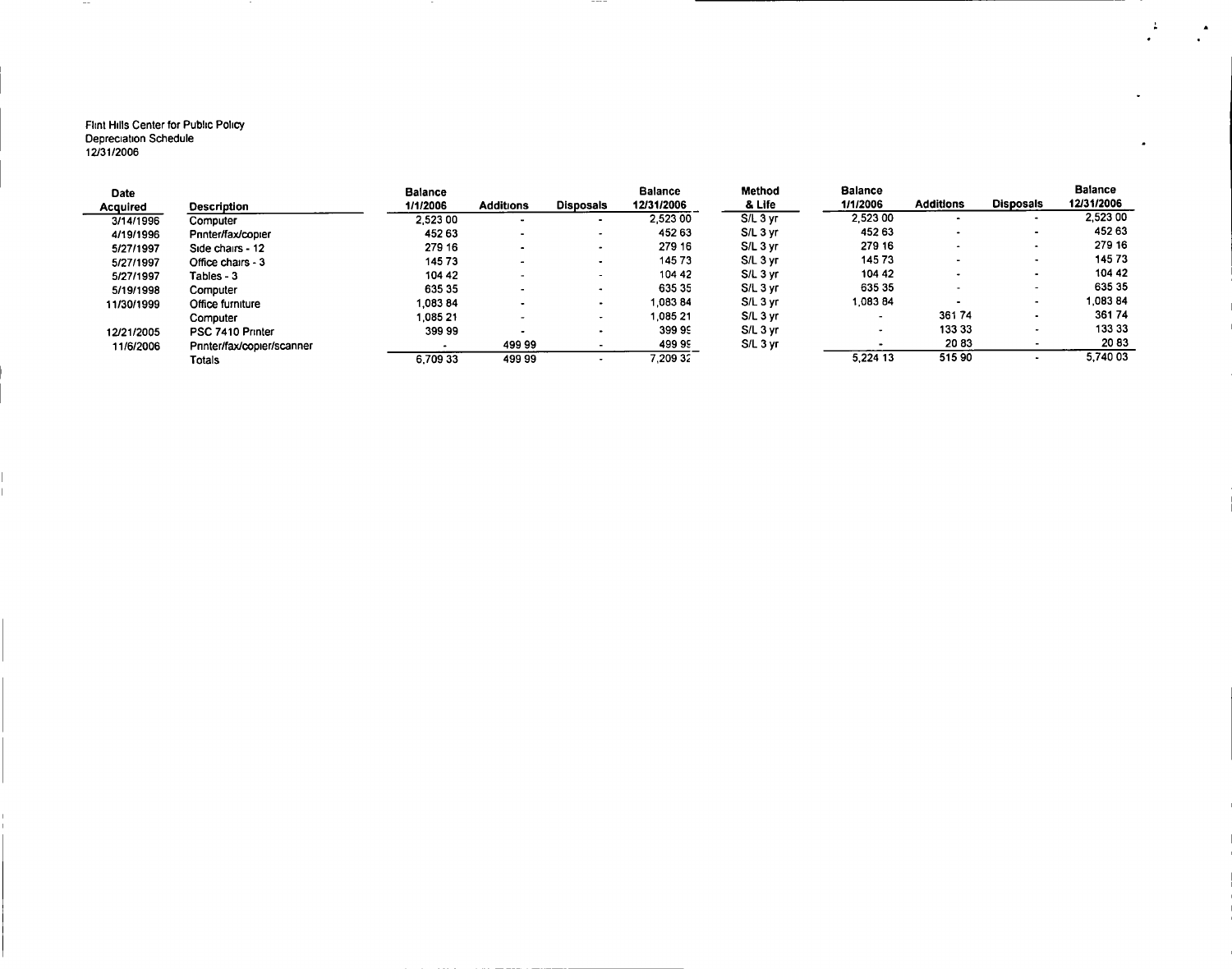#### Flint Hills Center for Public Policy Depreciation Schedule 12/31/2006

 $\sim$   $\sim$ 

| <b>Date</b> |                            | <b>Balance</b>           |                          |                          | <b>Balance</b> | <b>Method</b> | <b>Balance</b>           |                  |                          | <b>Balance</b> |
|-------------|----------------------------|--------------------------|--------------------------|--------------------------|----------------|---------------|--------------------------|------------------|--------------------------|----------------|
| Acquired    | Description                | 1/1/2006                 | <b>Additions</b>         | <b>Disposals</b>         | 12/31/2006     | & Life        | 1/1/2006                 | <b>Additions</b> | <b>Disposals</b>         | 12/31/2006     |
| 3/14/1996   | Computer                   | 2 5 2 3 0 0              |                          | $\bullet$                | 2.523 00       | S/L 3 yr      | 2.523 00                 |                  | . .                      | 2,523 00       |
| 4/19/1996   | Printer/fax/copier         | 452 63                   | -                        |                          | 452 63         | S/L 3 yr      | 452 63                   |                  | $\bullet$                | 452 63         |
| 5/27/1997   | Side chairs - 12           | 279 16                   | $\overline{\phantom{a}}$ |                          | 279 16         | S/L 3 yr      | 279 16                   |                  | $\overline{\phantom{a}}$ | 279 16         |
| 5/27/1997   | Office chairs - 3          | 145 73                   | -                        |                          | 14573          | S/L 3 yr      | 14573                    |                  | $\overline{\phantom{a}}$ | 14573          |
| 5/27/1997   | Tables - 3                 | 104 42                   |                          | $\sim$                   | 104 42         | S/L 3 yr      | 104 42                   |                  |                          | 104 42         |
| 5/19/1998   | Computer                   | 635 35                   |                          |                          | 635 35         | S/L 3 yr      | 635 35                   |                  | $\sim$                   | 635 35         |
| 11/30/1999  | Office furniture           | 1,083 84                 |                          |                          | 1.083 84       | $S/L$ 3 yr    | 1.08384                  |                  |                          | 1.08384        |
|             | Computer                   | 1,085 21                 |                          | $\overline{\phantom{a}}$ | 1 085 21       | S/L 3 yr      | $\overline{\phantom{a}}$ | 36174            | $\bullet$                | 36174          |
| 12/21/2005  | PSC 7410 Printer           | 399 99                   |                          |                          | 39999          | S/L 3 yr      |                          | 133 33           | $\bullet$                | 133 33         |
| 11/6/2006   | Printer/fax/copier/scanner | $\overline{\phantom{a}}$ | 49999                    |                          | 49999          | S/L 3 yr      |                          | 2083             |                          | 2083           |
|             | Totals                     | 6,709 33                 | 499 99                   |                          | 7.209.32       |               | 5.224 13                 | 51590            |                          | 5,740 03       |

 $- - - -$ 

 $\mathbb{R}^2$ 

 $\cdot$ 

 $\blacksquare$ 

 $\blacktriangle$ 

 $\bullet$  .